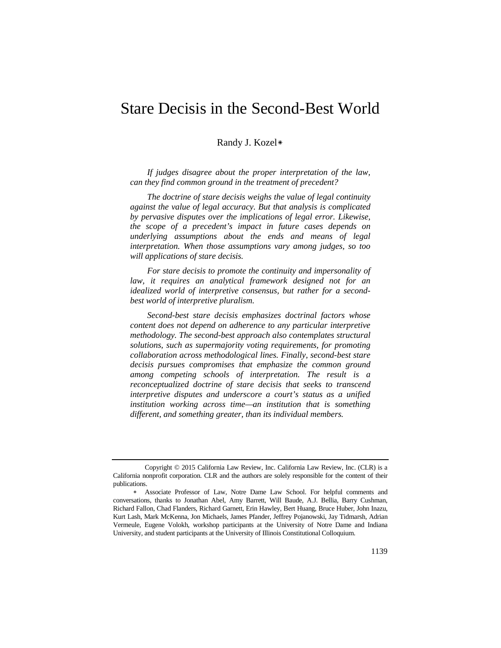# Stare Decisis in the Second-Best World

# Randy J. Kozel[\\*](#page-0-0)

*If judges disagree about the proper interpretation of the law, can they find common ground in the treatment of precedent?*

*The doctrine of stare decisis weighs the value of legal continuity against the value of legal accuracy. But that analysis is complicated by pervasive disputes over the implications of legal error. Likewise, the scope of a precedent's impact in future cases depends on underlying assumptions about the ends and means of legal interpretation. When those assumptions vary among judges, so too will applications of stare decisis.*

*For stare decisis to promote the continuity and impersonality of*  law, it requires an analytical framework designed not for an *idealized world of interpretive consensus, but rather for a secondbest world of interpretive pluralism.*

*Second-best stare decisis emphasizes doctrinal factors whose content does not depend on adherence to any particular interpretive methodology. The second-best approach also contemplates structural solutions, such as supermajority voting requirements, for promoting collaboration across methodological lines. Finally, second-best stare decisis pursues compromises that emphasize the common ground among competing schools of interpretation. The result is a reconceptualized doctrine of stare decisis that seeks to transcend interpretive disputes and underscore a court's status as a unified institution working across time—an institution that is something different, and something greater, than its individual members.*

<span id="page-0-0"></span>Copyright © 2015 California Law Review, Inc. California Law Review, Inc. (CLR) is a California nonprofit corporation. CLR and the authors are solely responsible for the content of their publications.

<sup>∗</sup> Associate Professor of Law, Notre Dame Law School. For helpful comments and conversations, thanks to Jonathan Abel, Amy Barrett, Will Baude, A.J. Bellia, Barry Cushman, Richard Fallon, Chad Flanders, Richard Garnett, Erin Hawley, Bert Huang, Bruce Huber, John Inazu, Kurt Lash, Mark McKenna, Jon Michaels, James Pfander, Jeffrey Pojanowski, Jay Tidmarsh, Adrian Vermeule, Eugene Volokh, workshop participants at the University of Notre Dame and Indiana University, and student participants at the University of Illinois Constitutional Colloquium.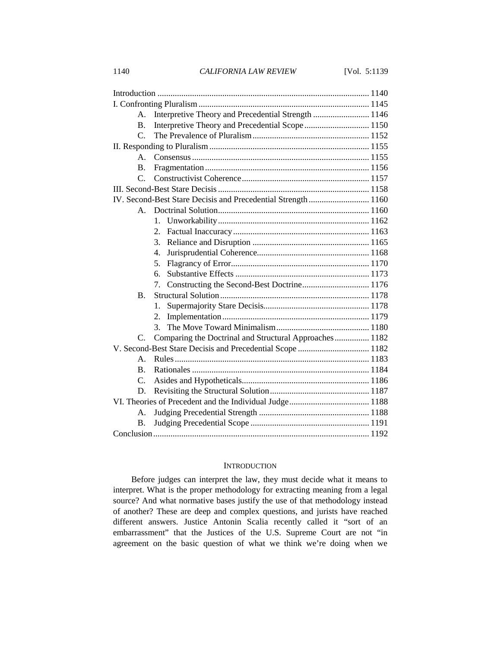1140 *CALIFORNIA LAW REVIEW* [Vol. 5:1139

| A.                                                            | Interpretive Theory and Precedential Strength  1146    |  |
|---------------------------------------------------------------|--------------------------------------------------------|--|
| $\mathbf{B}$ .                                                |                                                        |  |
| C.                                                            |                                                        |  |
|                                                               |                                                        |  |
| $\mathbf{A}$ .                                                |                                                        |  |
| <b>B.</b>                                                     |                                                        |  |
| $\mathcal{C}$                                                 |                                                        |  |
|                                                               |                                                        |  |
| IV. Second-Best Stare Decisis and Precedential Strength  1160 |                                                        |  |
| $A_{-}$                                                       |                                                        |  |
|                                                               | 1.                                                     |  |
|                                                               | 2.                                                     |  |
|                                                               | 3.                                                     |  |
|                                                               | $\overline{4}$ .                                       |  |
|                                                               | 5.                                                     |  |
|                                                               | б.                                                     |  |
|                                                               | Constructing the Second-Best Doctrine 1176<br>7.       |  |
| <b>B.</b>                                                     |                                                        |  |
|                                                               | 1.                                                     |  |
|                                                               | 2.                                                     |  |
|                                                               | 3.                                                     |  |
| $C_{\cdot}$                                                   | Comparing the Doctrinal and Structural Approaches 1182 |  |
| V. Second-Best Stare Decisis and Precedential Scope  1182     |                                                        |  |
| $\mathsf{A}$ .                                                |                                                        |  |
| $\bf{B}$ .                                                    |                                                        |  |
| $C_{\cdot}$                                                   |                                                        |  |
| D.                                                            |                                                        |  |
|                                                               |                                                        |  |
| А.                                                            |                                                        |  |
| <b>B.</b>                                                     |                                                        |  |
|                                                               |                                                        |  |

# **INTRODUCTION**

Before judges can interpret the law, they must decide what it means to interpret. What is the proper methodology for extracting meaning from a legal source? And what normative bases justify the use of that methodology instead of another? These are deep and complex questions, and jurists have reached different answers. Justice Antonin Scalia recently called it "sort of an embarrassment" that the Justices of the U.S. Supreme Court are not "in agreement on the basic question of what we think we're doing when we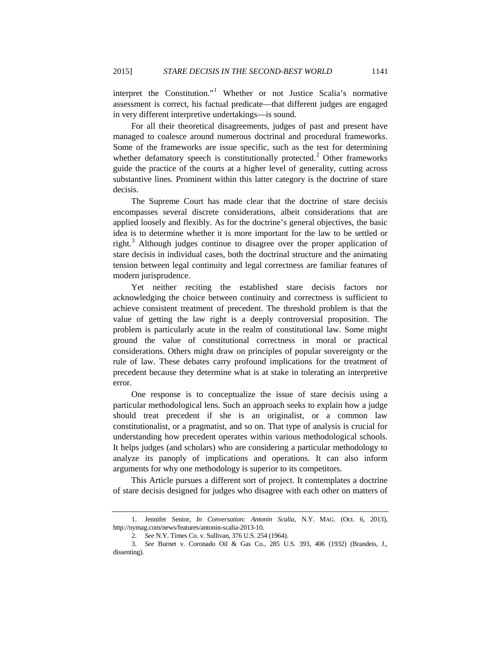interpret the Constitution."<sup>[1](#page-2-0)</sup> Whether or not Justice Scalia's normative assessment is correct, his factual predicate—that different judges are engaged in very different interpretive undertakings—is sound.

For all their theoretical disagreements, judges of past and present have managed to coalesce around numerous doctrinal and procedural frameworks. Some of the frameworks are issue specific, such as the test for determining whether defamatory speech is constitutionally protected.<sup>[2](#page-2-1)</sup> Other frameworks guide the practice of the courts at a higher level of generality, cutting across substantive lines. Prominent within this latter category is the doctrine of stare decisis.

The Supreme Court has made clear that the doctrine of stare decisis encompasses several discrete considerations, albeit considerations that are applied loosely and flexibly. As for the doctrine's general objectives, the basic idea is to determine whether it is more important for the law to be settled or right.<sup>[3](#page-2-2)</sup> Although judges continue to disagree over the proper application of stare decisis in individual cases, both the doctrinal structure and the animating tension between legal continuity and legal correctness are familiar features of modern jurisprudence.

Yet neither reciting the established stare decisis factors nor acknowledging the choice between continuity and correctness is sufficient to achieve consistent treatment of precedent. The threshold problem is that the value of getting the law right is a deeply controversial proposition. The problem is particularly acute in the realm of constitutional law. Some might ground the value of constitutional correctness in moral or practical considerations. Others might draw on principles of popular sovereignty or the rule of law. These debates carry profound implications for the treatment of precedent because they determine what is at stake in tolerating an interpretive error.

One response is to conceptualize the issue of stare decisis using a particular methodological lens. Such an approach seeks to explain how a judge should treat precedent if she is an originalist, or a common law constitutionalist, or a pragmatist, and so on. That type of analysis is crucial for understanding how precedent operates within various methodological schools. It helps judges (and scholars) who are considering a particular methodology to analyze its panoply of implications and operations. It can also inform arguments for why one methodology is superior to its competitors.

This Article pursues a different sort of project. It contemplates a doctrine of stare decisis designed for judges who disagree with each other on matters of

<span id="page-2-0"></span><sup>1.</sup> Jennifer Senior, *In Conversation: Antonin Scalia*, N.Y. MAG. (Oct. 6, 2013), http://nymag.com/news/features/antonin-scalia-2013-10.

<sup>2.</sup> *See* N.Y. Times Co. v. Sullivan, 376 U.S. 254 (1964).

<span id="page-2-2"></span><span id="page-2-1"></span><sup>3.</sup> *See* Burnet v. Coronado Oil & Gas Co., 285 U.S. 393, 406 (1932) (Brandeis, J., dissenting).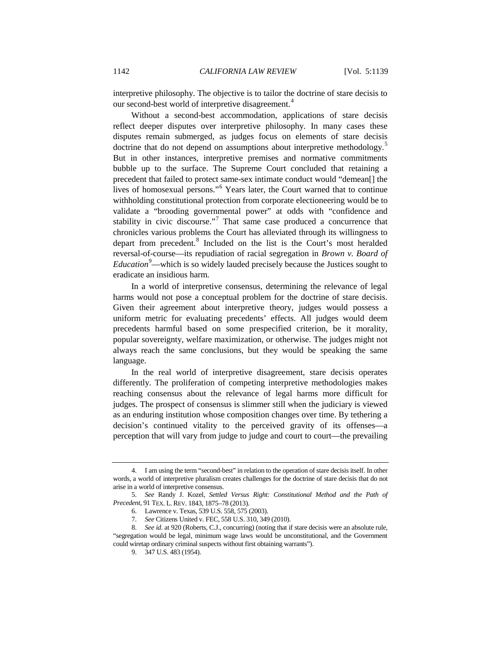interpretive philosophy. The objective is to tailor the doctrine of stare decisis to our second-best world of interpretive disagreement.<sup>[4](#page-3-0)</sup>

<span id="page-3-6"></span>Without a second-best accommodation, applications of stare decisis reflect deeper disputes over interpretive philosophy. In many cases these disputes remain submerged, as judges focus on elements of stare decisis doctrine that do not depend on assumptions about interpretive methodology.<sup>[5](#page-3-1)</sup> But in other instances, interpretive premises and normative commitments bubble up to the surface. The Supreme Court concluded that retaining a precedent that failed to protect same-sex intimate conduct would "demean[] the lives of homosexual persons."[6](#page-3-2) Years later, the Court warned that to continue withholding constitutional protection from corporate electioneering would be to validate a "brooding governmental power" at odds with "confidence and stability in civic discourse."<sup>[7](#page-3-3)</sup> That same case produced a concurrence that chronicles various problems the Court has alleviated through its willingness to depart from precedent.<sup>[8](#page-3-4)</sup> Included on the list is the Court's most heralded reversal-of-course—its repudiation of racial segregation in *Brown v. Board of Education*[9](#page-3-5) —which is so widely lauded precisely because the Justices sought to eradicate an insidious harm.

In a world of interpretive consensus, determining the relevance of legal harms would not pose a conceptual problem for the doctrine of stare decisis. Given their agreement about interpretive theory, judges would possess a uniform metric for evaluating precedents' effects. All judges would deem precedents harmful based on some prespecified criterion, be it morality, popular sovereignty, welfare maximization, or otherwise. The judges might not always reach the same conclusions, but they would be speaking the same language.

In the real world of interpretive disagreement, stare decisis operates differently. The proliferation of competing interpretive methodologies makes reaching consensus about the relevance of legal harms more difficult for judges. The prospect of consensus is slimmer still when the judiciary is viewed as an enduring institution whose composition changes over time. By tethering a decision's continued vitality to the perceived gravity of its offenses—a perception that will vary from judge to judge and court to court—the prevailing

<span id="page-3-0"></span><sup>4.</sup> I am using the term "second-best" in relation to the operation of stare decisis itself. In other words, a world of interpretive pluralism creates challenges for the doctrine of stare decisis that do not arise in a world of interpretive consensus.

<span id="page-3-2"></span><span id="page-3-1"></span><sup>5.</sup> *See* Randy J. Kozel, *Settled Versus Right: Constitutional Method and the Path of Precedent*, 91 TEX. L. REV. 1843, 1875–78 (2013).

<sup>6.</sup> Lawrence v. Texas, 539 U.S. 558, 575 (2003).

<sup>7.</sup> *See* Citizens United v. FEC, 558 U.S. 310, 349 (2010).

<span id="page-3-5"></span><span id="page-3-4"></span><span id="page-3-3"></span><sup>8.</sup> *See id.* at 920 (Roberts, C.J., concurring) (noting that if stare decisis were an absolute rule, "segregation would be legal, minimum wage laws would be unconstitutional, and the Government could wiretap ordinary criminal suspects without first obtaining warrants").

<sup>9.</sup> 347 U.S. 483 (1954).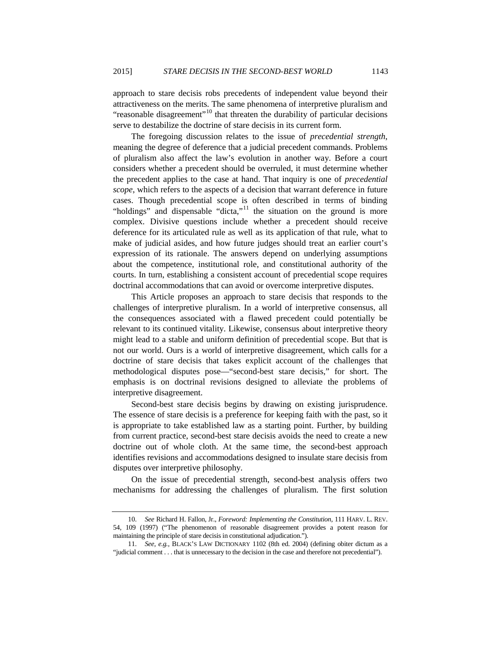<span id="page-4-2"></span>approach to stare decisis robs precedents of independent value beyond their attractiveness on the merits. The same phenomena of interpretive pluralism and "reasonable disagreement"<sup>[10](#page-4-0)</sup> that threaten the durability of particular decisions serve to destabilize the doctrine of stare decisis in its current form.

The foregoing discussion relates to the issue of *precedential strength*, meaning the degree of deference that a judicial precedent commands. Problems of pluralism also affect the law's evolution in another way. Before a court considers whether a precedent should be overruled, it must determine whether the precedent applies to the case at hand. That inquiry is one of *precedential scope*, which refers to the aspects of a decision that warrant deference in future cases. Though precedential scope is often described in terms of binding "holdings" and dispensable "dicta,"<sup>[11](#page-4-1)</sup> the situation on the ground is more complex. Divisive questions include whether a precedent should receive deference for its articulated rule as well as its application of that rule, what to make of judicial asides, and how future judges should treat an earlier court's expression of its rationale. The answers depend on underlying assumptions about the competence, institutional role, and constitutional authority of the courts. In turn, establishing a consistent account of precedential scope requires doctrinal accommodations that can avoid or overcome interpretive disputes.

This Article proposes an approach to stare decisis that responds to the challenges of interpretive pluralism. In a world of interpretive consensus, all the consequences associated with a flawed precedent could potentially be relevant to its continued vitality. Likewise, consensus about interpretive theory might lead to a stable and uniform definition of precedential scope. But that is not our world. Ours is a world of interpretive disagreement, which calls for a doctrine of stare decisis that takes explicit account of the challenges that methodological disputes pose—"second-best stare decisis," for short. The emphasis is on doctrinal revisions designed to alleviate the problems of interpretive disagreement.

Second-best stare decisis begins by drawing on existing jurisprudence. The essence of stare decisis is a preference for keeping faith with the past, so it is appropriate to take established law as a starting point. Further, by building from current practice, second-best stare decisis avoids the need to create a new doctrine out of whole cloth. At the same time, the second-best approach identifies revisions and accommodations designed to insulate stare decisis from disputes over interpretive philosophy.

On the issue of precedential strength, second-best analysis offers two mechanisms for addressing the challenges of pluralism. The first solution

<span id="page-4-0"></span><sup>10.</sup> *See* Richard H. Fallon, Jr., *Foreword: Implementing the Constitution*, 111 HARV. L. REV. 54, 109 (1997) ("The phenomenon of reasonable disagreement provides a potent reason for maintaining the principle of stare decisis in constitutional adjudication.").

<span id="page-4-1"></span><sup>11.</sup> *See, e.g.*, BLACK'S LAW DICTIONARY 1102 (8th ed. 2004) (defining obiter dictum as a "judicial comment . . . that is unnecessary to the decision in the case and therefore not precedential").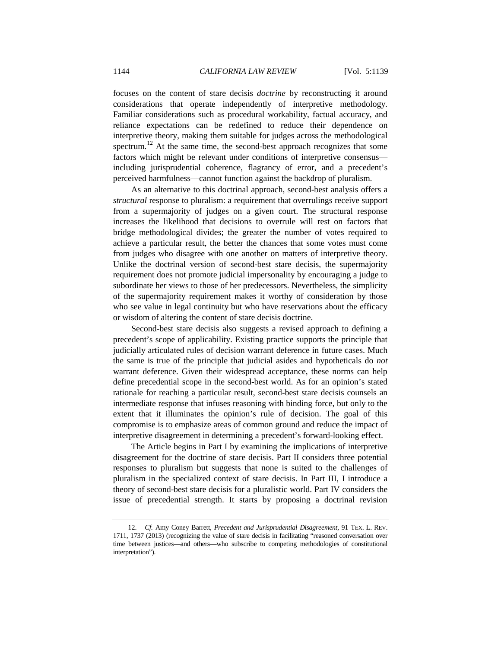focuses on the content of stare decisis *doctrine* by reconstructing it around considerations that operate independently of interpretive methodology. Familiar considerations such as procedural workability, factual accuracy, and reliance expectations can be redefined to reduce their dependence on interpretive theory, making them suitable for judges across the methodological spectrum.<sup>[12](#page-5-0)</sup> At the same time, the second-best approach recognizes that some factors which might be relevant under conditions of interpretive consensus including jurisprudential coherence, flagrancy of error, and a precedent's perceived harmfulness—cannot function against the backdrop of pluralism.

<span id="page-5-1"></span>As an alternative to this doctrinal approach, second-best analysis offers a *structural* response to pluralism: a requirement that overrulings receive support from a supermajority of judges on a given court. The structural response increases the likelihood that decisions to overrule will rest on factors that bridge methodological divides; the greater the number of votes required to achieve a particular result, the better the chances that some votes must come from judges who disagree with one another on matters of interpretive theory. Unlike the doctrinal version of second-best stare decisis, the supermajority requirement does not promote judicial impersonality by encouraging a judge to subordinate her views to those of her predecessors. Nevertheless, the simplicity of the supermajority requirement makes it worthy of consideration by those who see value in legal continuity but who have reservations about the efficacy or wisdom of altering the content of stare decisis doctrine.

Second-best stare decisis also suggests a revised approach to defining a precedent's scope of applicability. Existing practice supports the principle that judicially articulated rules of decision warrant deference in future cases. Much the same is true of the principle that judicial asides and hypotheticals do *not* warrant deference. Given their widespread acceptance, these norms can help define precedential scope in the second-best world. As for an opinion's stated rationale for reaching a particular result, second-best stare decisis counsels an intermediate response that infuses reasoning with binding force, but only to the extent that it illuminates the opinion's rule of decision. The goal of this compromise is to emphasize areas of common ground and reduce the impact of interpretive disagreement in determining a precedent's forward-looking effect.

The Article begins in Part I by examining the implications of interpretive disagreement for the doctrine of stare decisis. Part II considers three potential responses to pluralism but suggests that none is suited to the challenges of pluralism in the specialized context of stare decisis. In Part III, I introduce a theory of second-best stare decisis for a pluralistic world. Part IV considers the issue of precedential strength. It starts by proposing a doctrinal revision

<span id="page-5-0"></span><sup>12.</sup> *Cf.* Amy Coney Barrett, *Precedent and Jurisprudential Disagreement*, 91 TEX. L. REV. 1711, 1737 (2013) (recognizing the value of stare decisis in facilitating "reasoned conversation over time between justices—and others—who subscribe to competing methodologies of constitutional interpretation").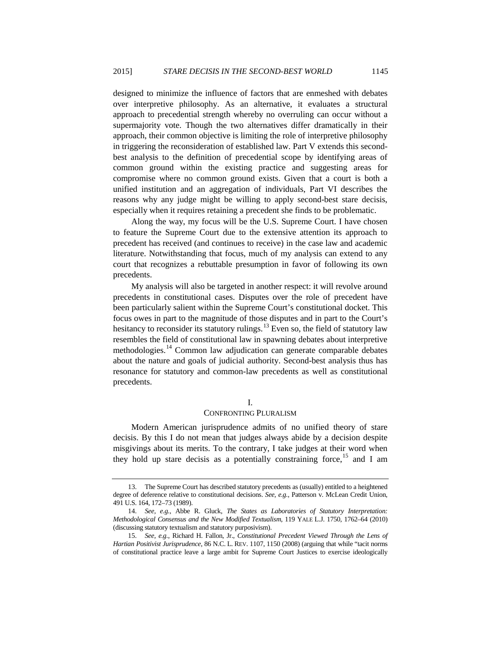designed to minimize the influence of factors that are enmeshed with debates over interpretive philosophy. As an alternative, it evaluates a structural approach to precedential strength whereby no overruling can occur without a supermajority vote. Though the two alternatives differ dramatically in their approach, their common objective is limiting the role of interpretive philosophy in triggering the reconsideration of established law. Part V extends this secondbest analysis to the definition of precedential scope by identifying areas of common ground within the existing practice and suggesting areas for compromise where no common ground exists. Given that a court is both a unified institution and an aggregation of individuals, Part VI describes the reasons why any judge might be willing to apply second-best stare decisis, especially when it requires retaining a precedent she finds to be problematic.

Along the way, my focus will be the U.S. Supreme Court. I have chosen to feature the Supreme Court due to the extensive attention its approach to precedent has received (and continues to receive) in the case law and academic literature. Notwithstanding that focus, much of my analysis can extend to any court that recognizes a rebuttable presumption in favor of following its own precedents.

My analysis will also be targeted in another respect: it will revolve around precedents in constitutional cases. Disputes over the role of precedent have been particularly salient within the Supreme Court's constitutional docket. This focus owes in part to the magnitude of those disputes and in part to the Court's hesitancy to reconsider its statutory rulings.<sup>[13](#page-6-0)</sup> Even so, the field of statutory law resembles the field of constitutional law in spawning debates about interpretive methodologies.[14](#page-6-1) Common law adjudication can generate comparable debates about the nature and goals of judicial authority. Second-best analysis thus has resonance for statutory and common-law precedents as well as constitutional precedents.

# <span id="page-6-3"></span>I.

# CONFRONTING PLURALISM

Modern American jurisprudence admits of no unified theory of stare decisis. By this I do not mean that judges always abide by a decision despite misgivings about its merits. To the contrary, I take judges at their word when they hold up stare decisis as a potentially constraining force,<sup>[15](#page-6-2)</sup> and I am

<span id="page-6-0"></span><sup>13.</sup> The Supreme Court has described statutory precedents as (usually) entitled to a heightened degree of deference relative to constitutional decisions. *See, e.g.*, Patterson v. McLean Credit Union, 491 U.S. 164, 172–73 (1989).

<span id="page-6-1"></span><sup>14.</sup> *See, e.g.*, Abbe R. Gluck, *The States as Laboratories of Statutory Interpretation: Methodological Consensus and the New Modified Textualism*, 119 YALE L.J. 1750, 1762–64 (2010) (discussing statutory textualism and statutory purposivism).

<span id="page-6-2"></span><sup>15.</sup> *See, e.g.*, Richard H. Fallon, Jr., *Constitutional Precedent Viewed Through the Lens of Hartian Positivist Jurisprudence*, 86 N.C. L. REV. 1107, 1150 (2008) (arguing that while "tacit norms of constitutional practice leave a large ambit for Supreme Court Justices to exercise ideologically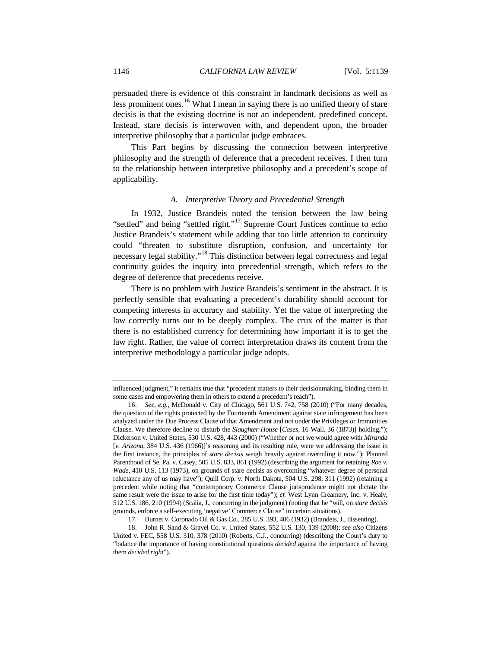persuaded there is evidence of this constraint in landmark decisions as well as less prominent ones.<sup>[16](#page-7-0)</sup> What I mean in saying there is no unified theory of stare decisis is that the existing doctrine is not an independent, predefined concept. Instead, stare decisis is interwoven with, and dependent upon, the broader interpretive philosophy that a particular judge embraces.

This Part begins by discussing the connection between interpretive philosophy and the strength of deference that a precedent receives. I then turn to the relationship between interpretive philosophy and a precedent's scope of applicability.

## *A. Interpretive Theory and Precedential Strength*

In 1932, Justice Brandeis noted the tension between the law being "settled" and being "settled right."<sup>[17](#page-7-1)</sup> Supreme Court Justices continue to echo Justice Brandeis's statement while adding that too little attention to continuity could "threaten to substitute disruption, confusion, and uncertainty for necessary legal stability."<sup>[18](#page-7-2)</sup> This distinction between legal correctness and legal continuity guides the inquiry into precedential strength, which refers to the degree of deference that precedents receive.

There is no problem with Justice Brandeis's sentiment in the abstract. It is perfectly sensible that evaluating a precedent's durability should account for competing interests in accuracy and stability. Yet the value of interpreting the law correctly turns out to be deeply complex. The crux of the matter is that there is no established currency for determining how important it is to get the law right. Rather, the value of correct interpretation draws its content from the interpretive methodology a particular judge adopts.

influenced judgment," it remains true that "precedent matters to their decisionmaking, binding them in some cases and empowering them in others to extend a precedent's reach").

<span id="page-7-0"></span><sup>16.</sup> *See, e.g.*, McDonald v. City of Chicago, 561 U.S. 742, 758 (2010) ("For many decades, the question of the rights protected by the Fourteenth Amendment against state infringement has been analyzed under the Due Process Clause of that Amendment and not under the Privileges or Immunities Clause. We therefore decline to disturb the *Slaughter-House* [*Cases*, 16 Wall. 36 (1873)] holding."); Dickerson v. United States, 530 U.S. 428, 443 (2000) ("Whether or not we would agree with *Miranda*  [*v. Arizona*, 384 U.S. 436 (1966)]'s reasoning and its resulting rule, were we addressing the issue in the first instance, the principles of *stare decisis* weigh heavily against overruling it now."); Planned Parenthood of Se. Pa. v. Casey, 505 U.S. 833, 861 (1992) (describing the argument for retaining *Roe v. Wade*, 410 U.S. 113 (1973), on grounds of stare decisis as overcoming "whatever degree of personal reluctance any of us may have"); Quill Corp. v. North Dakota, 504 U.S. 298, 311 (1992) (retaining a precedent while noting that "contemporary Commerce Clause jurisprudence might not dictate the same result were the issue to arise for the first time today"); *cf.* West Lynn Creamery, Inc. v. Healy, 512 U.S. 186, 210 (1994) (Scalia, J., concurring in the judgment) (noting that he "will, on *stare decisis* grounds, enforce a self-executing 'negative' Commerce Clause" in certain situations).

<sup>17.</sup> Burnet v. Coronado Oil & Gas Co., 285 U.S. 393, 406 (1932) (Brandeis, J., dissenting).

<span id="page-7-2"></span><span id="page-7-1"></span><sup>18.</sup> John R. Sand & Gravel Co. v. United States, 552 U.S. 130, 139 (2008); *see also* Citizens United v. FEC, 558 U.S. 310, 378 (2010) (Roberts, C.J., concurring) (describing the Court's duty to "balance the importance of having constitutional questions *decided* against the importance of having them *decided right*").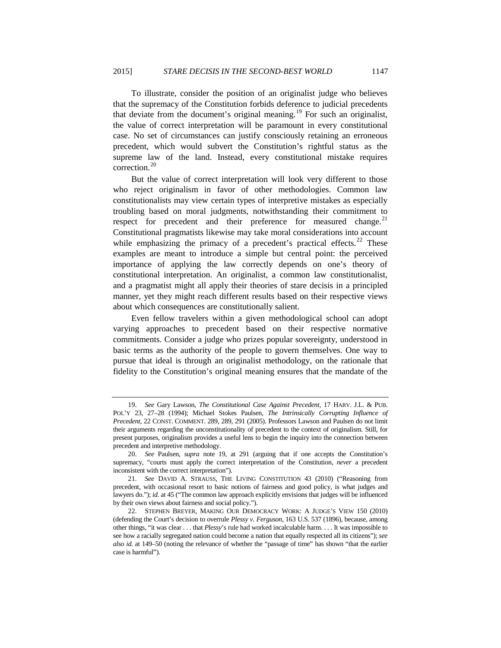<span id="page-8-0"></span>To illustrate, consider the position of an originalist judge who believes that the supremacy of the Constitution forbids deference to judicial precedents that deviate from the document's original meaning.<sup>[19](#page-8-1)</sup> For such an originalist, the value of correct interpretation will be paramount in every constitutional case. No set of circumstances can justify consciously retaining an erroneous precedent, which would subvert the Constitution's rightful status as the supreme law of the land. Instead, every constitutional mistake requires correction.<sup>[20](#page-8-2)</sup>

<span id="page-8-6"></span><span id="page-8-5"></span>But the value of correct interpretation will look very different to those who reject originalism in favor of other methodologies. Common law constitutionalists may view certain types of interpretive mistakes as especially troubling based on moral judgments, notwithstanding their commitment to respect for precedent and their preference for measured change. $^{21}$  $^{21}$  $^{21}$ Constitutional pragmatists likewise may take moral considerations into account while emphasizing the primacy of a precedent's practical effects. $22$  These examples are meant to introduce a simple but central point: the perceived importance of applying the law correctly depends on one's theory of constitutional interpretation. An originalist, a common law constitutionalist, and a pragmatist might all apply their theories of stare decisis in a principled manner, yet they might reach different results based on their respective views about which consequences are constitutionally salient.

Even fellow travelers within a given methodological school can adopt varying approaches to precedent based on their respective normative commitments. Consider a judge who prizes popular sovereignty, understood in basic terms as the authority of the people to govern themselves. One way to pursue that ideal is through an originalist methodology, on the rationale that fidelity to the Constitution's original meaning ensures that the mandate of the

<span id="page-8-1"></span><sup>19.</sup> *See* Gary Lawson, *The Constitutional Case Against Precedent*, 17 HARV. J.L. & PUB. POL'Y 23, 27–28 (1994); Michael Stokes Paulsen, *The Intrinsically Corrupting Influence of Precedent*, 22 CONST. COMMENT. 289, 289, 291 (2005). Professors Lawson and Paulsen do not limit their arguments regarding the unconstitutionality of precedent to the context of originalism. Still, for present purposes, originalism provides a useful lens to begin the inquiry into the connection between precedent and interpretive methodology.

<span id="page-8-2"></span><sup>20.</sup> *See* Paulsen, *supra* note [19,](#page-8-0) at 291 (arguing that if one accepts the Constitution's supremacy, "courts must apply the correct interpretation of the Constitution, *never* a precedent inconsistent with the correct interpretation").

<span id="page-8-3"></span><sup>21.</sup> *See* DAVID A. STRAUSS, THE LIVING CONSTITUTION 43 (2010) ("Reasoning from precedent, with occasional resort to basic notions of fairness and good policy, is what judges and lawyers do."); *id.* at 45 ("The common law approach explicitly envisions that judges will be influenced by their own views about fairness and social policy.").

<span id="page-8-4"></span><sup>22.</sup> STEPHEN BREYER, MAKING OUR DEMOCRACY WORK: A JUDGE'S VIEW 150 (2010) (defending the Court's decision to overrule *Plessy v. Ferguson*, 163 U.S. 537 (1896), because, among other things, "it was clear . . . that *Plessy*'s rule had worked incalculable harm. . . . It was impossible to see how a racially segregated nation could become a nation that equally respected all its citizens"); *see also id.* at 149–50 (noting the relevance of whether the "passage of time" has shown "that the earlier case is harmful").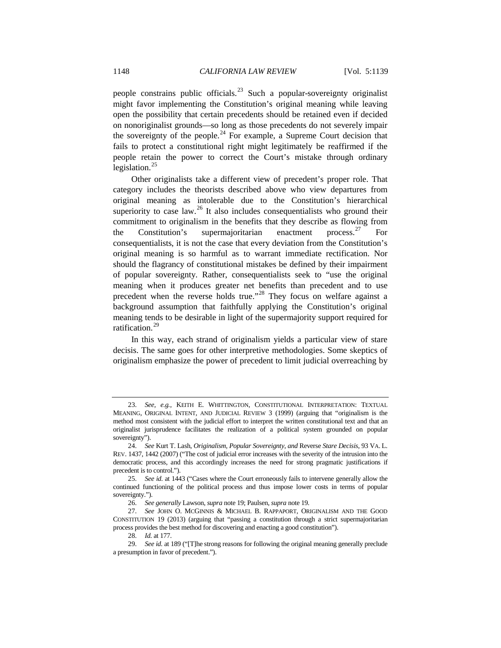<span id="page-9-7"></span>people constrains public officials.<sup>[23](#page-9-0)</sup> Such a popular-sovereignty originalist might favor implementing the Constitution's original meaning while leaving open the possibility that certain precedents should be retained even if decided on nonoriginalist grounds—so long as those precedents do not severely impair the sovereignty of the people.<sup>[24](#page-9-1)</sup> For example, a Supreme Court decision that fails to protect a constitutional right might legitimately be reaffirmed if the people retain the power to correct the Court's mistake through ordinary legislation. $^{25}$  $^{25}$  $^{25}$ 

<span id="page-9-8"></span>Other originalists take a different view of precedent's proper role. That category includes the theorists described above who view departures from original meaning as intolerable due to the Constitution's hierarchical superiority to case law.<sup>[26](#page-9-3)</sup> It also includes consequentialists who ground their commitment to originalism in the benefits that they describe as flowing from the Constitution's supermajoritarian enactment process.<sup>[27](#page-9-4)</sup> For consequentialists, it is not the case that every deviation from the Constitution's original meaning is so harmful as to warrant immediate rectification. Nor should the flagrancy of constitutional mistakes be defined by their impairment of popular sovereignty. Rather, consequentialists seek to "use the original meaning when it produces greater net benefits than precedent and to use precedent when the reverse holds true."<sup>[28](#page-9-5)</sup> They focus on welfare against a background assumption that faithfully applying the Constitution's original meaning tends to be desirable in light of the supermajority support required for ratification.<sup>[29](#page-9-6)</sup>

In this way, each strand of originalism yields a particular view of stare decisis. The same goes for other interpretive methodologies. Some skeptics of originalism emphasize the power of precedent to limit judicial overreaching by

<span id="page-9-0"></span><sup>23.</sup> *See, e.g.*, KEITH E. WHITTINGTON, CONSTITUTIONAL INTERPRETATION: TEXTUAL MEANING, ORIGINAL INTENT, AND JUDICIAL REVIEW 3 (1999) (arguing that "originalism is the method most consistent with the judicial effort to interpret the written constitutional text and that an originalist jurisprudence facilitates the realization of a political system grounded on popular sovereignty").

<span id="page-9-1"></span><sup>24.</sup> *See* Kurt T. Lash, *Originalism, Popular Sovereignty, and* Reverse *Stare Decisis*, 93 VA. L. REV. 1437, 1442 (2007) ("The cost of judicial error increases with the severity of the intrusion into the democratic process, and this accordingly increases the need for strong pragmatic justifications if precedent is to control.").

<span id="page-9-2"></span><sup>25.</sup> *See id.* at 1443 ("Cases where the Court erroneously fails to intervene generally allow the continued functioning of the political process and thus impose lower costs in terms of popular sovereignty.").

<sup>26.</sup> *See generally* Lawson, *supra* not[e 19;](#page-8-0) Paulsen, *supra* not[e 19.](#page-8-0)

<span id="page-9-4"></span><span id="page-9-3"></span><sup>27.</sup> *See* JOHN O. MCGINNIS & MICHAEL B. RAPPAPORT, ORIGINALISM AND THE GOOD CONSTITUTION 19 (2013) (arguing that "passing a constitution through a strict supermajoritarian process provides the best method for discovering and enacting a good constitution").

<sup>28.</sup> *Id.* at 177.

<span id="page-9-6"></span><span id="page-9-5"></span><sup>29.</sup> *See id.* at 189 ("[T]he strong reasons for following the original meaning generally preclude a presumption in favor of precedent.").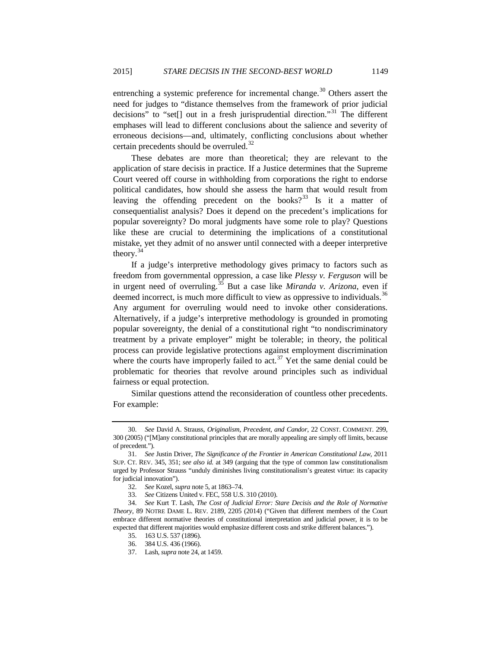<span id="page-10-8"></span>entrenching a systemic preference for incremental change.<sup>[30](#page-10-0)</sup> Others assert the need for judges to "distance themselves from the framework of prior judicial decisions" to "set[] out in a fresh jurisprudential direction."<sup>[31](#page-10-1)</sup> The different emphases will lead to different conclusions about the salience and severity of erroneous decisions—and, ultimately, conflicting conclusions about whether certain precedents should be overruled.<sup>[32](#page-10-2)</sup>

These debates are more than theoretical; they are relevant to the application of stare decisis in practice. If a Justice determines that the Supreme Court veered off course in withholding from corporations the right to endorse political candidates, how should she assess the harm that would result from leaving the offending precedent on the books?<sup>[33](#page-10-3)</sup> Is it a matter of consequentialist analysis? Does it depend on the precedent's implications for popular sovereignty? Do moral judgments have some role to play? Questions like these are crucial to determining the implications of a constitutional mistake, yet they admit of no answer until connected with a deeper interpretive theory.[34](#page-10-4)

<span id="page-10-9"></span>If a judge's interpretive methodology gives primacy to factors such as freedom from governmental oppression, a case like *Plessy v. Ferguson* will be in urgent need of overruling.[35](#page-10-5) But a case like *Miranda v. Arizona*, even if deemed incorrect, is much more difficult to view as oppressive to individuals.<sup>[36](#page-10-6)</sup> Any argument for overruling would need to invoke other considerations. Alternatively, if a judge's interpretive methodology is grounded in promoting popular sovereignty, the denial of a constitutional right "to nondiscriminatory treatment by a private employer" might be tolerable; in theory, the political process can provide legislative protections against employment discrimination where the courts have improperly failed to act.<sup>[37](#page-10-7)</sup> Yet the same denial could be problematic for theories that revolve around principles such as individual fairness or equal protection.

Similar questions attend the reconsideration of countless other precedents. For example:

<span id="page-10-0"></span><sup>30.</sup> *See* David A. Strauss, *Originalism, Precedent, and Candor*, 22 CONST. COMMENT. 299, 300 (2005) ("[M]any constitutional principles that are morally appealing are simply off limits, because of precedent.").

<span id="page-10-1"></span><sup>31.</sup> *See* Justin Driver, *The Significance of the Frontier in American Constitutional Law*, 2011 SUP. CT. REV. 345, 351; *see also id.* at 349 (arguing that the type of common law constitutionalism urged by Professor Strauss "unduly diminishes living constitutionalism's greatest virtue: its capacity for judicial innovation").

<sup>32.</sup> *See* Kozel, *supra* not[e 5,](#page-3-6) at 1863–74.

<sup>33.</sup> *See* Citizens United v. FEC, 558 U.S. 310 (2010).

<span id="page-10-7"></span><span id="page-10-6"></span><span id="page-10-5"></span><span id="page-10-4"></span><span id="page-10-3"></span><span id="page-10-2"></span><sup>34.</sup> *See* Kurt T. Lash, *The Cost of Judicial Error: Stare Decisis and the Role of Normative Theory*, 89 NOTRE DAME L. REV. 2189, 2205 (2014) ("Given that different members of the Court embrace different normative theories of constitutional interpretation and judicial power, it is to be expected that different majorities would emphasize different costs and strike different balances.").

<sup>35.</sup> 163 U.S. 537 (1896).

<sup>36.</sup> 384 U.S. 436 (1966).

<sup>37.</sup> Lash, *supra* not[e 24,](#page-9-7) at 1459.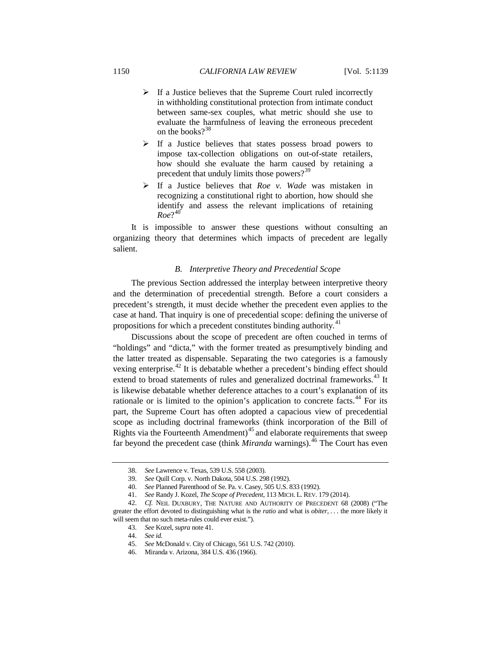- $\triangleright$  If a Justice believes that the Supreme Court ruled incorrectly in withholding constitutional protection from intimate conduct between same-sex couples, what metric should she use to evaluate the harmfulness of leaving the erroneous precedent on the books?<sup>[38](#page-11-1)</sup>
- $\triangleright$  If a Justice believes that states possess broad powers to impose tax-collection obligations on out-of-state retailers, how should she evaluate the harm caused by retaining a precedent that unduly limits those powers?<sup>[39](#page-11-2)</sup>
- If a Justice believes that *Roe v. Wade* was mistaken in recognizing a constitutional right to abortion, how should she identify and assess the relevant implications of retaining  $Roe?^{40}$  $Roe?^{40}$  $Roe?^{40}$

It is impossible to answer these questions without consulting an organizing theory that determines which impacts of precedent are legally salient.

# <span id="page-11-0"></span>*B. Interpretive Theory and Precedential Scope*

The previous Section addressed the interplay between interpretive theory and the determination of precedential strength. Before a court considers a precedent's strength, it must decide whether the precedent even applies to the case at hand. That inquiry is one of precedential scope: defining the universe of propositions for which a precedent constitutes binding authority.<sup>[41](#page-11-4)</sup>

<span id="page-11-10"></span>Discussions about the scope of precedent are often couched in terms of "holdings" and "dicta," with the former treated as presumptively binding and the latter treated as dispensable. Separating the two categories is a famously vexing enterprise.<sup>[42](#page-11-5)</sup> It is debatable whether a precedent's binding effect should extend to broad statements of rules and generalized doctrinal frameworks.<sup>[43](#page-11-6)</sup> It is likewise debatable whether deference attaches to a court's explanation of its rationale or is limited to the opinion's application to concrete facts.<sup>[44](#page-11-7)</sup> For its part, the Supreme Court has often adopted a capacious view of precedential scope as including doctrinal frameworks (think incorporation of the Bill of Rights via the Fourteenth Amendment)<sup>[45](#page-11-8)</sup> and elaborate requirements that sweep far beyond the precedent case (think *Miranda* warnings).<sup>[46](#page-11-9)</sup> The Court has even

<sup>38.</sup> *See* Lawrence v. Texas, 539 U.S. 558 (2003).

<sup>39.</sup> *See* Quill Corp. v. North Dakota, 504 U.S. 298 (1992).

<sup>40.</sup> *See* Planned Parenthood of Se. Pa. v. Casey, 505 U.S. 833 (1992).

<sup>41.</sup> *See* Randy J. Kozel, *The Scope of Precedent*, 113 MICH. L. REV. 179 (2014).

<span id="page-11-9"></span><span id="page-11-8"></span><span id="page-11-7"></span><span id="page-11-6"></span><span id="page-11-5"></span><span id="page-11-4"></span><span id="page-11-3"></span><span id="page-11-2"></span><span id="page-11-1"></span><sup>42.</sup> *Cf.* NEIL DUXBURY, THE NATURE AND AUTHORITY OF PRECEDENT 68 (2008) ("The greater the effort devoted to distinguishing what is the *ratio* and what is *obiter*, . . . the more likely it will seem that no such meta-rules could ever exist.").

<sup>43.</sup> *See* Kozel, *supra* not[e 41.](#page-11-0)

<sup>44.</sup> *See id.*

<sup>45.</sup> *See* McDonald v. City of Chicago, 561 U.S. 742 (2010).

<sup>46.</sup> Miranda v. Arizona, 384 U.S. 436 (1966).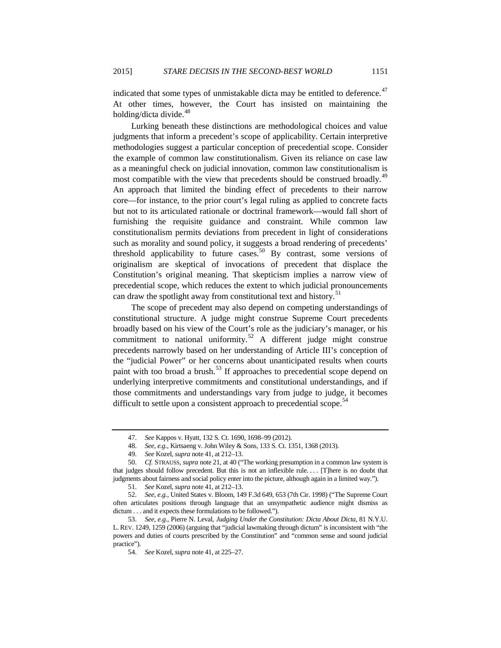indicated that some types of unmistakable dicta may be entitled to deference.<sup>[47](#page-12-0)</sup> At other times, however, the Court has insisted on maintaining the holding/dicta divide.<sup>[48](#page-12-1)</sup>

Lurking beneath these distinctions are methodological choices and value judgments that inform a precedent's scope of applicability. Certain interpretive methodologies suggest a particular conception of precedential scope. Consider the example of common law constitutionalism. Given its reliance on case law as a meaningful check on judicial innovation, common law constitutionalism is most compatible with the view that precedents should be construed broadly.<sup>[49](#page-12-2)</sup> An approach that limited the binding effect of precedents to their narrow core—for instance, to the prior court's legal ruling as applied to concrete facts but not to its articulated rationale or doctrinal framework—would fall short of furnishing the requisite guidance and constraint. While common law constitutionalism permits deviations from precedent in light of considerations such as morality and sound policy, it suggests a broad rendering of precedents' threshold applicability to future cases.<sup>[50](#page-12-3)</sup> By contrast, some versions of originalism are skeptical of invocations of precedent that displace the Constitution's original meaning. That skepticism implies a narrow view of precedential scope, which reduces the extent to which judicial pronouncements can draw the spotlight away from constitutional text and history.<sup>[51](#page-12-4)</sup>

The scope of precedent may also depend on competing understandings of constitutional structure. A judge might construe Supreme Court precedents broadly based on his view of the Court's role as the judiciary's manager, or his commitment to national uniformity.<sup>[52](#page-12-5)</sup> A different judge might construe precedents narrowly based on her understanding of Article III's conception of the "judicial Power" or her concerns about unanticipated results when courts paint with too broad a brush.<sup>[53](#page-12-6)</sup> If approaches to precedential scope depend on underlying interpretive commitments and constitutional understandings, and if those commitments and understandings vary from judge to judge, it becomes difficult to settle upon a consistent approach to precedential scope.<sup>[54](#page-12-7)</sup>

<span id="page-12-8"></span><sup>47.</sup> *See* Kappos v. Hyatt, 132 S. Ct. 1690, 1698–99 (2012).

<sup>48.</sup> *See, e.g.*, Kirtsaeng v. John Wiley & Sons, 133 S. Ct. 1351, 1368 (2013).

<sup>49.</sup> *See* Kozel, *supra* not[e 41,](#page-11-0) at 212–13.

<span id="page-12-3"></span><span id="page-12-2"></span><span id="page-12-1"></span><span id="page-12-0"></span><sup>50.</sup> *Cf.* STRAUSS, *supra* not[e 21,](#page-8-5) at 40 ("The working presumption in a common law system is that judges should follow precedent. But this is not an inflexible rule. . . . [T]here is no doubt that judgments about fairness and social policy enter into the picture, although again in a limited way.").

<sup>51.</sup> *See* Kozel, *supra* not[e 41,](#page-11-0) at 212–13.

<span id="page-12-5"></span><span id="page-12-4"></span><sup>52.</sup> *See, e.g.*, United States v. Bloom, 149 F.3d 649, 653 (7th Cir. 1998) ("The Supreme Court often articulates positions through language that an unsympathetic audience might dismiss as dictum . . . and it expects these formulations to be followed.").

<span id="page-12-7"></span><span id="page-12-6"></span><sup>53.</sup> *See, e.g.*, Pierre N. Leval, *Judging Under the Constitution: Dicta About Dicta*, 81 N.Y.U. L. REV. 1249, 1259 (2006) (arguing that "judicial lawmaking through dictum" is inconsistent with "the powers and duties of courts prescribed by the Constitution" and "common sense and sound judicial practice").

<sup>54.</sup> *See* Kozel, *supra* not[e 41,](#page-11-0) at 225–27.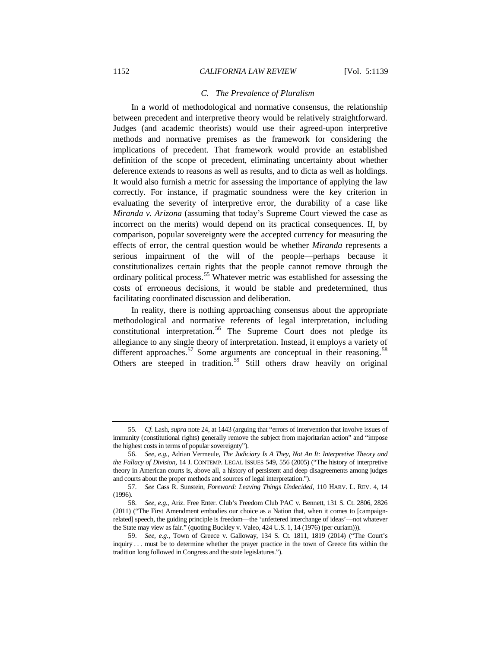# *C. The Prevalence of Pluralism*

In a world of methodological and normative consensus, the relationship between precedent and interpretive theory would be relatively straightforward. Judges (and academic theorists) would use their agreed-upon interpretive methods and normative premises as the framework for considering the implications of precedent. That framework would provide an established definition of the scope of precedent, eliminating uncertainty about whether deference extends to reasons as well as results, and to dicta as well as holdings. It would also furnish a metric for assessing the importance of applying the law correctly. For instance, if pragmatic soundness were the key criterion in evaluating the severity of interpretive error, the durability of a case like *Miranda v. Arizona* (assuming that today's Supreme Court viewed the case as incorrect on the merits) would depend on its practical consequences. If, by comparison, popular sovereignty were the accepted currency for measuring the effects of error, the central question would be whether *Miranda* represents a serious impairment of the will of the people—perhaps because it constitutionalizes certain rights that the people cannot remove through the ordinary political process.<sup>[55](#page-13-0)</sup> Whatever metric was established for assessing the costs of erroneous decisions, it would be stable and predetermined, thus facilitating coordinated discussion and deliberation.

<span id="page-13-5"></span>In reality, there is nothing approaching consensus about the appropriate methodological and normative referents of legal interpretation, including constitutional interpretation.<sup>[56](#page-13-1)</sup> The Supreme Court does not pledge its allegiance to any single theory of interpretation. Instead, it employs a variety of different approaches.<sup>[57](#page-13-2)</sup> Some arguments are conceptual in their reasoning.<sup>[58](#page-13-3)</sup> Others are steeped in tradition.<sup>[59](#page-13-4)</sup> Still others draw heavily on original

<span id="page-13-0"></span><sup>55</sup>*. Cf.* Lash, *supra* not[e 24,](#page-9-7) at 1443 (arguing that "errors of intervention that involve issues of immunity (constitutional rights) generally remove the subject from majoritarian action" and "impose the highest costs in terms of popular sovereignty").

<span id="page-13-1"></span><sup>56.</sup> *See, e.g.*, Adrian Vermeule, *The Judiciary Is A They, Not An It: Interpretive Theory and the Fallacy of Division*, 14 J. CONTEMP. LEGAL ISSUES 549, 556 (2005) ("The history of interpretive theory in American courts is, above all, a history of persistent and deep disagreements among judges and courts about the proper methods and sources of legal interpretation.").

<span id="page-13-2"></span><sup>57.</sup> *See* Cass R. Sunstein, *Foreword: Leaving Things Undecided*, 110 HARV. L. REV. 4, 14 (1996).

<span id="page-13-3"></span><sup>58.</sup> *See, e.g.*, Ariz. Free Enter. Club's Freedom Club PAC v. Bennett, 131 S. Ct. 2806, 2826 (2011) ("The First Amendment embodies our choice as a Nation that, when it comes to [campaignrelated] speech, the guiding principle is freedom—the 'unfettered interchange of ideas'—not whatever the State may view as fair." (quoting Buckley v. Valeo, 424 U.S. 1, 14 (1976) (per curiam))).

<span id="page-13-4"></span><sup>59.</sup> *See, e.g.*, Town of Greece v. Galloway, 134 S. Ct. 1811, 1819 (2014) ("The Court's inquiry . . . must be to determine whether the prayer practice in the town of Greece fits within the tradition long followed in Congress and the state legislatures.").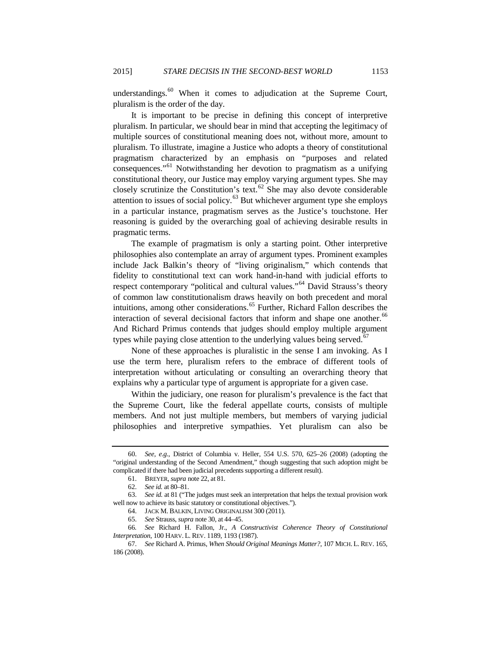understandings.<sup>[60](#page-14-0)</sup> When it comes to adjudication at the Supreme Court, pluralism is the order of the day.

It is important to be precise in defining this concept of interpretive pluralism. In particular, we should bear in mind that accepting the legitimacy of multiple sources of constitutional meaning does not, without more, amount to pluralism. To illustrate, imagine a Justice who adopts a theory of constitutional pragmatism characterized by an emphasis on "purposes and related consequences."[61](#page-14-1) Notwithstanding her devotion to pragmatism as a unifying constitutional theory, our Justice may employ varying argument types. She may closely scrutinize the Constitution's text. $62$  She may also devote considerable attention to issues of social policy.<sup>[63](#page-14-3)</sup> But whichever argument type she employs in a particular instance, pragmatism serves as the Justice's touchstone. Her reasoning is guided by the overarching goal of achieving desirable results in pragmatic terms.

The example of pragmatism is only a starting point. Other interpretive philosophies also contemplate an array of argument types. Prominent examples include Jack Balkin's theory of "living originalism," which contends that fidelity to constitutional text can work hand-in-hand with judicial efforts to respect contemporary "political and cultural values."[64](#page-14-4) David Strauss's theory of common law constitutionalism draws heavily on both precedent and moral intuitions, among other considerations.<sup>[65](#page-14-5)</sup> Further, Richard Fallon describes the interaction of several decisional factors that inform and shape one another.<sup>[66](#page-14-6)</sup> And Richard Primus contends that judges should employ multiple argument types while paying close attention to the underlying values being served.<sup>[67](#page-14-7)</sup>

None of these approaches is pluralistic in the sense I am invoking. As I use the term here, pluralism refers to the embrace of different tools of interpretation without articulating or consulting an overarching theory that explains why a particular type of argument is appropriate for a given case.

Within the judiciary, one reason for pluralism's prevalence is the fact that the Supreme Court, like the federal appellate courts, consists of multiple members. And not just multiple members, but members of varying judicial philosophies and interpretive sympathies. Yet pluralism can also be

<span id="page-14-0"></span><sup>60.</sup> *See, e.g.*, District of Columbia v. Heller, 554 U.S. 570, 625–26 (2008) (adopting the "original understanding of the Second Amendment," though suggesting that such adoption might be complicated if there had been judicial precedents supporting a different result).

<sup>61.</sup> BREYER, *supra* not[e 22,](#page-8-6) at 81.

<sup>62.</sup> *See id.* at 80–81.

<span id="page-14-3"></span><span id="page-14-2"></span><span id="page-14-1"></span><sup>63.</sup> *See id.* at 81 ("The judges must seek an interpretation that helps the textual provision work well now to achieve its basic statutory or constitutional objectives.").

<sup>64.</sup> JACK M. BALKIN, LIVING ORIGINALISM 300 (2011).

<sup>65.</sup> *See* Strauss, *supra* not[e 30,](#page-10-8) at 44–45.

<span id="page-14-6"></span><span id="page-14-5"></span><span id="page-14-4"></span><sup>66</sup>*. See* Richard H. Fallon, Jr., *A Constructivist Coherence Theory of Constitutional Interpretation*, 100 HARV. L. REV. 1189, 1193 (1987).

<span id="page-14-7"></span><sup>67.</sup> *See* Richard A. Primus, *When Should Original Meanings Matter?*, 107 MICH. L. REV. 165, 186 (2008).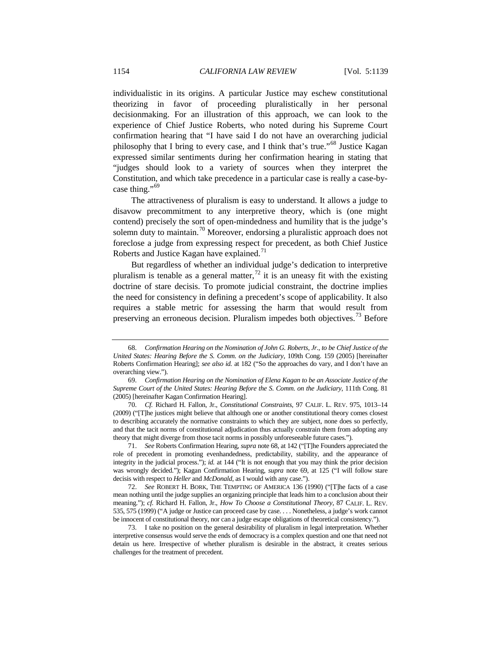<span id="page-15-0"></span>individualistic in its origins. A particular Justice may eschew constitutional theorizing in favor of proceeding pluralistically in her personal decisionmaking. For an illustration of this approach, we can look to the experience of Chief Justice Roberts, who noted during his Supreme Court confirmation hearing that "I have said I do not have an overarching judicial philosophy that I bring to every case, and I think that's true."[68](#page-15-2) Justice Kagan expressed similar sentiments during her confirmation hearing in stating that "judges should look to a variety of sources when they interpret the Constitution, and which take precedence in a particular case is really a case-by-case thing."<sup>[69](#page-15-3)</sup>

<span id="page-15-1"></span>The attractiveness of pluralism is easy to understand. It allows a judge to disavow precommitment to any interpretive theory, which is (one might contend) precisely the sort of open-mindedness and humility that is the judge's solemn duty to maintain.<sup>[70](#page-15-4)</sup> Moreover, endorsing a pluralistic approach does not foreclose a judge from expressing respect for precedent, as both Chief Justice Roberts and Justice Kagan have explained.<sup>[71](#page-15-5)</sup>

But regardless of whether an individual judge's dedication to interpretive pluralism is tenable as a general matter,  $^{72}$  $^{72}$  $^{72}$  it is an uneasy fit with the existing doctrine of stare decisis. To promote judicial constraint, the doctrine implies the need for consistency in defining a precedent's scope of applicability. It also requires a stable metric for assessing the harm that would result from preserving an erroneous decision. Pluralism impedes both objectives.<sup>[73](#page-15-7)</sup> Before

<span id="page-15-5"></span>71. *See* Roberts Confirmation Hearing, *supra* not[e 68,](#page-15-0) at 142 ("[T]he Founders appreciated the role of precedent in promoting evenhandedness, predictability, stability, and the appearance of integrity in the judicial process."); *id.* at 144 ("It is not enough that you may think the prior decision was wrongly decided."); Kagan Confirmation Hearing, *supra* note [69,](#page-15-1) at 125 ("I will follow stare decisis with respect to *Heller* and *McDonald*, as I would with any case.").

<span id="page-15-6"></span>72. *See* ROBERT H. BORK, THE TEMPTING OF AMERICA 136 (1990) ("[T]he facts of a case mean nothing until the judge supplies an organizing principle that leads him to a conclusion about their meaning."); *cf.* Richard H. Fallon, Jr., *How To Choose a Constitutional Theory*, 87 CALIF. L. REV. 535, 575 (1999) ("A judge or Justice can proceed case by case. . . . Nonetheless, a judge's work cannot be innocent of constitutional theory, nor can a judge escape obligations of theoretical consistency.").

<span id="page-15-7"></span>73. I take no position on the general desirability of pluralism in legal interpretation. Whether interpretive consensus would serve the ends of democracy is a complex question and one that need not detain us here. Irrespective of whether pluralism is desirable in the abstract, it creates serious challenges for the treatment of precedent.

<span id="page-15-2"></span><sup>68.</sup> *Confirmation Hearing on the Nomination of John G. Roberts, Jr., to be Chief Justice of the United States: Hearing Before the S. Comm. on the Judiciary*, 109th Cong. 159 (2005) [hereinafter Roberts Confirmation Hearing]; *see also id.* at 182 ("So the approaches do vary, and I don't have an overarching view.").

<span id="page-15-3"></span><sup>69.</sup> *Confirmation Hearing on the Nomination of Elena Kagan to be an Associate Justice of the Supreme Court of the United States: Hearing Before the S. Comm. on the Judiciary*, 111th Cong. 81 (2005) [hereinafter Kagan Confirmation Hearing].

<span id="page-15-4"></span><sup>70.</sup> *Cf.* Richard H. Fallon, Jr., *Constitutional Constraints*, 97 CALIF. L. REV. 975, 1013–14 (2009) ("[T]he justices might believe that although one or another constitutional theory comes closest to describing accurately the normative constraints to which they are subject, none does so perfectly, and that the tacit norms of constitutional adjudication thus actually constrain them from adopting any theory that might diverge from those tacit norms in possibly unforeseeable future cases.").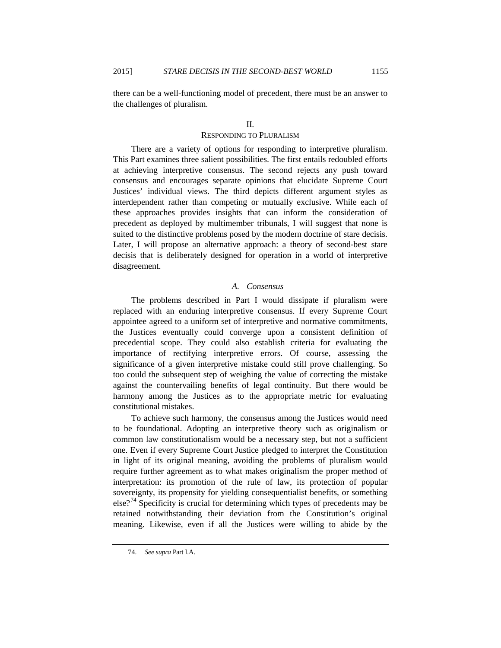there can be a well-functioning model of precedent, there must be an answer to the challenges of pluralism.

# II.

# RESPONDING TO PLURALISM

There are a variety of options for responding to interpretive pluralism. This Part examines three salient possibilities. The first entails redoubled efforts at achieving interpretive consensus. The second rejects any push toward consensus and encourages separate opinions that elucidate Supreme Court Justices' individual views. The third depicts different argument styles as interdependent rather than competing or mutually exclusive. While each of these approaches provides insights that can inform the consideration of precedent as deployed by multimember tribunals, I will suggest that none is suited to the distinctive problems posed by the modern doctrine of stare decisis. Later, I will propose an alternative approach: a theory of second-best stare decisis that is deliberately designed for operation in a world of interpretive disagreement.

## *A. Consensus*

The problems described in Part I would dissipate if pluralism were replaced with an enduring interpretive consensus. If every Supreme Court appointee agreed to a uniform set of interpretive and normative commitments, the Justices eventually could converge upon a consistent definition of precedential scope. They could also establish criteria for evaluating the importance of rectifying interpretive errors. Of course, assessing the significance of a given interpretive mistake could still prove challenging. So too could the subsequent step of weighing the value of correcting the mistake against the countervailing benefits of legal continuity. But there would be harmony among the Justices as to the appropriate metric for evaluating constitutional mistakes.

To achieve such harmony, the consensus among the Justices would need to be foundational. Adopting an interpretive theory such as originalism or common law constitutionalism would be a necessary step, but not a sufficient one. Even if every Supreme Court Justice pledged to interpret the Constitution in light of its original meaning, avoiding the problems of pluralism would require further agreement as to what makes originalism the proper method of interpretation: its promotion of the rule of law, its protection of popular sovereignty, its propensity for yielding consequentialist benefits, or something  $e^{i2^{74}}$  $e^{i2^{74}}$  $e^{i2^{74}}$  Specificity is crucial for determining which types of precedents may be retained notwithstanding their deviation from the Constitution's original meaning. Likewise, even if all the Justices were willing to abide by the

<span id="page-16-0"></span><sup>74.</sup> *See supra* Part I.A.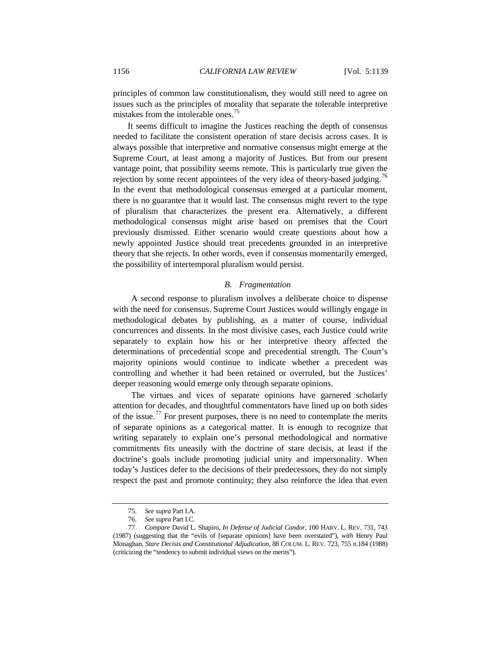principles of common law constitutionalism, they would still need to agree on issues such as the principles of morality that separate the tolerable interpretive mistakes from the intolerable ones.<sup>[75](#page-17-0)</sup>

It seems difficult to imagine the Justices reaching the depth of consensus needed to facilitate the consistent operation of stare decisis across cases. It is always possible that interpretive and normative consensus might emerge at the Supreme Court, at least among a majority of Justices. But from our present vantage point, that possibility seems remote. This is particularly true given the rejection by some recent appointees of the very idea of theory-based judging.<sup>[76](#page-17-1)</sup> In the event that methodological consensus emerged at a particular moment, there is no guarantee that it would last. The consensus might revert to the type of pluralism that characterizes the present era. Alternatively, a different methodological consensus might arise based on premises that the Court previously dismissed. Either scenario would create questions about how a newly appointed Justice should treat precedents grounded in an interpretive theory that she rejects. In other words, even if consensus momentarily emerged, the possibility of intertemporal pluralism would persist.

# *B. Fragmentation*

A second response to pluralism involves a deliberate choice to dispense with the need for consensus. Supreme Court Justices would willingly engage in methodological debates by publishing, as a matter of course, individual concurrences and dissents. In the most divisive cases, each Justice could write separately to explain how his or her interpretive theory affected the determinations of precedential scope and precedential strength. The Court's majority opinions would continue to indicate whether a precedent was controlling and whether it had been retained or overruled, but the Justices' deeper reasoning would emerge only through separate opinions.

<span id="page-17-3"></span>The virtues and vices of separate opinions have garnered scholarly attention for decades, and thoughtful commentators have lined up on both sides of the issue.<sup>[77](#page-17-2)</sup> For present purposes, there is no need to contemplate the merits of separate opinions as a categorical matter. It is enough to recognize that writing separately to explain one's personal methodological and normative commitments fits uneasily with the doctrine of stare decisis, at least if the doctrine's goals include promoting judicial unity and impersonality. When today's Justices defer to the decisions of their predecessors, they do not simply respect the past and promote continuity; they also reinforce the idea that even

<sup>75.</sup> *See supra* Part I.A.

<sup>76.</sup> *See supra* Part I.C.

<span id="page-17-2"></span><span id="page-17-1"></span><span id="page-17-0"></span><sup>77.</sup> *Compare* David L. Shapiro, *In Defense of Judicial Candor*, 100 HARV. L. REV. 731, 743 (1987) (suggesting that the "evils of [separate opinions] have been overstated"), *with* Henry Paul Monaghan, *Stare Decisis and Constitutional Adjudication*, 88 COLUM. L. REV. 723, 755 n.184 (1988) (criticizing the "tendency to submit individual views on the merits").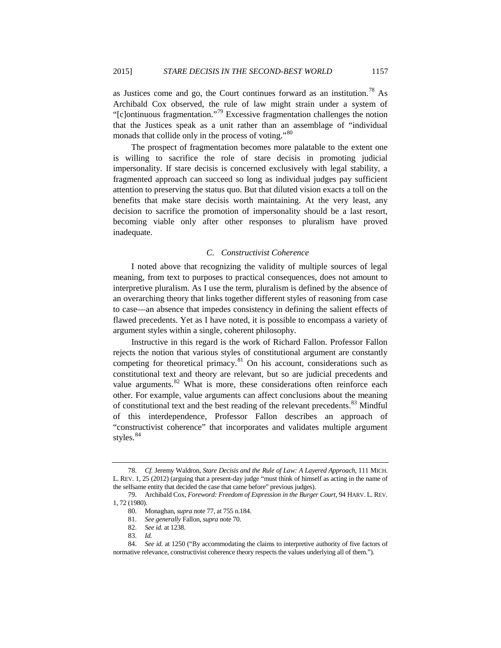as Justices come and go, the Court continues forward as an institution.[78](#page-18-0) As Archibald Cox observed, the rule of law might strain under a system of "[c]ontinuous fragmentation."[79](#page-18-1) Excessive fragmentation challenges the notion that the Justices speak as a unit rather than an assemblage of "individual monads that collide only in the process of voting."<sup>[80](#page-18-2)</sup>

The prospect of fragmentation becomes more palatable to the extent one is willing to sacrifice the role of stare decisis in promoting judicial impersonality. If stare decisis is concerned exclusively with legal stability, a fragmented approach can succeed so long as individual judges pay sufficient attention to preserving the status quo. But that diluted vision exacts a toll on the benefits that make stare decisis worth maintaining. At the very least, any decision to sacrifice the promotion of impersonality should be a last resort, becoming viable only after other responses to pluralism have proved inadequate.

# <span id="page-18-7"></span>*C. Constructivist Coherence*

I noted above that recognizing the validity of multiple sources of legal meaning, from text to purposes to practical consequences, does not amount to interpretive pluralism. As I use the term, pluralism is defined by the absence of an overarching theory that links together different styles of reasoning from case to case—an absence that impedes consistency in defining the salient effects of flawed precedents. Yet as I have noted, it is possible to encompass a variety of argument styles within a single, coherent philosophy.

Instructive in this regard is the work of Richard Fallon. Professor Fallon rejects the notion that various styles of constitutional argument are constantly competing for theoretical primacy.<sup>[81](#page-18-3)</sup> On his account, considerations such as constitutional text and theory are relevant, but so are judicial precedents and value arguments. $82$  What is more, these considerations often reinforce each other. For example, value arguments can affect conclusions about the meaning of constitutional text and the best reading of the relevant precedents.<sup>[83](#page-18-5)</sup> Mindful of this interdependence, Professor Fallon describes an approach of "constructivist coherence" that incorporates and validates multiple argument styles. $84$ 

<span id="page-18-0"></span><sup>78.</sup> *Cf.* Jeremy Waldron, *Stare Decisis and the Rule of Law: A Layered Approach*, 111 MICH. L. REV. 1, 25 (2012) (arguing that a present-day judge "must think of himself as acting in the name of the selfsame entity that decided the case that came before" previous judges).

<span id="page-18-2"></span><span id="page-18-1"></span><sup>79.</sup> Archibald Cox, *Foreword: Freedom of Expression in the Burger Court*, 94 HARV. L. REV. 1, 72 (1980).

<sup>80.</sup> Monaghan, *supra* not[e 77,](#page-17-3) at 755 n.184.

<sup>81.</sup> *See generally* Fallon, *supra* note 70.

<sup>82.</sup> *See id.* at 1238.

<sup>83.</sup> *Id.*

<span id="page-18-6"></span><span id="page-18-5"></span><span id="page-18-4"></span><span id="page-18-3"></span><sup>84.</sup> *See id.* at 1250 ("By accommodating the claims to interpretive authority of five factors of normative relevance, constructivist coherence theory respects the values underlying all of them.").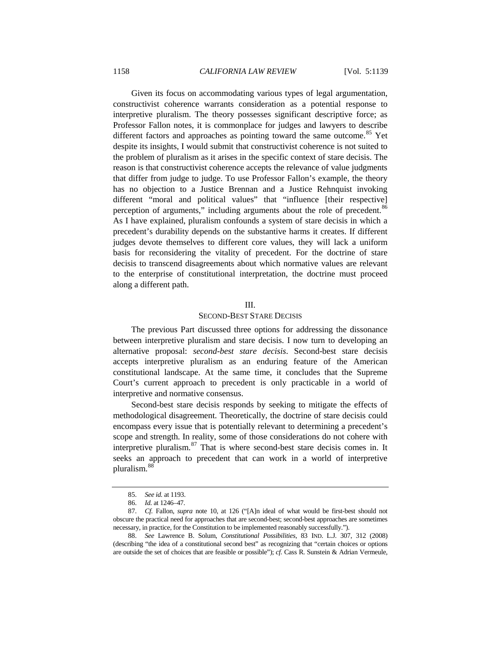Given its focus on accommodating various types of legal argumentation, constructivist coherence warrants consideration as a potential response to interpretive pluralism. The theory possesses significant descriptive force; as Professor Fallon notes, it is commonplace for judges and lawyers to describe different factors and approaches as pointing toward the same outcome.<sup>[85](#page-19-0)</sup> Yet despite its insights, I would submit that constructivist coherence is not suited to the problem of pluralism as it arises in the specific context of stare decisis. The reason is that constructivist coherence accepts the relevance of value judgments that differ from judge to judge. To use Professor Fallon's example, the theory has no objection to a Justice Brennan and a Justice Rehnquist invoking different "moral and political values" that "influence [their respective] perception of arguments," including arguments about the role of precedent.<sup>[86](#page-19-1)</sup> As I have explained, pluralism confounds a system of stare decisis in which a precedent's durability depends on the substantive harms it creates. If different judges devote themselves to different core values, they will lack a uniform basis for reconsidering the vitality of precedent. For the doctrine of stare decisis to transcend disagreements about which normative values are relevant to the enterprise of constitutional interpretation, the doctrine must proceed along a different path.

## III.

# SECOND-BEST STARE DECISIS

The previous Part discussed three options for addressing the dissonance between interpretive pluralism and stare decisis. I now turn to developing an alternative proposal: *second-best stare decisis*. Second-best stare decisis accepts interpretive pluralism as an enduring feature of the American constitutional landscape. At the same time, it concludes that the Supreme Court's current approach to precedent is only practicable in a world of interpretive and normative consensus.

Second-best stare decisis responds by seeking to mitigate the effects of methodological disagreement. Theoretically, the doctrine of stare decisis could encompass every issue that is potentially relevant to determining a precedent's scope and strength. In reality, some of those considerations do not cohere with interpretive pluralism.  $87$  That is where second-best stare decisis comes in. It seeks an approach to precedent that can work in a world of interpretive pluralism.  $^{88}$  $^{88}$  $^{88}$ 

<sup>85.</sup> *See id.* at 1193.

<sup>86.</sup> *Id.* at 1246–47.

<span id="page-19-2"></span><span id="page-19-1"></span><span id="page-19-0"></span><sup>87.</sup> *Cf.* Fallon, *supra* note [10,](#page-4-2) at 126 ("[A]n ideal of what would be first-best should not obscure the practical need for approaches that are second-best; second-best approaches are sometimes necessary, in practice, for the Constitution to be implemented reasonably successfully.").

<span id="page-19-3"></span><sup>88.</sup> *See* Lawrence B. Solum, *Constitutional Possibilities*, 83 IND. L.J. 307, 312 (2008) (describing "the idea of a constitutional second best" as recognizing that "certain choices or options are outside the set of choices that are feasible or possible"); *cf.* Cass R. Sunstein & Adrian Vermeule,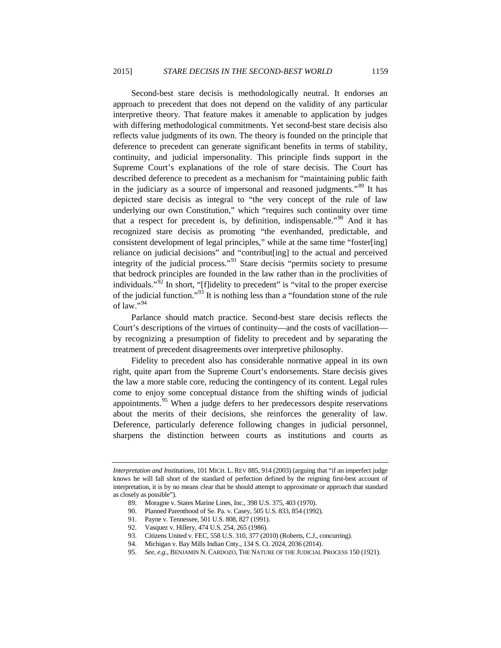Second-best stare decisis is methodologically neutral. It endorses an approach to precedent that does not depend on the validity of any particular interpretive theory. That feature makes it amenable to application by judges with differing methodological commitments. Yet second-best stare decisis also reflects value judgments of its own. The theory is founded on the principle that deference to precedent can generate significant benefits in terms of stability, continuity, and judicial impersonality. This principle finds support in the Supreme Court's explanations of the role of stare decisis. The Court has described deference to precedent as a mechanism for "maintaining public faith in the judiciary as a source of impersonal and reasoned judgments."[89](#page-20-0) It has depicted stare decisis as integral to "the very concept of the rule of law underlying our own Constitution," which "requires such continuity over time that a respect for precedent is, by definition, indispensable."<sup>[90](#page-20-1)</sup> And it has recognized stare decisis as promoting "the evenhanded, predictable, and consistent development of legal principles," while at the same time "foster[ing] reliance on judicial decisions" and "contribut[ing] to the actual and perceived integrity of the judicial process."[91](#page-20-2) Stare decisis "permits society to presume that bedrock principles are founded in the law rather than in the proclivities of individuals."<sup>[92](#page-20-3)</sup> In short, "[f]idelity to precedent" is "vital to the proper exercise of the judicial function."[93](#page-20-4) It is nothing less than a "foundation stone of the rule of law." $^{94}$  $^{94}$  $^{94}$ 

Parlance should match practice. Second-best stare decisis reflects the Court's descriptions of the virtues of continuity—and the costs of vacillation by recognizing a presumption of fidelity to precedent and by separating the treatment of precedent disagreements over interpretive philosophy.

Fidelity to precedent also has considerable normative appeal in its own right, quite apart from the Supreme Court's endorsements. Stare decisis gives the law a more stable core, reducing the contingency of its content. Legal rules come to enjoy some conceptual distance from the shifting winds of judicial appointments.<sup>[95](#page-20-6)</sup> When a judge defers to her predecessors despite reservations about the merits of their decisions, she reinforces the generality of law. Deference, particularly deference following changes in judicial personnel, sharpens the distinction between courts as institutions and courts as

<span id="page-20-3"></span><span id="page-20-2"></span><span id="page-20-1"></span><span id="page-20-0"></span>*Interpretation and Institutions*, 101 MICH. L. REV 885, 914 (2003) (arguing that "if an imperfect judge knows he will fall short of the standard of perfection defined by the reigning first-best account of interpretation, it is by no means clear that he should attempt to approximate or approach that standard as closely as possible").

<sup>89.</sup> Moragne v. States Marine Lines, Inc., 398 U.S. 375, 403 (1970).

<sup>90.</sup> Planned Parenthood of Se. Pa. v. Casey, 505 U.S. 833, 854 (1992).

<sup>91.</sup> Payne v. Tennessee, 501 U.S. 808, 827 (1991).

<span id="page-20-4"></span><sup>92.</sup> Vasquez v. Hillery, 474 U.S. 254, 265 (1986).

<sup>93.</sup> Citizens United v. FEC, 558 U.S. 310, 377 (2010) (Roberts, C.J., concurring).

<sup>94.</sup> Michigan v. Bay Mills Indian Cnty., 134 S. Ct. 2024, 2036 (2014).

<span id="page-20-6"></span><span id="page-20-5"></span><sup>95.</sup> *See, e.g.*, BENJAMIN N. CARDOZO, THE NATURE OF THE JUDICIAL PROCESS 150 (1921).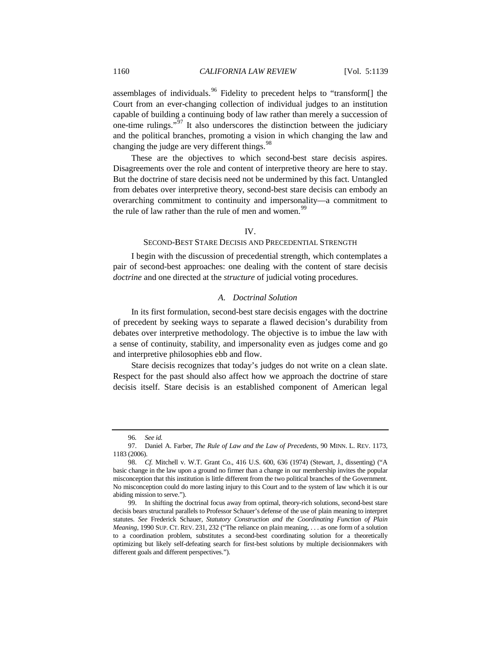assemblages of individuals. <sup>[96](#page-21-0)</sup> Fidelity to precedent helps to "transform<sup>[]</sup> the Court from an ever-changing collection of individual judges to an institution capable of building a continuing body of law rather than merely a succession of one-time rulings."[97](#page-21-1) It also underscores the distinction between the judiciary and the political branches, promoting a vision in which changing the law and changing the judge are very different things.<sup>[98](#page-21-2)</sup>

These are the objectives to which second-best stare decisis aspires. Disagreements over the role and content of interpretive theory are here to stay. But the doctrine of stare decisis need not be undermined by this fact. Untangled from debates over interpretive theory, second-best stare decisis can embody an overarching commitment to continuity and impersonality—a commitment to the rule of law rather than the rule of men and women.<sup>[99](#page-21-3)</sup>

#### IV.

## SECOND-BEST STARE DECISIS AND PRECEDENTIAL STRENGTH

I begin with the discussion of precedential strength, which contemplates a pair of second-best approaches: one dealing with the content of stare decisis *doctrine* and one directed at the *structure* of judicial voting procedures.

# *A. Doctrinal Solution*

In its first formulation, second-best stare decisis engages with the doctrine of precedent by seeking ways to separate a flawed decision's durability from debates over interpretive methodology. The objective is to imbue the law with a sense of continuity, stability, and impersonality even as judges come and go and interpretive philosophies ebb and flow.

Stare decisis recognizes that today's judges do not write on a clean slate. Respect for the past should also affect how we approach the doctrine of stare decisis itself. Stare decisis is an established component of American legal

<sup>96</sup>*. See id.*

<span id="page-21-1"></span><span id="page-21-0"></span><sup>97.</sup> Daniel A. Farber, *The Rule of Law and the Law of Precedents*, 90 MINN. L. REV. 1173, 1183 (2006).

<span id="page-21-2"></span><sup>98.</sup> *Cf.* Mitchell v. W.T. Grant Co., 416 U.S. 600, 636 (1974) (Stewart, J., dissenting) ("A basic change in the law upon a ground no firmer than a change in our membership invites the popular misconception that this institution is little different from the two political branches of the Government. No misconception could do more lasting injury to this Court and to the system of law which it is our abiding mission to serve.").

<span id="page-21-3"></span><sup>99.</sup> In shifting the doctrinal focus away from optimal, theory-rich solutions, second-best stare decisis bears structural parallels to Professor Schauer's defense of the use of plain meaning to interpret statutes. *See* Frederick Schauer, *Statutory Construction and the Coordinating Function of Plain Meaning*, 1990 SUP. CT. REV. 231, 232 ("The reliance on plain meaning, . . . as one form of a solution to a coordination problem, substitutes a second-best coordinating solution for a theoretically optimizing but likely self-defeating search for first-best solutions by multiple decisionmakers with different goals and different perspectives.").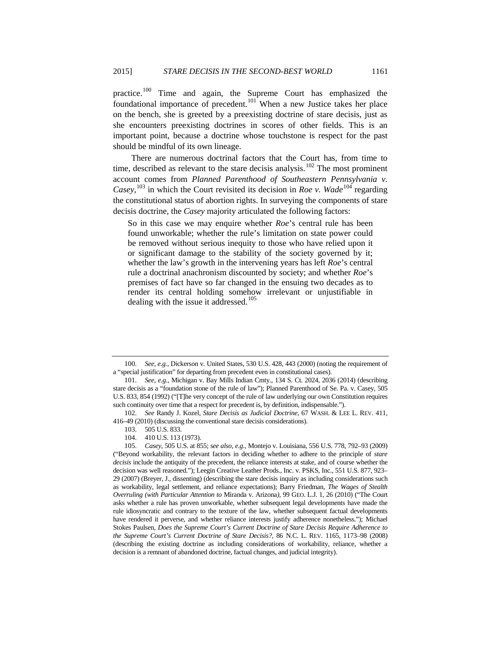practice.<sup>[100](#page-22-0)</sup> Time and again, the Supreme Court has emphasized the foundational importance of precedent.<sup>[101](#page-22-1)</sup> When a new Justice takes her place on the bench, she is greeted by a preexisting doctrine of stare decisis, just as she encounters preexisting doctrines in scores of other fields. This is an important point, because a doctrine whose touchstone is respect for the past should be mindful of its own lineage.

There are numerous doctrinal factors that the Court has, from time to time, described as relevant to the stare decisis analysis.<sup>[102](#page-22-2)</sup> The most prominent account comes from *Planned Parenthood of Southeastern Pennsylvania v. Casey*,  $^{103}$  $^{103}$  $^{103}$  in which the Court revisited its decision in *Roe v. Wade*<sup>[104](#page-22-4)</sup> regarding the constitutional status of abortion rights. In surveying the components of stare decisis doctrine, the *Casey* majority articulated the following factors:

<span id="page-22-7"></span><span id="page-22-6"></span>So in this case we may enquire whether *Roe*'s central rule has been found unworkable; whether the rule's limitation on state power could be removed without serious inequity to those who have relied upon it or significant damage to the stability of the society governed by it; whether the law's growth in the intervening years has left *Roe*'s central rule a doctrinal anachronism discounted by society; and whether *Roe*'s premises of fact have so far changed in the ensuing two decades as to render its central holding somehow irrelevant or unjustifiable in dealing with the issue it addressed.<sup>[105](#page-22-5)</sup>

<span id="page-22-0"></span><sup>100.</sup> *See, e.g.*, Dickerson v. United States, 530 U.S. 428, 443 (2000) (noting the requirement of a "special justification" for departing from precedent even in constitutional cases).

<span id="page-22-1"></span><sup>101.</sup> *See, e.g.*, Michigan v. Bay Mills Indian Cmty., 134 S. Ct. 2024, 2036 (2014) (describing stare decisis as a "foundation stone of the rule of law"); Planned Parenthood of Se. Pa. v. Casey, 505 U.S. 833, 854 (1992) ("[T]he very concept of the rule of law underlying our own Constitution requires such continuity over time that a respect for precedent is, by definition, indispensable.").

<span id="page-22-2"></span><sup>102.</sup> *See* Randy J. Kozel, *Stare Decisis as Judicial Doctrine*, 67 WASH. & LEE L. REV. 411, 416–49 (2010) (discussing the conventional stare decisis considerations).

<sup>103.</sup> 505 U.S. 833.

<sup>104.</sup> 410 U.S. 113 (1973).

<span id="page-22-5"></span><span id="page-22-4"></span><span id="page-22-3"></span><sup>105.</sup> *Casey*, 505 U.S. at 855; *see also, e.g.*, Montejo v. Louisiana, 556 U.S. 778, 792–93 (2009) ("Beyond workability, the relevant factors in deciding whether to adhere to the principle of *stare decisis* include the antiquity of the precedent, the reliance interests at stake, and of course whether the decision was well reasoned."); Leegin Creative Leather Prods., Inc. v. PSKS, Inc., 551 U.S. 877, 923-29 (2007) (Breyer, J., dissenting) (describing the stare decisis inquiry as including considerations such as workability, legal settlement, and reliance expectations); Barry Friedman, *The Wages of Stealth Overruling (with Particular Attention to* Miranda v. Arizona*)*, 99 GEO. L.J. 1, 26 (2010) ("The Court asks whether a rule has proven unworkable, whether subsequent legal developments have made the rule idiosyncratic and contrary to the texture of the law, whether subsequent factual developments have rendered it perverse, and whether reliance interests justify adherence nonetheless."); Michael Stokes Paulsen, *Does the Supreme Court's Current Doctrine of Stare Decisis Require Adherence to the Supreme Court's Current Doctrine of Stare Decisis?*, 86 N.C. L. REV. 1165, 1173–98 (2008) (describing the existing doctrine as including considerations of workability, reliance, whether a decision is a remnant of abandoned doctrine, factual changes, and judicial integrity).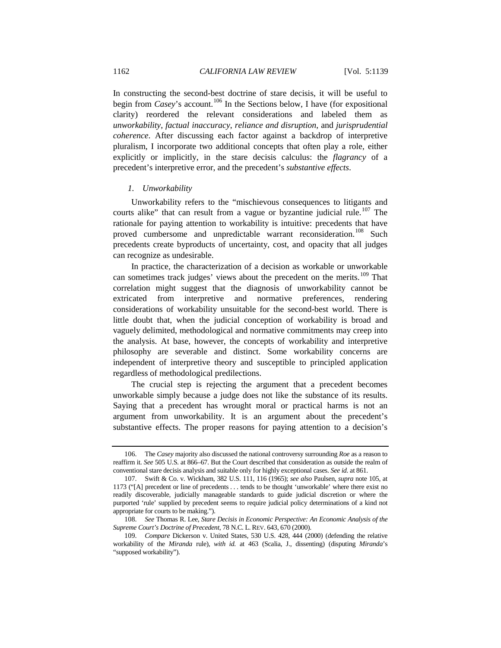In constructing the second-best doctrine of stare decisis, it will be useful to begin from *Casey*'s account.<sup>[106](#page-23-0)</sup> In the Sections below, I have (for expositional clarity) reordered the relevant considerations and labeled them as *unworkability*, *factual inaccuracy*, *reliance and disruption*, and *jurisprudential coherence*. After discussing each factor against a backdrop of interpretive pluralism, I incorporate two additional concepts that often play a role, either explicitly or implicitly, in the stare decisis calculus: the *flagrancy* of a precedent's interpretive error, and the precedent's *substantive effects*.

# *1. Unworkability*

Unworkability refers to the "mischievous consequences to litigants and courts alike" that can result from a vague or byzantine judicial rule.<sup>[107](#page-23-1)</sup> The rationale for paying attention to workability is intuitive: precedents that have proved cumbersome and unpredictable warrant reconsideration.<sup>[108](#page-23-2)</sup> Such precedents create byproducts of uncertainty, cost, and opacity that all judges can recognize as undesirable.

In practice, the characterization of a decision as workable or unworkable can sometimes track judges' views about the precedent on the merits.<sup>[109](#page-23-3)</sup> That correlation might suggest that the diagnosis of unworkability cannot be extricated from interpretive and normative preferences, rendering considerations of workability unsuitable for the second-best world. There is little doubt that, when the judicial conception of workability is broad and vaguely delimited, methodological and normative commitments may creep into the analysis. At base, however, the concepts of workability and interpretive philosophy are severable and distinct. Some workability concerns are independent of interpretive theory and susceptible to principled application regardless of methodological predilections.

The crucial step is rejecting the argument that a precedent becomes unworkable simply because a judge does not like the substance of its results. Saying that a precedent has wrought moral or practical harms is not an argument from unworkability. It is an argument about the precedent's substantive effects. The proper reasons for paying attention to a decision's

<span id="page-23-0"></span><sup>106.</sup> The *Casey* majority also discussed the national controversy surrounding *Roe* as a reason to reaffirm it. *See* 505 U.S. at 866–67. But the Court described that consideration as outside the realm of conventional stare decisis analysis and suitable only for highly exceptional cases. *See id.* at 861.

<span id="page-23-1"></span><sup>107.</sup> Swift & Co. v. Wickham, 382 U.S. 111, 116 (1965); *see also* Paulsen, *supra* note [105,](#page-22-6) at 1173 ("[A] precedent or line of precedents . . . tends to be thought 'unworkable' where there exist no readily discoverable, judicially manageable standards to guide judicial discretion or where the purported 'rule' supplied by precedent seems to require judicial policy determinations of a kind not appropriate for courts to be making.").

<span id="page-23-2"></span><sup>108.</sup> *See* Thomas R. Lee, *Stare Decisis in Economic Perspective: An Economic Analysis of the Supreme Court's Doctrine of Precedent*, 78 N.C. L. REV. 643, 670 (2000).

<span id="page-23-3"></span><sup>109.</sup> *Compare* Dickerson v. United States, 530 U.S. 428, 444 (2000) (defending the relative workability of the *Miranda* rule), *with id.* at 463 (Scalia, J., dissenting) (disputing *Miranda*'s "supposed workability").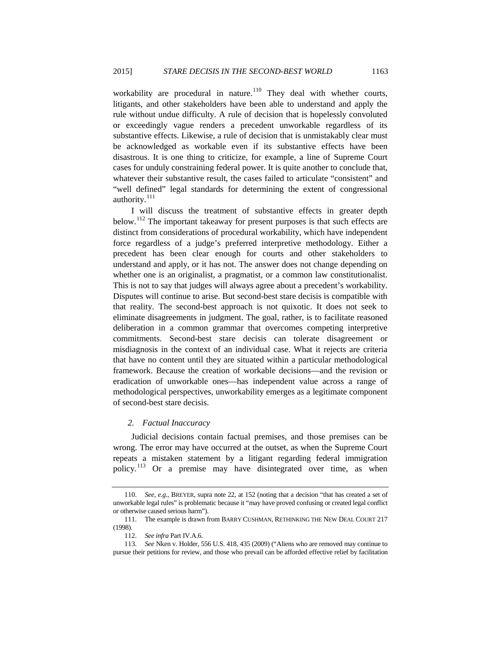workability are procedural in nature.<sup>[110](#page-24-0)</sup> They deal with whether courts, litigants, and other stakeholders have been able to understand and apply the rule without undue difficulty. A rule of decision that is hopelessly convoluted or exceedingly vague renders a precedent unworkable regardless of its substantive effects. Likewise, a rule of decision that is unmistakably clear must be acknowledged as workable even if its substantive effects have been disastrous. It is one thing to criticize, for example, a line of Supreme Court cases for unduly constraining federal power. It is quite another to conclude that, whatever their substantive result, the cases failed to articulate "consistent" and "well defined" legal standards for determining the extent of congressional authority.<sup>[111](#page-24-1)</sup>

I will discuss the treatment of substantive effects in greater depth below.<sup>[112](#page-24-2)</sup> The important takeaway for present purposes is that such effects are distinct from considerations of procedural workability, which have independent force regardless of a judge's preferred interpretive methodology. Either a precedent has been clear enough for courts and other stakeholders to understand and apply, or it has not. The answer does not change depending on whether one is an originalist, a pragmatist, or a common law constitutionalist. This is not to say that judges will always agree about a precedent's workability. Disputes will continue to arise. But second-best stare decisis is compatible with that reality. The second-best approach is not quixotic. It does not seek to eliminate disagreements in judgment. The goal, rather, is to facilitate reasoned deliberation in a common grammar that overcomes competing interpretive commitments. Second-best stare decisis can tolerate disagreement or misdiagnosis in the context of an individual case. What it rejects are criteria that have no content until they are situated within a particular methodological framework. Because the creation of workable decisions—and the revision or eradication of unworkable ones—has independent value across a range of methodological perspectives, unworkability emerges as a legitimate component of second-best stare decisis.

# *2. Factual Inaccuracy*

Judicial decisions contain factual premises, and those premises can be wrong. The error may have occurred at the outset, as when the Supreme Court repeats a mistaken statement by a litigant regarding federal immigration policy.[113](#page-24-3) Or a premise may have disintegrated over time, as when

<span id="page-24-0"></span><sup>110.</sup> *See, e.g.*, BREYER, supra not[e 22,](#page-8-6) at 152 (noting that a decision "that has created a set of unworkable legal rules" is problematic because it "may have proved confusing or created legal conflict or otherwise caused serious harm").

<span id="page-24-1"></span><sup>111.</sup> The example is drawn from BARRY CUSHMAN, RETHINKING THE NEW DEAL COURT 217 (1998).

<sup>112.</sup> *See infra* Part IV.A.6.

<span id="page-24-3"></span><span id="page-24-2"></span><sup>113.</sup> *See* Nken v. Holder, 556 U.S. 418, 435 (2009) ("Aliens who are removed may continue to pursue their petitions for review, and those who prevail can be afforded effective relief by facilitation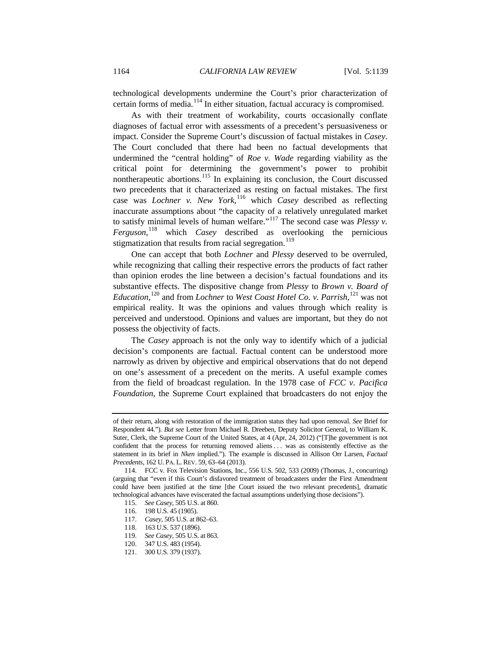technological developments undermine the Court's prior characterization of certain forms of media.<sup>[114](#page-25-0)</sup> In either situation, factual accuracy is compromised.

As with their treatment of workability, courts occasionally conflate diagnoses of factual error with assessments of a precedent's persuasiveness or impact. Consider the Supreme Court's discussion of factual mistakes in *Casey*. The Court concluded that there had been no factual developments that undermined the "central holding" of *Roe v. Wade* regarding viability as the critical point for determining the government's power to prohibit nontherapeutic abortions.<sup>[115](#page-25-1)</sup> In explaining its conclusion, the Court discussed two precedents that it characterized as resting on factual mistakes. The first case was *Lochner v. New York*, [116](#page-25-2) which *Casey* described as reflecting inaccurate assumptions about "the capacity of a relatively unregulated market to satisfy minimal levels of human welfare."[117](#page-25-3) The second case was *Plessy v. Ferguson*, [118](#page-25-4) which *Casey* described as overlooking the pernicious stigmatization that results from racial segregation.<sup>[119](#page-25-5)</sup>

One can accept that both *Lochner* and *Plessy* deserved to be overruled, while recognizing that calling their respective errors the products of fact rather than opinion erodes the line between a decision's factual foundations and its substantive effects. The dispositive change from *Plessy* to *Brown v. Board of Education*, [120](#page-25-6) and from *Lochner* to *West Coast Hotel Co. v. Parrish*, [121](#page-25-7) was not empirical reality. It was the opinions and values through which reality is perceived and understood. Opinions and values are important, but they do not possess the objectivity of facts.

The *Casey* approach is not the only way to identify which of a judicial decision's components are factual. Factual content can be understood more narrowly as driven by objective and empirical observations that do not depend on one's assessment of a precedent on the merits. A useful example comes from the field of broadcast regulation. In the 1978 case of *FCC v. Pacifica Foundation*, the Supreme Court explained that broadcasters do not enjoy the

- 116. 198 U.S. 45 (1905).
- 117. *Casey*, 505 U.S. at 862–63.
- <span id="page-25-5"></span><span id="page-25-4"></span>118. 163 U.S. 537 (1896).<br>119. See Casey, 505 U.S. a
- 119. *See Casey*, 505 U.S. at 863.
- 120. 347 U.S. 483 (1954).
- <span id="page-25-7"></span><span id="page-25-6"></span>121. 300 U.S. 379 (1937).

of their return, along with restoration of the immigration status they had upon removal. *See* Brief for Respondent 44."). *But see* Letter from Michael R. Dreeben, Deputy Solicitor General, to William K. Suter, Clerk, the Supreme Court of the United States, at 4 (Apr, 24, 2012) ("[T]he government is not confident that the process for returning removed aliens ... was as consistently effective as the statement in its brief in *Nken* implied."). The example is discussed in Allison Orr Larsen, *Factual Precedents*, 162 U. PA. L. REV. 59, 63–64 (2013).

<span id="page-25-3"></span><span id="page-25-2"></span><span id="page-25-1"></span><span id="page-25-0"></span><sup>114.</sup> FCC v. Fox Television Stations, Inc., 556 U.S. 502, 533 (2009) (Thomas, J., concurring) (arguing that "even if this Court's disfavored treatment of broadcasters under the First Amendment could have been justified at the time [the Court issued the two relevant precedents], dramatic technological advances have eviscerated the factual assumptions underlying those decisions").

<sup>115.</sup> *See Casey*, 505 U.S. at 860.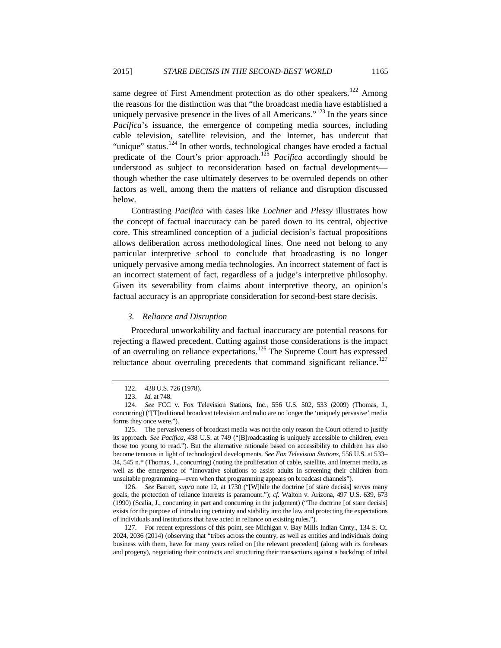same degree of First Amendment protection as do other speakers.<sup>[122](#page-26-0)</sup> Among the reasons for the distinction was that "the broadcast media have established a uniquely pervasive presence in the lives of all Americans."<sup>[123](#page-26-1)</sup> In the years since *Pacifica*'s issuance, the emergence of competing media sources, including cable television, satellite television, and the Internet, has undercut that "unique" status.<sup>[124](#page-26-2)</sup> In other words, technological changes have eroded a factual predicate of the Court's prior approach. [125](#page-26-3) *Pacifica* accordingly should be understood as subject to reconsideration based on factual developments though whether the case ultimately deserves to be overruled depends on other factors as well, among them the matters of reliance and disruption discussed below.

Contrasting *Pacifica* with cases like *Lochner* and *Plessy* illustrates how the concept of factual inaccuracy can be pared down to its central, objective core. This streamlined conception of a judicial decision's factual propositions allows deliberation across methodological lines. One need not belong to any particular interpretive school to conclude that broadcasting is no longer uniquely pervasive among media technologies. An incorrect statement of fact is an incorrect statement of fact, regardless of a judge's interpretive philosophy. Given its severability from claims about interpretive theory, an opinion's factual accuracy is an appropriate consideration for second-best stare decisis.

## *3. Reliance and Disruption*

Procedural unworkability and factual inaccuracy are potential reasons for rejecting a flawed precedent. Cutting against those considerations is the impact of an overruling on reliance expectations.<sup>[126](#page-26-4)</sup> The Supreme Court has expressed reluctance about overruling precedents that command significant reliance.<sup>[127](#page-26-5)</sup>

<span id="page-26-4"></span>126. *See* Barrett, *supra* note [12,](#page-5-1) at 1730 ("[W]hile the doctrine [of stare decisis] serves many goals, the protection of reliance interests is paramount."); *cf.* Walton v. Arizona, 497 U.S. 639, 673 (1990) (Scalia, J., concurring in part and concurring in the judgment) ("The doctrine [of stare decisis] exists for the purpose of introducing certainty and stability into the law and protecting the expectations of individuals and institutions that have acted in reliance on existing rules.").

<sup>122.</sup> 438 U.S. 726 (1978).

<sup>123.</sup> *Id.* at 748.

<span id="page-26-2"></span><span id="page-26-1"></span><span id="page-26-0"></span><sup>124.</sup> *See* FCC v. Fox Television Stations, Inc., 556 U.S. 502, 533 (2009) (Thomas, J., concurring) ("[T]raditional broadcast television and radio are no longer the 'uniquely pervasive' media forms they once were.").

<span id="page-26-3"></span><sup>125.</sup> The pervasiveness of broadcast media was not the only reason the Court offered to justify its approach. *See Pacifica*, 438 U.S. at 749 ("[B]roadcasting is uniquely accessible to children, even those too young to read."). But the alternative rationale based on accessibility to children has also become tenuous in light of technological developments. *See Fox Television Stations*, 556 U.S. at 533– 34, 545 n.\* (Thomas, J., concurring) (noting the proliferation of cable, satellite, and Internet media, as well as the emergence of "innovative solutions to assist adults in screening their children from unsuitable programming—even when that programming appears on broadcast channels").

<span id="page-26-5"></span><sup>127.</sup> For recent expressions of this point, see Michigan v. Bay Mills Indian Cmty., 134 S. Ct. 2024, 2036 (2014) (observing that "tribes across the country, as well as entities and individuals doing business with them, have for many years relied on [the relevant precedent] (along with its forebears and progeny), negotiating their contracts and structuring their transactions against a backdrop of tribal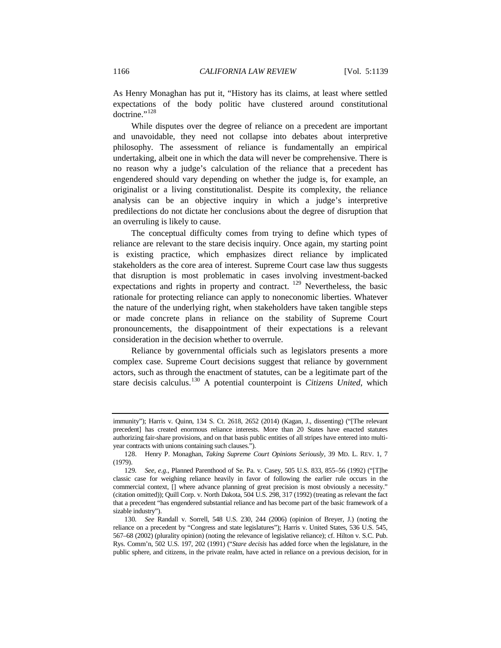As Henry Monaghan has put it, "History has its claims, at least where settled expectations of the body politic have clustered around constitutional doctrine."<sup>[128](#page-27-0)</sup>

While disputes over the degree of reliance on a precedent are important and unavoidable, they need not collapse into debates about interpretive philosophy. The assessment of reliance is fundamentally an empirical undertaking, albeit one in which the data will never be comprehensive. There is no reason why a judge's calculation of the reliance that a precedent has engendered should vary depending on whether the judge is, for example, an originalist or a living constitutionalist. Despite its complexity, the reliance analysis can be an objective inquiry in which a judge's interpretive predilections do not dictate her conclusions about the degree of disruption that an overruling is likely to cause.

The conceptual difficulty comes from trying to define which types of reliance are relevant to the stare decisis inquiry. Once again, my starting point is existing practice, which emphasizes direct reliance by implicated stakeholders as the core area of interest. Supreme Court case law thus suggests that disruption is most problematic in cases involving investment-backed expectations and rights in property and contract. <sup>[129](#page-27-1)</sup> Nevertheless, the basic rationale for protecting reliance can apply to noneconomic liberties. Whatever the nature of the underlying right, when stakeholders have taken tangible steps or made concrete plans in reliance on the stability of Supreme Court pronouncements, the disappointment of their expectations is a relevant consideration in the decision whether to overrule.

Reliance by governmental officials such as legislators presents a more complex case. Supreme Court decisions suggest that reliance by government actors, such as through the enactment of statutes, can be a legitimate part of the stare decisis calculus.[130](#page-27-2) A potential counterpoint is *Citizens United*, which

immunity"); Harris v. Quinn, 134 S. Ct. 2618, 2652 (2014) (Kagan, J., dissenting) ("[The relevant precedent] has created enormous reliance interests. More than 20 States have enacted statutes authorizing fair-share provisions, and on that basis public entities of all stripes have entered into multiyear contracts with unions containing such clauses.").

<span id="page-27-0"></span><sup>128.</sup> Henry P. Monaghan, *Taking Supreme Court Opinions Seriously*, 39 MD. L. REV. 1, 7 (1979).

<span id="page-27-1"></span><sup>129</sup>*. See, e.g.*, Planned Parenthood of Se. Pa. v. Casey, 505 U.S. 833, 855–56 (1992) ("[T]he classic case for weighing reliance heavily in favor of following the earlier rule occurs in the commercial context, [] where advance planning of great precision is most obviously a necessity." (citation omitted)); Quill Corp. v. North Dakota, 504 U.S. 298, 317 (1992) (treating as relevant the fact that a precedent "has engendered substantial reliance and has become part of the basic framework of a sizable industry").

<span id="page-27-2"></span><sup>130</sup>*. See* Randall v. Sorrell, 548 U.S. 230, 244 (2006) (opinion of Breyer, J.) (noting the reliance on a precedent by "Congress and state legislatures"); Harris v. United States, 536 U.S. 545, 567–68 (2002) (plurality opinion) (noting the relevance of legislative reliance); cf. Hilton v. S.C. Pub. Rys. Comm'n, 502 U.S. 197, 202 (1991) ("*Stare decisis* has added force when the legislature, in the public sphere, and citizens, in the private realm, have acted in reliance on a previous decision, for in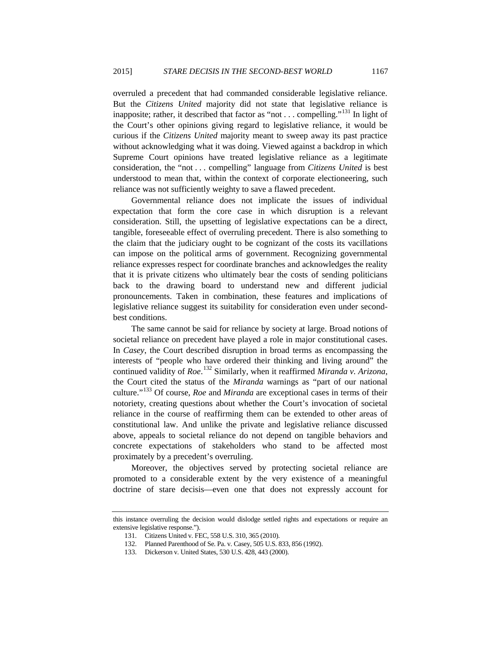overruled a precedent that had commanded considerable legislative reliance. But the *Citizens United* majority did not state that legislative reliance is inapposite; rather, it described that factor as "not  $\dots$  compelling."<sup>[131](#page-28-0)</sup> In light of the Court's other opinions giving regard to legislative reliance, it would be curious if the *Citizens United* majority meant to sweep away its past practice without acknowledging what it was doing. Viewed against a backdrop in which Supreme Court opinions have treated legislative reliance as a legitimate consideration, the "not . . . compelling" language from *Citizens United* is best understood to mean that, within the context of corporate electioneering, such reliance was not sufficiently weighty to save a flawed precedent.

Governmental reliance does not implicate the issues of individual expectation that form the core case in which disruption is a relevant consideration. Still, the upsetting of legislative expectations can be a direct, tangible, foreseeable effect of overruling precedent. There is also something to the claim that the judiciary ought to be cognizant of the costs its vacillations can impose on the political arms of government. Recognizing governmental reliance expresses respect for coordinate branches and acknowledges the reality that it is private citizens who ultimately bear the costs of sending politicians back to the drawing board to understand new and different judicial pronouncements. Taken in combination, these features and implications of legislative reliance suggest its suitability for consideration even under secondbest conditions.

The same cannot be said for reliance by society at large. Broad notions of societal reliance on precedent have played a role in major constitutional cases. In *Casey*, the Court described disruption in broad terms as encompassing the interests of "people who have ordered their thinking and living around" the continued validity of *Roe*. [132](#page-28-1) Similarly, when it reaffirmed *Miranda v. Arizona*, the Court cited the status of the *Miranda* warnings as "part of our national culture."[133](#page-28-2) Of course, *Roe* and *Miranda* are exceptional cases in terms of their notoriety, creating questions about whether the Court's invocation of societal reliance in the course of reaffirming them can be extended to other areas of constitutional law. And unlike the private and legislative reliance discussed above, appeals to societal reliance do not depend on tangible behaviors and concrete expectations of stakeholders who stand to be affected most proximately by a precedent's overruling.

Moreover, the objectives served by protecting societal reliance are promoted to a considerable extent by the very existence of a meaningful doctrine of stare decisis—even one that does not expressly account for

<span id="page-28-2"></span><span id="page-28-1"></span><span id="page-28-0"></span>this instance overruling the decision would dislodge settled rights and expectations or require an extensive legislative response.").

<sup>131.</sup> Citizens United v. FEC, 558 U.S. 310, 365 (2010).

<sup>132.</sup> Planned Parenthood of Se. Pa. v. Casey, 505 U.S. 833, 856 (1992).

<sup>133.</sup> Dickerson v. United States, 530 U.S. 428, 443 (2000).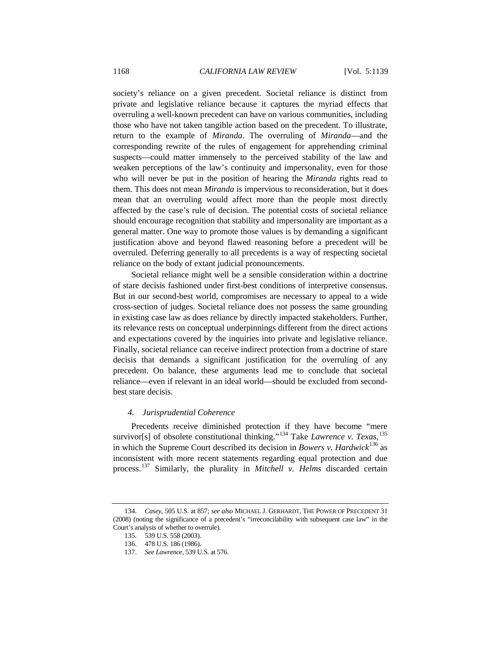society's reliance on a given precedent. Societal reliance is distinct from private and legislative reliance because it captures the myriad effects that overruling a well-known precedent can have on various communities, including those who have not taken tangible action based on the precedent. To illustrate, return to the example of *Miranda*. The overruling of *Miranda*—and the corresponding rewrite of the rules of engagement for apprehending criminal suspects—could matter immensely to the perceived stability of the law and weaken perceptions of the law's continuity and impersonality, even for those who will never be put in the position of hearing the *Miranda* rights read to them. This does not mean *Miranda* is impervious to reconsideration, but it does mean that an overruling would affect more than the people most directly affected by the case's rule of decision. The potential costs of societal reliance should encourage recognition that stability and impersonality are important as a general matter. One way to promote those values is by demanding a significant justification above and beyond flawed reasoning before a precedent will be overruled. Deferring generally to all precedents is a way of respecting societal reliance on the body of extant judicial pronouncements.

Societal reliance might well be a sensible consideration within a doctrine of stare decisis fashioned under first-best conditions of interpretive consensus. But in our second-best world, compromises are necessary to appeal to a wide cross-section of judges. Societal reliance does not possess the same grounding in existing case law as does reliance by directly impacted stakeholders. Further, its relevance rests on conceptual underpinnings different from the direct actions and expectations covered by the inquiries into private and legislative reliance. Finally, societal reliance can receive indirect protection from a doctrine of stare decisis that demands a significant justification for the overruling of any precedent. On balance, these arguments lead me to conclude that societal reliance—even if relevant in an ideal world—should be excluded from secondbest stare decisis.

#### <span id="page-29-4"></span>*4. Jurisprudential Coherence*

Precedents receive diminished protection if they have become "mere survivor[s] of obsolete constitutional thinking."<sup>[134](#page-29-0)</sup> Take *Lawrence v. Texas*,<sup>[135](#page-29-1)</sup> in which the Supreme Court described its decision in *Bowers v. Hardwick*[136](#page-29-2) as inconsistent with more recent statements regarding equal protection and due process. [137](#page-29-3) Similarly, the plurality in *Mitchell v. Helms* discarded certain

<span id="page-29-3"></span><span id="page-29-2"></span><span id="page-29-1"></span><span id="page-29-0"></span><sup>134.</sup> *Casey*, 505 U.S. at 857; *see also* MICHAEL J. GERHARDT, THE POWER OF PRECEDENT 31 (2008) (noting the significance of a precedent's "irreconcilability with subsequent case law" in the Court's analysis of whether to overrule).

<sup>135.</sup> 539 U.S. 558 (2003).

<sup>136.</sup> 478 U.S. 186 (1986).

<sup>137.</sup> *See Lawrence*, 539 U.S. at 576.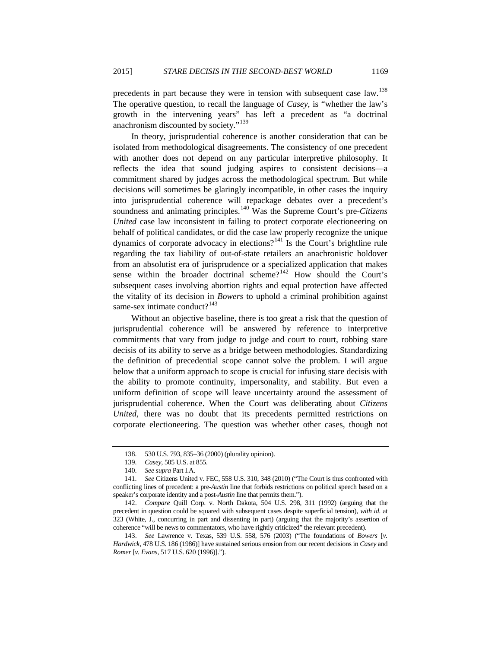precedents in part because they were in tension with subsequent case law.<sup>[138](#page-30-0)</sup> The operative question, to recall the language of *Casey*, is "whether the law's growth in the intervening years" has left a precedent as "a doctrinal anachronism discounted by society."<sup>[139](#page-30-1)</sup>

In theory, jurisprudential coherence is another consideration that can be isolated from methodological disagreements. The consistency of one precedent with another does not depend on any particular interpretive philosophy. It reflects the idea that sound judging aspires to consistent decisions—a commitment shared by judges across the methodological spectrum. But while decisions will sometimes be glaringly incompatible, in other cases the inquiry into jurisprudential coherence will repackage debates over a precedent's soundness and animating principles. [140](#page-30-2) Was the Supreme Court's pre-*Citizens United* case law inconsistent in failing to protect corporate electioneering on behalf of political candidates, or did the case law properly recognize the unique dynamics of corporate advocacy in elections?<sup>[141](#page-30-3)</sup> Is the Court's brightline rule regarding the tax liability of out-of-state retailers an anachronistic holdover from an absolutist era of jurisprudence or a specialized application that makes sense within the broader doctrinal scheme?<sup>[142](#page-30-4)</sup> How should the Court's subsequent cases involving abortion rights and equal protection have affected the vitality of its decision in *Bowers* to uphold a criminal prohibition against same-sex intimate conduct?<sup>[143](#page-30-5)</sup>

Without an objective baseline, there is too great a risk that the question of jurisprudential coherence will be answered by reference to interpretive commitments that vary from judge to judge and court to court, robbing stare decisis of its ability to serve as a bridge between methodologies. Standardizing the definition of precedential scope cannot solve the problem. I will argue below that a uniform approach to scope is crucial for infusing stare decisis with the ability to promote continuity, impersonality, and stability. But even a uniform definition of scope will leave uncertainty around the assessment of jurisprudential coherence. When the Court was deliberating about *Citizens United*, there was no doubt that its precedents permitted restrictions on corporate electioneering. The question was whether other cases, though not

<sup>138.</sup> 530 U.S. 793, 835–36 (2000) (plurality opinion).

<sup>139.</sup> *Casey*, 505 U.S. at 855.

<sup>140.</sup> *See supra* Part I.A.

<span id="page-30-3"></span><span id="page-30-2"></span><span id="page-30-1"></span><span id="page-30-0"></span><sup>141.</sup> *See* Citizens United v. FEC, 558 U.S. 310, 348 (2010) ("The Court is thus confronted with conflicting lines of precedent: a pre-*Austin* line that forbids restrictions on political speech based on a speaker's corporate identity and a post-*Austin* line that permits them.").

<span id="page-30-4"></span><sup>142.</sup> *Compare* Quill Corp. v. North Dakota, 504 U.S. 298, 311 (1992) (arguing that the precedent in question could be squared with subsequent cases despite superficial tension), *with id.* at 323 (White, J., concurring in part and dissenting in part) (arguing that the majority's assertion of coherence "will be news to commentators, who have rightly criticized" the relevant precedent).

<span id="page-30-5"></span><sup>143.</sup> *See* Lawrence v. Texas, 539 U.S. 558, 576 (2003) ("The foundations of *Bowers* [*v. Hardwick*, 478 U.S. 186 (1986)] have sustained serious erosion from our recent decisions in *Casey* and *Romer* [*v. Evans*, 517 U.S. 620 (1996)].").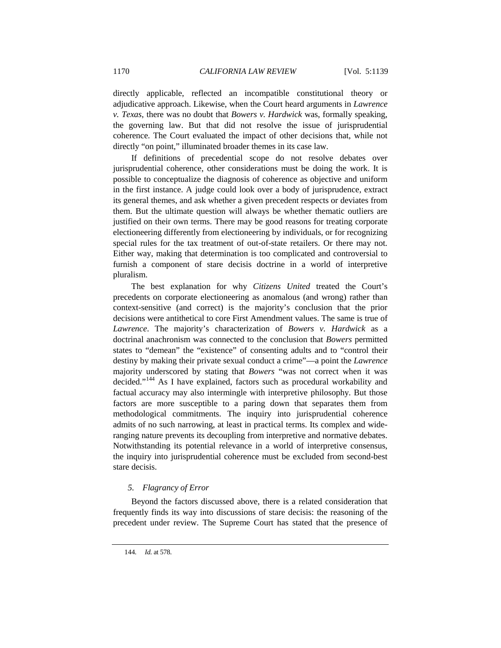directly applicable, reflected an incompatible constitutional theory or adjudicative approach. Likewise, when the Court heard arguments in *Lawrence v. Texas*, there was no doubt that *Bowers v. Hardwick* was, formally speaking, the governing law. But that did not resolve the issue of jurisprudential coherence. The Court evaluated the impact of other decisions that, while not directly "on point," illuminated broader themes in its case law.

If definitions of precedential scope do not resolve debates over jurisprudential coherence, other considerations must be doing the work. It is possible to conceptualize the diagnosis of coherence as objective and uniform in the first instance. A judge could look over a body of jurisprudence, extract its general themes, and ask whether a given precedent respects or deviates from them. But the ultimate question will always be whether thematic outliers are justified on their own terms. There may be good reasons for treating corporate electioneering differently from electioneering by individuals, or for recognizing special rules for the tax treatment of out-of-state retailers. Or there may not. Either way, making that determination is too complicated and controversial to furnish a component of stare decisis doctrine in a world of interpretive pluralism.

The best explanation for why *Citizens United* treated the Court's precedents on corporate electioneering as anomalous (and wrong) rather than context-sensitive (and correct) is the majority's conclusion that the prior decisions were antithetical to core First Amendment values. The same is true of *Lawrence*. The majority's characterization of *Bowers v. Hardwick* as a doctrinal anachronism was connected to the conclusion that *Bowers* permitted states to "demean" the "existence" of consenting adults and to "control their destiny by making their private sexual conduct a crime"—a point the *Lawrence*  majority underscored by stating that *Bowers* "was not correct when it was decided."<sup>[144](#page-31-0)</sup> As I have explained, factors such as procedural workability and factual accuracy may also intermingle with interpretive philosophy. But those factors are more susceptible to a paring down that separates them from methodological commitments. The inquiry into jurisprudential coherence admits of no such narrowing, at least in practical terms. Its complex and wideranging nature prevents its decoupling from interpretive and normative debates. Notwithstanding its potential relevance in a world of interpretive consensus, the inquiry into jurisprudential coherence must be excluded from second-best stare decisis.

# *5. Flagrancy of Error*

<span id="page-31-0"></span>Beyond the factors discussed above, there is a related consideration that frequently finds its way into discussions of stare decisis: the reasoning of the precedent under review. The Supreme Court has stated that the presence of

<sup>144</sup>*. Id.* at 578.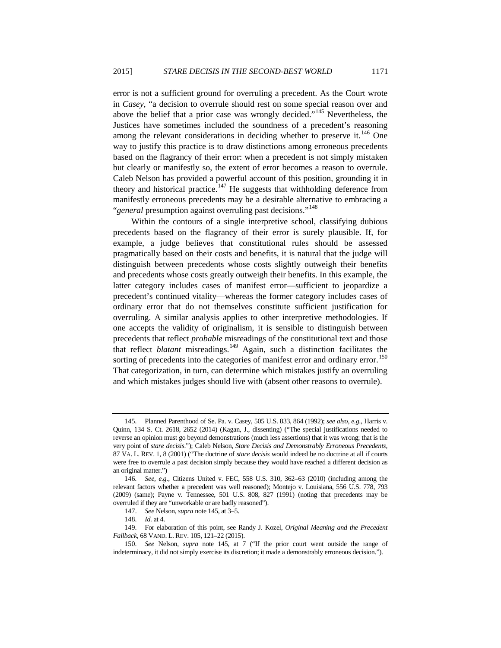<span id="page-32-0"></span>error is not a sufficient ground for overruling a precedent. As the Court wrote in *Casey*, "a decision to overrule should rest on some special reason over and above the belief that a prior case was wrongly decided."[145](#page-32-1) Nevertheless, the Justices have sometimes included the soundness of a precedent's reasoning among the relevant considerations in deciding whether to preserve it.<sup>[146](#page-32-2)</sup> One way to justify this practice is to draw distinctions among erroneous precedents based on the flagrancy of their error: when a precedent is not simply mistaken but clearly or manifestly so, the extent of error becomes a reason to overrule. Caleb Nelson has provided a powerful account of this position, grounding it in theory and historical practice.<sup>[147](#page-32-3)</sup> He suggests that withholding deference from manifestly erroneous precedents may be a desirable alternative to embracing a "*general* presumption against overruling past decisions."<sup>[148](#page-32-4)</sup>

Within the contours of a single interpretive school, classifying dubious precedents based on the flagrancy of their error is surely plausible. If, for example, a judge believes that constitutional rules should be assessed pragmatically based on their costs and benefits, it is natural that the judge will distinguish between precedents whose costs slightly outweigh their benefits and precedents whose costs greatly outweigh their benefits. In this example, the latter category includes cases of manifest error—sufficient to jeopardize a precedent's continued vitality—whereas the former category includes cases of ordinary error that do not themselves constitute sufficient justification for overruling. A similar analysis applies to other interpretive methodologies. If one accepts the validity of originalism, it is sensible to distinguish between precedents that reflect *probable* misreadings of the constitutional text and those that reflect *blatant* misreadings.[149](#page-32-5) Again, such a distinction facilitates the sorting of precedents into the categories of manifest error and ordinary error.<sup>[150](#page-32-6)</sup> That categorization, in turn, can determine which mistakes justify an overruling and which mistakes judges should live with (absent other reasons to overrule).

<span id="page-32-1"></span><sup>145.</sup> Planned Parenthood of Se. Pa. v. Casey, 505 U.S. 833, 864 (1992); *see also, e.g.*, Harris v. Quinn, 134 S. Ct. 2618, 2652 (2014) (Kagan, J., dissenting) ("The special justifications needed to reverse an opinion must go beyond demonstrations (much less assertions) that it was wrong; that is the very point of *stare decisis*."); Caleb Nelson, *Stare Decisis and Demonstrably Erroneous Precedents*, 87 VA. L. REV. 1, 8 (2001) ("The doctrine of *stare decisis* would indeed be no doctrine at all if courts were free to overrule a past decision simply because they would have reached a different decision as an original matter.")

<span id="page-32-2"></span><sup>146</sup>*. See, e.g.*, Citizens United v. FEC, 558 U.S. 310, 362–63 (2010) (including among the relevant factors whether a precedent was well reasoned); Montejo v. Louisiana, 556 U.S. 778, 793 (2009) (same); Payne v. Tennessee, 501 U.S. 808, 827 (1991) (noting that precedents may be overruled if they are "unworkable or are badly reasoned").

<sup>147.</sup> *See* Nelson, *supra* not[e 145,](#page-32-0) at 3–5.

<sup>148.</sup> *Id.* at 4.

<span id="page-32-5"></span><span id="page-32-4"></span><span id="page-32-3"></span><sup>149.</sup> For elaboration of this point, see Randy J. Kozel, *Original Meaning and the Precedent Fallback*, 68 VAND. L. REV. 105, 121–22 (2015).

<span id="page-32-6"></span><sup>150.</sup> *See* Nelson, *supra* note [145,](#page-32-0) at 7 ("If the prior court went outside the range of indeterminacy, it did not simply exercise its discretion; it made a demonstrably erroneous decision.").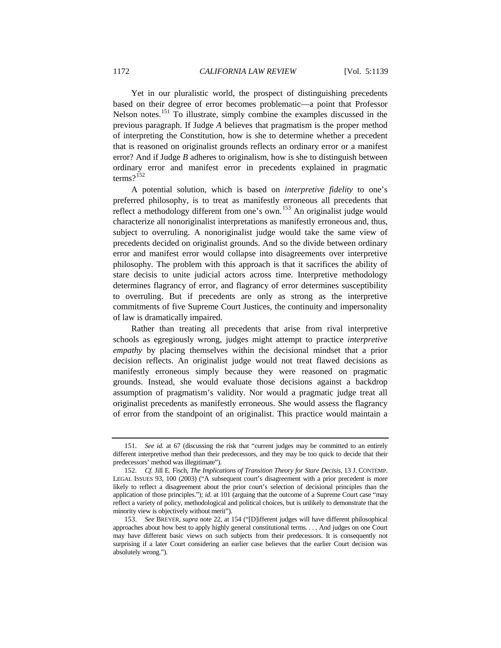Yet in our pluralistic world, the prospect of distinguishing precedents based on their degree of error becomes problematic—a point that Professor Nelson notes.<sup>[151](#page-33-0)</sup> To illustrate, simply combine the examples discussed in the previous paragraph. If Judge *A* believes that pragmatism is the proper method of interpreting the Constitution, how is she to determine whether a precedent that is reasoned on originalist grounds reflects an ordinary error or a manifest error? And if Judge *B* adheres to originalism, how is she to distinguish between ordinary error and manifest error in precedents explained in pragmatic terms? $152$ 

A potential solution, which is based on *interpretive fidelity* to one's preferred philosophy, is to treat as manifestly erroneous all precedents that reflect a methodology different from one's own.<sup>[153](#page-33-2)</sup> An originalist judge would characterize all nonoriginalist interpretations as manifestly erroneous and, thus, subject to overruling. A nonoriginalist judge would take the same view of precedents decided on originalist grounds. And so the divide between ordinary error and manifest error would collapse into disagreements over interpretive philosophy. The problem with this approach is that it sacrifices the ability of stare decisis to unite judicial actors across time. Interpretive methodology determines flagrancy of error, and flagrancy of error determines susceptibility to overruling. But if precedents are only as strong as the interpretive commitments of five Supreme Court Justices, the continuity and impersonality of law is dramatically impaired.

Rather than treating all precedents that arise from rival interpretive schools as egregiously wrong, judges might attempt to practice *interpretive empathy* by placing themselves within the decisional mindset that a prior decision reflects. An originalist judge would not treat flawed decisions as manifestly erroneous simply because they were reasoned on pragmatic grounds. Instead, she would evaluate those decisions against a backdrop assumption of pragmatism's validity. Nor would a pragmatic judge treat all originalist precedents as manifestly erroneous. She would assess the flagrancy of error from the standpoint of an originalist. This practice would maintain a

<span id="page-33-0"></span><sup>151.</sup> *See id.* at 67 (discussing the risk that "current judges may be committed to an entirely different interpretive method than their predecessors, and they may be too quick to decide that their predecessors' method was illegitimate").

<span id="page-33-1"></span><sup>152.</sup> *Cf.* Jill E. Fisch, *The Implications of Transition Theory for Stare Decisis*, 13 J. CONTEMP. LEGAL ISSUES 93, 100 (2003) ("A subsequent court's disagreement with a prior precedent is more likely to reflect a disagreement about the prior court's selection of decisional principles than the application of those principles."); *id.* at 101 (arguing that the outcome of a Supreme Court case "may reflect a variety of policy, methodological and political choices, but is unlikely to demonstrate that the minority view is objectively without merit").

<span id="page-33-2"></span><sup>153.</sup> *See* BREYER, *supra* note [22,](#page-8-6) at 154 ("[D]ifferent judges will have different philosophical approaches about how best to apply highly general constitutional terms. . . . And judges on one Court may have different basic views on such subjects from their predecessors. It is consequently not surprising if a later Court considering an earlier case believes that the earlier Court decision was absolutely wrong.").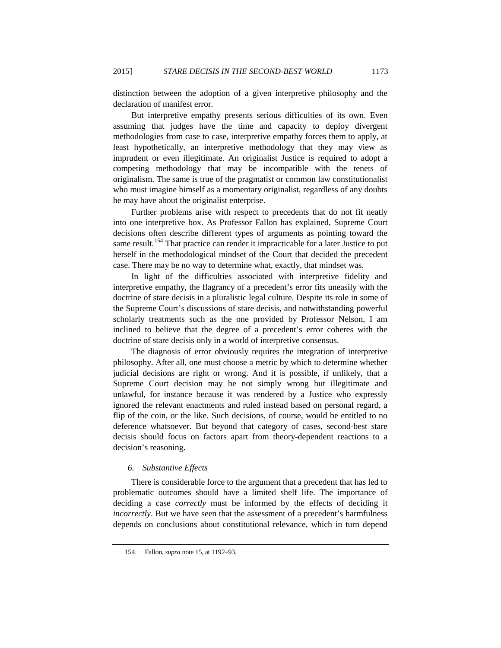distinction between the adoption of a given interpretive philosophy and the declaration of manifest error.

But interpretive empathy presents serious difficulties of its own. Even assuming that judges have the time and capacity to deploy divergent methodologies from case to case, interpretive empathy forces them to apply, at least hypothetically, an interpretive methodology that they may view as imprudent or even illegitimate. An originalist Justice is required to adopt a competing methodology that may be incompatible with the tenets of originalism. The same is true of the pragmatist or common law constitutionalist who must imagine himself as a momentary originalist, regardless of any doubts he may have about the originalist enterprise.

Further problems arise with respect to precedents that do not fit neatly into one interpretive box. As Professor Fallon has explained, Supreme Court decisions often describe different types of arguments as pointing toward the same result.<sup>[154](#page-34-0)</sup> That practice can render it impracticable for a later Justice to put herself in the methodological mindset of the Court that decided the precedent case. There may be no way to determine what, exactly, that mindset was.

In light of the difficulties associated with interpretive fidelity and interpretive empathy, the flagrancy of a precedent's error fits uneasily with the doctrine of stare decisis in a pluralistic legal culture. Despite its role in some of the Supreme Court's discussions of stare decisis, and notwithstanding powerful scholarly treatments such as the one provided by Professor Nelson, I am inclined to believe that the degree of a precedent's error coheres with the doctrine of stare decisis only in a world of interpretive consensus.

The diagnosis of error obviously requires the integration of interpretive philosophy. After all, one must choose a metric by which to determine whether judicial decisions are right or wrong. And it is possible, if unlikely, that a Supreme Court decision may be not simply wrong but illegitimate and unlawful, for instance because it was rendered by a Justice who expressly ignored the relevant enactments and ruled instead based on personal regard, a flip of the coin, or the like. Such decisions, of course, would be entitled to no deference whatsoever. But beyond that category of cases, second-best stare decisis should focus on factors apart from theory-dependent reactions to a decision's reasoning.

# *6. Substantive Effects*

There is considerable force to the argument that a precedent that has led to problematic outcomes should have a limited shelf life. The importance of deciding a case *correctly* must be informed by the effects of deciding it *incorrectly*. But we have seen that the assessment of a precedent's harmfulness depends on conclusions about constitutional relevance, which in turn depend

<span id="page-34-0"></span><sup>154.</sup> Fallon, *supra* not[e 15,](#page-6-3) at 1192–93.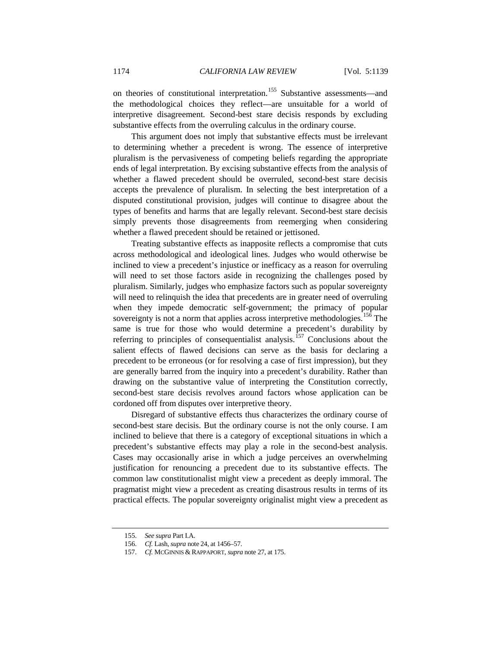on theories of constitutional interpretation.<sup>[155](#page-35-0)</sup> Substantive assessments—and the methodological choices they reflect—are unsuitable for a world of interpretive disagreement. Second-best stare decisis responds by excluding substantive effects from the overruling calculus in the ordinary course.

This argument does not imply that substantive effects must be irrelevant to determining whether a precedent is wrong. The essence of interpretive pluralism is the pervasiveness of competing beliefs regarding the appropriate ends of legal interpretation. By excising substantive effects from the analysis of whether a flawed precedent should be overruled, second-best stare decisis accepts the prevalence of pluralism. In selecting the best interpretation of a disputed constitutional provision, judges will continue to disagree about the types of benefits and harms that are legally relevant. Second-best stare decisis simply prevents those disagreements from reemerging when considering whether a flawed precedent should be retained or jettisoned.

Treating substantive effects as inapposite reflects a compromise that cuts across methodological and ideological lines. Judges who would otherwise be inclined to view a precedent's injustice or inefficacy as a reason for overruling will need to set those factors aside in recognizing the challenges posed by pluralism. Similarly, judges who emphasize factors such as popular sovereignty will need to relinquish the idea that precedents are in greater need of overruling when they impede democratic self-government; the primacy of popular sovereignty is not a norm that applies across interpretive methodologies.<sup>[156](#page-35-1)</sup> The same is true for those who would determine a precedent's durability by referring to principles of consequentialist analysis.<sup>[157](#page-35-2)</sup> Conclusions about the salient effects of flawed decisions can serve as the basis for declaring a precedent to be erroneous (or for resolving a case of first impression), but they are generally barred from the inquiry into a precedent's durability. Rather than drawing on the substantive value of interpreting the Constitution correctly, second-best stare decisis revolves around factors whose application can be cordoned off from disputes over interpretive theory.

Disregard of substantive effects thus characterizes the ordinary course of second-best stare decisis. But the ordinary course is not the only course. I am inclined to believe that there is a category of exceptional situations in which a precedent's substantive effects may play a role in the second-best analysis. Cases may occasionally arise in which a judge perceives an overwhelming justification for renouncing a precedent due to its substantive effects. The common law constitutionalist might view a precedent as deeply immoral. The pragmatist might view a precedent as creating disastrous results in terms of its practical effects. The popular sovereignty originalist might view a precedent as

<span id="page-35-1"></span><span id="page-35-0"></span><sup>155.</sup> *See supra* Part I.A.

<sup>156.</sup> *Cf.* Lash, *supra* not[e 24,](#page-9-7) at 1456–57.

<span id="page-35-2"></span><sup>157.</sup> *Cf.* MCGINNIS & RAPPAPORT, *supra* not[e 27,](#page-9-8) at 175.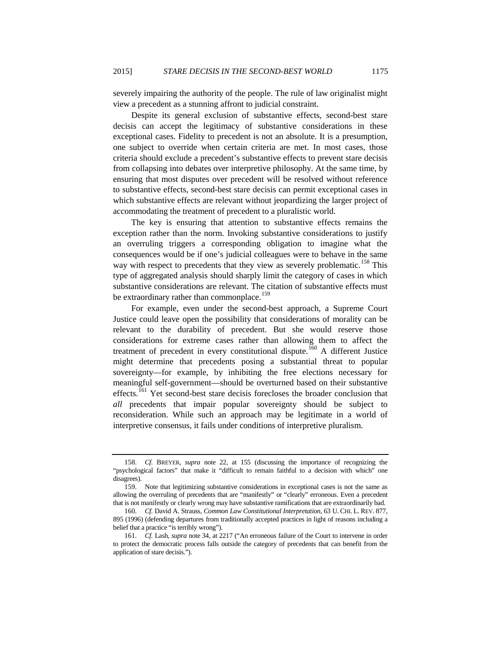severely impairing the authority of the people. The rule of law originalist might view a precedent as a stunning affront to judicial constraint.

Despite its general exclusion of substantive effects, second-best stare decisis can accept the legitimacy of substantive considerations in these exceptional cases. Fidelity to precedent is not an absolute. It is a presumption, one subject to override when certain criteria are met. In most cases, those criteria should exclude a precedent's substantive effects to prevent stare decisis from collapsing into debates over interpretive philosophy. At the same time, by ensuring that most disputes over precedent will be resolved without reference to substantive effects, second-best stare decisis can permit exceptional cases in which substantive effects are relevant without jeopardizing the larger project of accommodating the treatment of precedent to a pluralistic world.

The key is ensuring that attention to substantive effects remains the exception rather than the norm. Invoking substantive considerations to justify an overruling triggers a corresponding obligation to imagine what the consequences would be if one's judicial colleagues were to behave in the same way with respect to precedents that they view as severely problematic.<sup>[158](#page-36-0)</sup> This type of aggregated analysis should sharply limit the category of cases in which substantive considerations are relevant. The citation of substantive effects must be extraordinary rather than commonplace.<sup>[159](#page-36-1)</sup>

For example, even under the second-best approach, a Supreme Court Justice could leave open the possibility that considerations of morality can be relevant to the durability of precedent. But she would reserve those considerations for extreme cases rather than allowing them to affect the treatment of precedent in every constitutional dispute.<sup>[160](#page-36-2)</sup> A different Justice might determine that precedents posing a substantial threat to popular sovereignty—for example, by inhibiting the free elections necessary for meaningful self-government—should be overturned based on their substantive effects.<sup>[161](#page-36-3)</sup> Yet second-best stare decisis forecloses the broader conclusion that *all* precedents that impair popular sovereignty should be subject to reconsideration. While such an approach may be legitimate in a world of interpretive consensus, it fails under conditions of interpretive pluralism.

<span id="page-36-4"></span><span id="page-36-0"></span><sup>158.</sup> *Cf.* BREYER, *supra* note [22,](#page-8-6) at 155 (discussing the importance of recognizing the "psychological factors" that make it "difficult to remain faithful to a decision with which" one disagrees).

<span id="page-36-1"></span><sup>159.</sup> Note that legitimizing substantive considerations in exceptional cases is not the same as allowing the overruling of precedents that are "manifestly" or "clearly" erroneous. Even a precedent that is not manifestly or clearly wrong may have substantive ramifications that are extraordinarily bad.

<span id="page-36-2"></span><sup>160.</sup> *Cf.* David A. Strauss, *Common Law Constitutional Interpretation*, 63 U. CHI. L. REV. 877, 895 (1996) (defending departures from traditionally accepted practices in light of reasons including a belief that a practice "is terribly wrong").

<span id="page-36-3"></span><sup>161.</sup> *Cf.* Lash, *supra* note [34,](#page-10-9) at 2217 ("An erroneous failure of the Court to intervene in order to protect the democratic process falls outside the category of precedents that can benefit from the application of stare decisis.").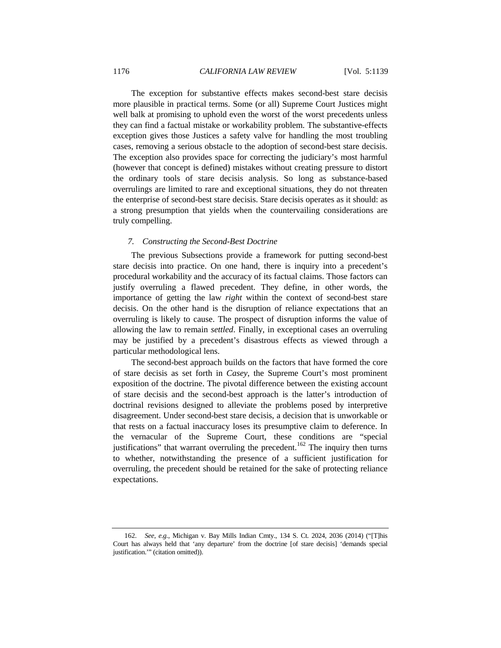The exception for substantive effects makes second-best stare decisis more plausible in practical terms. Some (or all) Supreme Court Justices might well balk at promising to uphold even the worst of the worst precedents unless they can find a factual mistake or workability problem. The substantive-effects exception gives those Justices a safety valve for handling the most troubling cases, removing a serious obstacle to the adoption of second-best stare decisis. The exception also provides space for correcting the judiciary's most harmful (however that concept is defined) mistakes without creating pressure to distort the ordinary tools of stare decisis analysis. So long as substance-based overrulings are limited to rare and exceptional situations, they do not threaten the enterprise of second-best stare decisis. Stare decisis operates as it should: as a strong presumption that yields when the countervailing considerations are truly compelling.

#### *7. Constructing the Second-Best Doctrine*

The previous Subsections provide a framework for putting second-best stare decisis into practice. On one hand, there is inquiry into a precedent's procedural workability and the accuracy of its factual claims. Those factors can justify overruling a flawed precedent. They define, in other words, the importance of getting the law *right* within the context of second-best stare decisis. On the other hand is the disruption of reliance expectations that an overruling is likely to cause. The prospect of disruption informs the value of allowing the law to remain *settled*. Finally, in exceptional cases an overruling may be justified by a precedent's disastrous effects as viewed through a particular methodological lens.

The second-best approach builds on the factors that have formed the core of stare decisis as set forth in *Casey*, the Supreme Court's most prominent exposition of the doctrine. The pivotal difference between the existing account of stare decisis and the second-best approach is the latter's introduction of doctrinal revisions designed to alleviate the problems posed by interpretive disagreement. Under second-best stare decisis, a decision that is unworkable or that rests on a factual inaccuracy loses its presumptive claim to deference. In the vernacular of the Supreme Court, these conditions are "special justifications" that warrant overruling the precedent.<sup>[162](#page-37-0)</sup> The inquiry then turns to whether, notwithstanding the presence of a sufficient justification for overruling, the precedent should be retained for the sake of protecting reliance expectations.

<span id="page-37-0"></span><sup>162.</sup> *See, e.g.*, Michigan v. Bay Mills Indian Cmty., 134 S. Ct. 2024, 2036 (2014) ("[T]his Court has always held that 'any departure' from the doctrine [of stare decisis] 'demands special justification.'" (citation omitted)).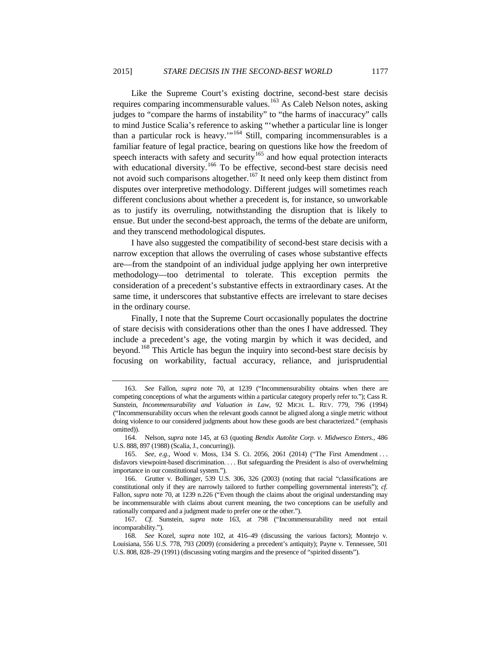<span id="page-38-0"></span>Like the Supreme Court's existing doctrine, second-best stare decisis requires comparing incommensurable values.<sup>[163](#page-38-1)</sup> As Caleb Nelson notes, asking judges to "compare the harms of instability" to "the harms of inaccuracy" calls to mind Justice Scalia's reference to asking "'whether a particular line is longer than a particular rock is heavy."<sup>[164](#page-38-2)</sup> Still, comparing incommensurables is a familiar feature of legal practice, bearing on questions like how the freedom of speech interacts with safety and security<sup>[165](#page-38-3)</sup> and how equal protection interacts with educational diversity.<sup>[166](#page-38-4)</sup> To be effective, second-best stare decisis need not avoid such comparisons altogether.<sup>[167](#page-38-5)</sup> It need only keep them distinct from disputes over interpretive methodology. Different judges will sometimes reach different conclusions about whether a precedent is, for instance, so unworkable as to justify its overruling, notwithstanding the disruption that is likely to ensue. But under the second-best approach, the terms of the debate are uniform, and they transcend methodological disputes.

I have also suggested the compatibility of second-best stare decisis with a narrow exception that allows the overruling of cases whose substantive effects are—from the standpoint of an individual judge applying her own interpretive methodology—too detrimental to tolerate. This exception permits the consideration of a precedent's substantive effects in extraordinary cases. At the same time, it underscores that substantive effects are irrelevant to stare decises in the ordinary course.

Finally, I note that the Supreme Court occasionally populates the doctrine of stare decisis with considerations other than the ones I have addressed. They include a precedent's age, the voting margin by which it was decided, and beyond.<sup>[168](#page-38-6)</sup> This Article has begun the inquiry into second-best stare decisis by focusing on workability, factual accuracy, reliance, and jurisprudential

<span id="page-38-1"></span><sup>163.</sup> *See* Fallon, *supra* note 70, at 1239 ("Incommensurability obtains when there are competing conceptions of what the arguments within a particular category properly refer to."); Cass R. Sunstein, *Incommensurability and Valuation in Law*, 92 MICH. L. REV. 779, 796 (1994) ("Incommensurability occurs when the relevant goods cannot be aligned along a single metric without doing violence to our considered judgments about how these goods are best characterized." (emphasis omitted)).

<span id="page-38-2"></span><sup>164.</sup> Nelson, *supra* note [145,](#page-32-0) at 63 (quoting *Bendix Autolite Corp. v. Midwesco Enters.*, 486 U.S. 888, 897 (1988) (Scalia, J., concurring)).

<span id="page-38-3"></span><sup>165.</sup> *See, e.g.*, Wood v. Moss, 134 S. Ct. 2056, 2061 (2014) ("The First Amendment . . . disfavors viewpoint-based discrimination. . . . But safeguarding the President is also of overwhelming importance in our constitutional system.").

<span id="page-38-4"></span><sup>166.</sup> Grutter v. Bollinger, 539 U.S. 306, 326 (2003) (noting that racial "classifications are constitutional only if they are narrowly tailored to further compelling governmental interests"); *cf.* Fallon, *supra* note 70, at 1239 n.226 ("Even though the claims about the original understanding may be incommensurable with claims about current meaning, the two conceptions can be usefully and rationally compared and a judgment made to prefer one or the other.").

<span id="page-38-5"></span><sup>167.</sup> *Cf.* Sunstein, *supra* note [163,](#page-38-0) at 798 ("Incommensurability need not entail incomparability.").

<span id="page-38-6"></span><sup>168</sup>*. See* Kozel, *supra* note [102,](#page-22-7) at 416–49 (discussing the various factors); Montejo v. Louisiana, 556 U.S. 778, 793 (2009) (considering a precedent's antiquity); Payne v. Tennessee, 501 U.S. 808, 828–29 (1991) (discussing voting margins and the presence of "spirited dissents").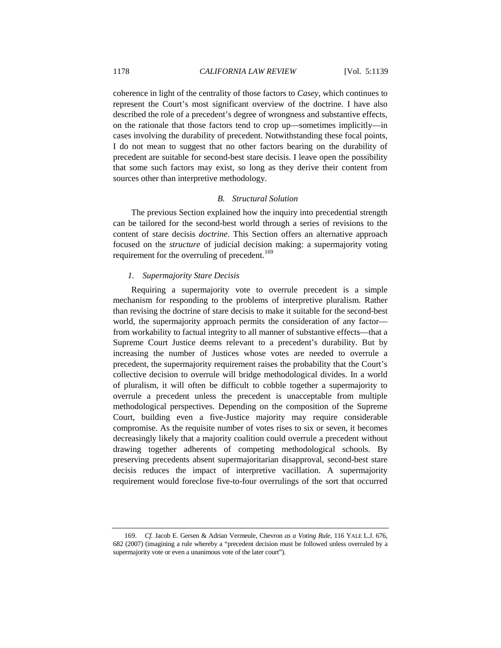coherence in light of the centrality of those factors to *Casey*, which continues to represent the Court's most significant overview of the doctrine. I have also described the role of a precedent's degree of wrongness and substantive effects, on the rationale that those factors tend to crop up—sometimes implicitly—in cases involving the durability of precedent. Notwithstanding these focal points, I do not mean to suggest that no other factors bearing on the durability of precedent are suitable for second-best stare decisis. I leave open the possibility that some such factors may exist, so long as they derive their content from sources other than interpretive methodology.

# *B. Structural Solution*

The previous Section explained how the inquiry into precedential strength can be tailored for the second-best world through a series of revisions to the content of stare decisis *doctrine*. This Section offers an alternative approach focused on the *structure* of judicial decision making: a supermajority voting requirement for the overruling of precedent.<sup>[169](#page-39-0)</sup>

# *1. Supermajority Stare Decisis*

Requiring a supermajority vote to overrule precedent is a simple mechanism for responding to the problems of interpretive pluralism. Rather than revising the doctrine of stare decisis to make it suitable for the second-best world, the supermajority approach permits the consideration of any factor from workability to factual integrity to all manner of substantive effects—that a Supreme Court Justice deems relevant to a precedent's durability. But by increasing the number of Justices whose votes are needed to overrule a precedent, the supermajority requirement raises the probability that the Court's collective decision to overrule will bridge methodological divides. In a world of pluralism, it will often be difficult to cobble together a supermajority to overrule a precedent unless the precedent is unacceptable from multiple methodological perspectives. Depending on the composition of the Supreme Court, building even a five-Justice majority may require considerable compromise. As the requisite number of votes rises to six or seven, it becomes decreasingly likely that a majority coalition could overrule a precedent without drawing together adherents of competing methodological schools. By preserving precedents absent supermajoritarian disapproval, second-best stare decisis reduces the impact of interpretive vacillation. A supermajority requirement would foreclose five-to-four overrulings of the sort that occurred

<span id="page-39-0"></span><sup>169.</sup> *Cf.* Jacob E. Gersen & Adrian Vermeule, Chevron *as a Voting Rule*, 116 YALE L.J. 676, 682 (2007) (imagining a rule whereby a "precedent decision must be followed unless overruled by a supermajority vote or even a unanimous vote of the later court").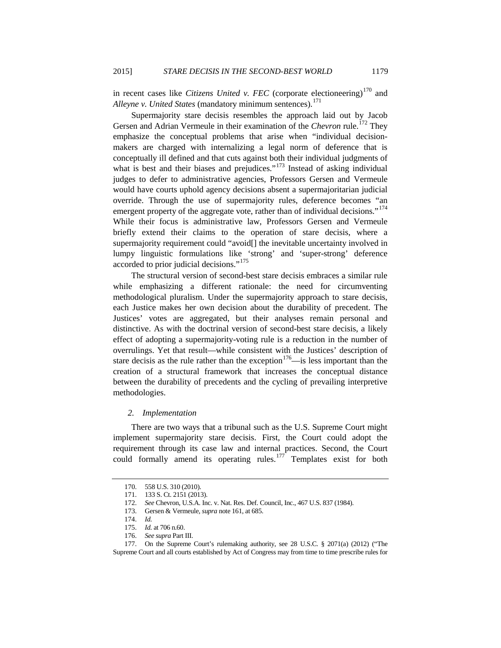in recent cases like *Citizens United v. FEC* (corporate electioneering)<sup>[170](#page-40-0)</sup> and *Alleyne v. United States* (mandatory minimum sentences). [171](#page-40-1)

Supermajority stare decisis resembles the approach laid out by Jacob Gersen and Adrian Vermeule in their examination of the *Chevron* rule.<sup>[172](#page-40-2)</sup> They emphasize the conceptual problems that arise when "individual decisionmakers are charged with internalizing a legal norm of deference that is conceptually ill defined and that cuts against both their individual judgments of what is best and their biases and prejudices."<sup>[173](#page-40-3)</sup> Instead of asking individual judges to defer to administrative agencies, Professors Gersen and Vermeule would have courts uphold agency decisions absent a supermajoritarian judicial override. Through the use of supermajority rules, deference becomes "an emergent property of the aggregate vote, rather than of individual decisions."<sup>[174](#page-40-4)</sup> While their focus is administrative law, Professors Gersen and Vermeule briefly extend their claims to the operation of stare decisis, where a supermajority requirement could "avoid[] the inevitable uncertainty involved in lumpy linguistic formulations like 'strong' and 'super-strong' deference accorded to prior judicial decisions."[175](#page-40-5)

The structural version of second-best stare decisis embraces a similar rule while emphasizing a different rationale: the need for circumventing methodological pluralism. Under the supermajority approach to stare decisis, each Justice makes her own decision about the durability of precedent. The Justices' votes are aggregated, but their analyses remain personal and distinctive. As with the doctrinal version of second-best stare decisis, a likely effect of adopting a supermajority-voting rule is a reduction in the number of overrulings. Yet that result—while consistent with the Justices' description of stare decisis as the rule rather than the exception<sup>[176](#page-40-6)</sup>—is less important than the creation of a structural framework that increases the conceptual distance between the durability of precedents and the cycling of prevailing interpretive methodologies.

# *2. Implementation*

There are two ways that a tribunal such as the U.S. Supreme Court might implement supermajority stare decisis. First, the Court could adopt the requirement through its case law and internal practices. Second, the Court could formally amend its operating rules.<sup>[177](#page-40-7)</sup> Templates exist for both

<span id="page-40-0"></span><sup>170.</sup> 558 U.S. 310 (2010).

<sup>171.</sup> 133 S. Ct. 2151 (2013).

<sup>172.</sup> *See* Chevron, U.S.A. Inc. v. Nat. Res. Def. Council, Inc., 467 U.S. 837 (1984).

<sup>173.</sup> Gersen & Vermeule, *supra* not[e 161,](#page-36-4) at 685.

<sup>174.</sup> *Id.*

<sup>175.</sup> *Id.* at 706 n.60. 176. *See supra* Part III.

<span id="page-40-7"></span><span id="page-40-6"></span><span id="page-40-5"></span><span id="page-40-4"></span><span id="page-40-3"></span><span id="page-40-2"></span><span id="page-40-1"></span><sup>177.</sup> On the Supreme Court's rulemaking authority, see 28 U.S.C. § 2071(a) (2012) ("The Supreme Court and all courts established by Act of Congress may from time to time prescribe rules for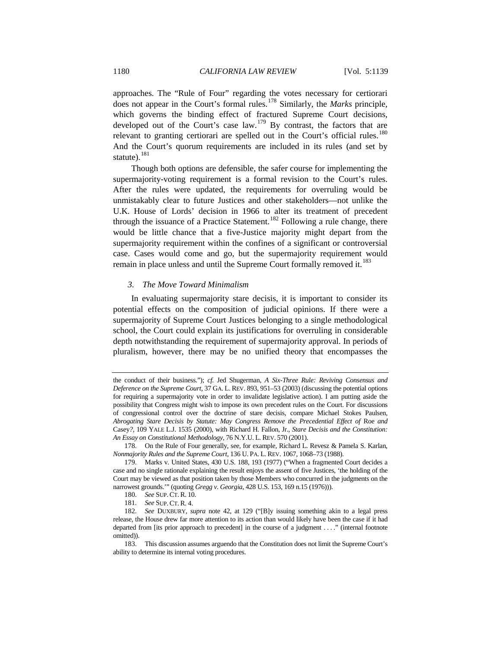approaches. The "Rule of Four" regarding the votes necessary for certiorari does not appear in the Court's formal rules.[178](#page-41-0) Similarly, the *Marks* principle, which governs the binding effect of fractured Supreme Court decisions, developed out of the Court's case  $law$ .<sup>[179](#page-41-1)</sup> By contrast, the factors that are relevant to granting certiorari are spelled out in the Court's official rules.<sup>[180](#page-41-2)</sup> And the Court's quorum requirements are included in its rules (and set by statute). $^{181}$  $^{181}$  $^{181}$ 

Though both options are defensible, the safer course for implementing the supermajority-voting requirement is a formal revision to the Court's rules. After the rules were updated, the requirements for overruling would be unmistakably clear to future Justices and other stakeholders—not unlike the U.K. House of Lords' decision in 1966 to alter its treatment of precedent through the issuance of a Practice Statement.<sup>[182](#page-41-4)</sup> Following a rule change, there would be little chance that a five-Justice majority might depart from the supermajority requirement within the confines of a significant or controversial case. Cases would come and go, but the supermajority requirement would remain in place unless and until the Supreme Court formally removed it.<sup>[183](#page-41-5)</sup>

## *3. The Move Toward Minimalism*

In evaluating supermajority stare decisis, it is important to consider its potential effects on the composition of judicial opinions. If there were a supermajority of Supreme Court Justices belonging to a single methodological school, the Court could explain its justifications for overruling in considerable depth notwithstanding the requirement of supermajority approval. In periods of pluralism, however, there may be no unified theory that encompasses the

the conduct of their business."); *cf.* Jed Shugerman, *A Six-Three Rule: Reviving Consensus and Deference on the Supreme Court*, 37 GA. L. REV. 893, 951–53 (2003) (discussing the potential options for requiring a supermajority vote in order to invalidate legislative action). I am putting aside the possibility that Congress might wish to impose its own precedent rules on the Court. For discussions of congressional control over the doctrine of stare decisis, compare Michael Stokes Paulsen, *Abrogating Stare Decisis by Statute: May Congress Remove the Precedential Effect of* Roe *and* Casey*?*, 109 YALE L.J. 1535 (2000), with Richard H. Fallon, Jr., *Stare Decisis and the Constitution: An Essay on Constitutional Methodology*, 76 N.Y.U. L. REV. 570 (2001).

<span id="page-41-0"></span><sup>178.</sup> On the Rule of Four generally, see, for example, Richard L. Revesz & Pamela S. Karlan, *Nonmajority Rules and the Supreme Court*, 136 U. PA. L. REV. 1067, 1068–73 (1988).

<span id="page-41-1"></span><sup>179.</sup> Marks v. United States, 430 U.S. 188, 193 (1977) ("When a fragmented Court decides a case and no single rationale explaining the result enjoys the assent of five Justices, 'the holding of the Court may be viewed as that position taken by those Members who concurred in the judgments on the narrowest grounds.'" (quoting *Gregg v. Georgia*, 428 U.S. 153, 169 n.15 (1976))).

<sup>180.</sup> *See* SUP. CT. R. 10.

<sup>181.</sup> *See* SUP. CT. R. 4.

<span id="page-41-4"></span><span id="page-41-3"></span><span id="page-41-2"></span><sup>182.</sup> *See* DUXBURY, *supra* note [42,](#page-11-10) at 129 ("[B]y issuing something akin to a legal press release, the House drew far more attention to its action than would likely have been the case if it had departed from [its prior approach to precedent] in the course of a judgment . . . ." (internal footnote omitted)).

<span id="page-41-5"></span><sup>183.</sup> This discussion assumes arguendo that the Constitution does not limit the Supreme Court's ability to determine its internal voting procedures.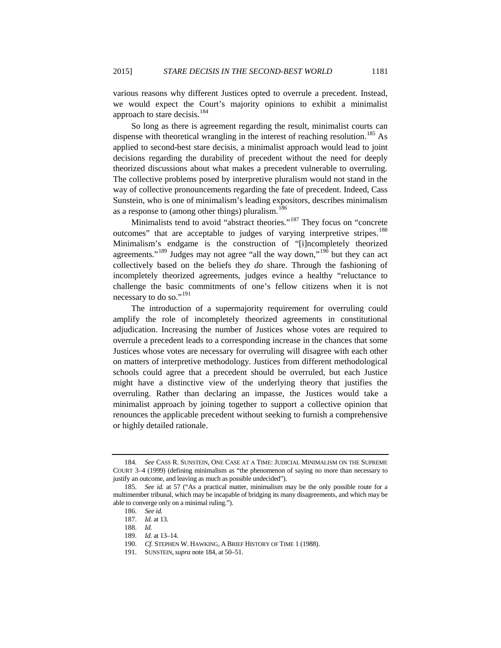various reasons why different Justices opted to overrule a precedent. Instead, we would expect the Court's majority opinions to exhibit a minimalist approach to stare decisis.<sup>[184](#page-42-0)</sup>

So long as there is agreement regarding the result, minimalist courts can dispense with theoretical wrangling in the interest of reaching resolution.<sup>[185](#page-42-1)</sup> As applied to second-best stare decisis, a minimalist approach would lead to joint decisions regarding the durability of precedent without the need for deeply theorized discussions about what makes a precedent vulnerable to overruling. The collective problems posed by interpretive pluralism would not stand in the way of collective pronouncements regarding the fate of precedent. Indeed, Cass Sunstein, who is one of minimalism's leading expositors, describes minimalism as a response to (among other things) pluralism.<sup>[186](#page-42-2)</sup>

Minimalists tend to avoid "abstract theories."<sup>[187](#page-42-3)</sup> They focus on "concrete" outcomes" that are acceptable to judges of varying interpretive stripes.<sup>[188](#page-42-4)</sup> Minimalism's endgame is the construction of "[i]ncompletely theorized agreements."<sup>[189](#page-42-5)</sup> Judges may not agree "all the way down,"<sup>[190](#page-42-6)</sup> but they can act collectively based on the beliefs they *do* share. Through the fashioning of incompletely theorized agreements, judges evince a healthy "reluctance to challenge the basic commitments of one's fellow citizens when it is not necessary to do so."<sup>[191](#page-42-7)</sup>

The introduction of a supermajority requirement for overruling could amplify the role of incompletely theorized agreements in constitutional adjudication. Increasing the number of Justices whose votes are required to overrule a precedent leads to a corresponding increase in the chances that some Justices whose votes are necessary for overruling will disagree with each other on matters of interpretive methodology. Justices from different methodological schools could agree that a precedent should be overruled, but each Justice might have a distinctive view of the underlying theory that justifies the overruling. Rather than declaring an impasse, the Justices would take a minimalist approach by joining together to support a collective opinion that renounces the applicable precedent without seeking to furnish a comprehensive or highly detailed rationale.

<span id="page-42-0"></span><sup>184.</sup> *See* CASS R. SUNSTEIN, ONE CASE AT A TIME: JUDICIAL MINIMALISM ON THE SUPREME COURT 3–4 (1999) (defining minimalism as "the phenomenon of saying no more than necessary to justify an outcome, and leaving as much as possible undecided").

<span id="page-42-5"></span><span id="page-42-4"></span><span id="page-42-3"></span><span id="page-42-2"></span><span id="page-42-1"></span><sup>185.</sup> *See id.* at 57 ("As a practical matter, minimalism may be the only possible route for a multimember tribunal, which may be incapable of bridging its many disagreements, and which may be able to converge only on a minimal ruling.").

<sup>186.</sup> *See id.*

<sup>187.</sup> *Id.* at 13.

<sup>188.</sup> *Id.*

<sup>189.</sup> *Id.* at 13–14.

<sup>190.</sup> *Cf.* STEPHEN W. HAWKING, A BRIEF HISTORY OF TIME 1 (1988).

<span id="page-42-7"></span><span id="page-42-6"></span><sup>191.</sup> SUNSTEIN,*supra* note 184, at 50–51.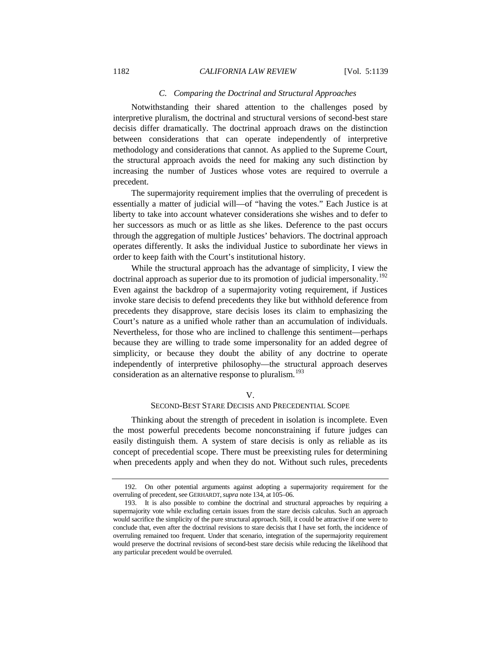# *C. Comparing the Doctrinal and Structural Approaches*

Notwithstanding their shared attention to the challenges posed by interpretive pluralism, the doctrinal and structural versions of second-best stare decisis differ dramatically. The doctrinal approach draws on the distinction between considerations that can operate independently of interpretive methodology and considerations that cannot. As applied to the Supreme Court, the structural approach avoids the need for making any such distinction by increasing the number of Justices whose votes are required to overrule a precedent.

The supermajority requirement implies that the overruling of precedent is essentially a matter of judicial will—of "having the votes." Each Justice is at liberty to take into account whatever considerations she wishes and to defer to her successors as much or as little as she likes. Deference to the past occurs through the aggregation of multiple Justices' behaviors. The doctrinal approach operates differently. It asks the individual Justice to subordinate her views in order to keep faith with the Court's institutional history.

While the structural approach has the advantage of simplicity, I view the doctrinal approach as superior due to its promotion of judicial impersonality.<sup>[192](#page-43-0)</sup> Even against the backdrop of a supermajority voting requirement, if Justices invoke stare decisis to defend precedents they like but withhold deference from precedents they disapprove, stare decisis loses its claim to emphasizing the Court's nature as a unified whole rather than an accumulation of individuals. Nevertheless, for those who are inclined to challenge this sentiment—perhaps because they are willing to trade some impersonality for an added degree of simplicity, or because they doubt the ability of any doctrine to operate independently of interpretive philosophy—the structural approach deserves consideration as an alternative response to pluralism.<sup>[193](#page-43-1)</sup>

#### V.

# SECOND-BEST STARE DECISIS AND PRECEDENTIAL SCOPE

Thinking about the strength of precedent in isolation is incomplete. Even the most powerful precedents become nonconstraining if future judges can easily distinguish them. A system of stare decisis is only as reliable as its concept of precedential scope. There must be preexisting rules for determining when precedents apply and when they do not. Without such rules, precedents

<span id="page-43-0"></span><sup>192.</sup> On other potential arguments against adopting a supermajority requirement for the overruling of precedent, see GERHARDT,*supra* not[e 134,](#page-29-4) at 105–06.

<span id="page-43-1"></span><sup>193.</sup> It is also possible to combine the doctrinal and structural approaches by requiring a supermajority vote while excluding certain issues from the stare decisis calculus. Such an approach would sacrifice the simplicity of the pure structural approach. Still, it could be attractive if one were to conclude that, even after the doctrinal revisions to stare decisis that I have set forth, the incidence of overruling remained too frequent. Under that scenario, integration of the supermajority requirement would preserve the doctrinal revisions of second-best stare decisis while reducing the likelihood that any particular precedent would be overruled.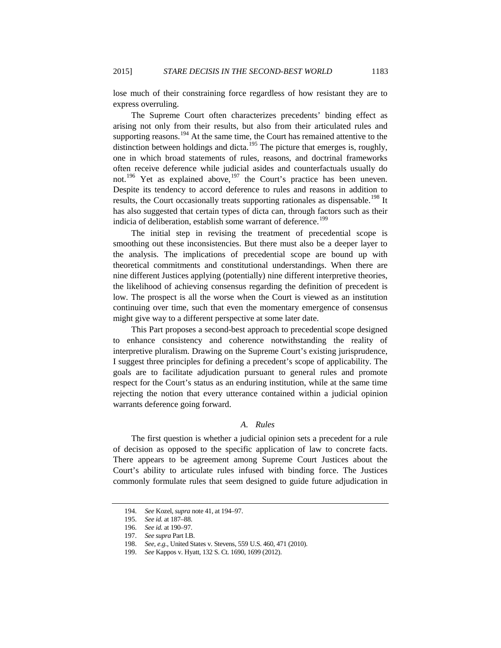lose much of their constraining force regardless of how resistant they are to express overruling.

The Supreme Court often characterizes precedents' binding effect as arising not only from their results, but also from their articulated rules and supporting reasons.<sup>[194](#page-44-0)</sup> At the same time, the Court has remained attentive to the distinction between holdings and dicta.<sup>[195](#page-44-1)</sup> The picture that emerges is, roughly, one in which broad statements of rules, reasons, and doctrinal frameworks often receive deference while judicial asides and counterfactuals usually do not.<sup>[196](#page-44-2)</sup> Yet as explained above,<sup>[197](#page-44-3)</sup> the Court's practice has been uneven. Despite its tendency to accord deference to rules and reasons in addition to results, the Court occasionally treats supporting rationales as dispensable.<sup>[198](#page-44-4)</sup> It has also suggested that certain types of dicta can, through factors such as their indicia of deliberation, establish some warrant of deference.<sup>[199](#page-44-5)</sup>

The initial step in revising the treatment of precedential scope is smoothing out these inconsistencies. But there must also be a deeper layer to the analysis. The implications of precedential scope are bound up with theoretical commitments and constitutional understandings. When there are nine different Justices applying (potentially) nine different interpretive theories, the likelihood of achieving consensus regarding the definition of precedent is low. The prospect is all the worse when the Court is viewed as an institution continuing over time, such that even the momentary emergence of consensus might give way to a different perspective at some later date.

This Part proposes a second-best approach to precedential scope designed to enhance consistency and coherence notwithstanding the reality of interpretive pluralism. Drawing on the Supreme Court's existing jurisprudence, I suggest three principles for defining a precedent's scope of applicability. The goals are to facilitate adjudication pursuant to general rules and promote respect for the Court's status as an enduring institution, while at the same time rejecting the notion that every utterance contained within a judicial opinion warrants deference going forward.

# *A. Rules*

The first question is whether a judicial opinion sets a precedent for a rule of decision as opposed to the specific application of law to concrete facts. There appears to be agreement among Supreme Court Justices about the Court's ability to articulate rules infused with binding force. The Justices commonly formulate rules that seem designed to guide future adjudication in

<span id="page-44-1"></span><span id="page-44-0"></span><sup>194.</sup> *See* Kozel, *supra* not[e 41,](#page-11-0) at 194–97.

<sup>195.</sup> *See id.* at 187–88.

<span id="page-44-3"></span><span id="page-44-2"></span><sup>196.</sup> *See id.* at 190–97.

<sup>197.</sup> *See supra* Part I.B.

<sup>198.</sup> *See, e.g.*, United States v. Stevens, 559 U.S. 460, 471 (2010).

<span id="page-44-5"></span><span id="page-44-4"></span><sup>199.</sup> *See* Kappos v. Hyatt, 132 S. Ct. 1690, 1699 (2012).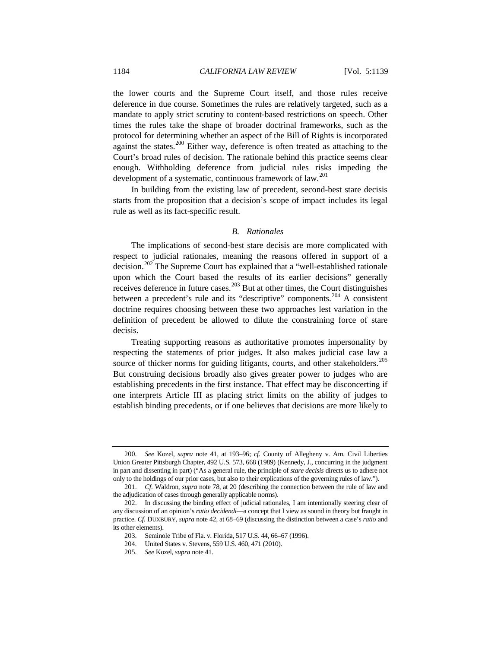the lower courts and the Supreme Court itself, and those rules receive deference in due course. Sometimes the rules are relatively targeted, such as a mandate to apply strict scrutiny to content-based restrictions on speech. Other times the rules take the shape of broader doctrinal frameworks, such as the protocol for determining whether an aspect of the Bill of Rights is incorporated against the states.<sup>[200](#page-45-0)</sup> Either way, deference is often treated as attaching to the Court's broad rules of decision. The rationale behind this practice seems clear enough. Withholding deference from judicial rules risks impeding the development of a systematic, continuous framework of law.<sup>[201](#page-45-1)</sup>

In building from the existing law of precedent, second-best stare decisis starts from the proposition that a decision's scope of impact includes its legal rule as well as its fact-specific result.

# *B. Rationales*

The implications of second-best stare decisis are more complicated with respect to judicial rationales, meaning the reasons offered in support of a decision.[202](#page-45-2) The Supreme Court has explained that a "well-established rationale upon which the Court based the results of its earlier decisions" generally receives deference in future cases.<sup>[203](#page-45-3)</sup> But at other times, the Court distinguishes between a precedent's rule and its "descriptive" components.<sup>[204](#page-45-4)</sup> A consistent doctrine requires choosing between these two approaches lest variation in the definition of precedent be allowed to dilute the constraining force of stare decisis.

Treating supporting reasons as authoritative promotes impersonality by respecting the statements of prior judges. It also makes judicial case law a source of thicker norms for guiding litigants, courts, and other stakeholders.<sup>[205](#page-45-5)</sup> But construing decisions broadly also gives greater power to judges who are establishing precedents in the first instance. That effect may be disconcerting if one interprets Article III as placing strict limits on the ability of judges to establish binding precedents, or if one believes that decisions are more likely to

<span id="page-45-0"></span><sup>200.</sup> *See* Kozel, *supra* note [41,](#page-11-0) at 193–96; *cf.* County of Allegheny v. Am. Civil Liberties Union Greater Pittsburgh Chapter, 492 U.S. 573, 668 (1989) (Kennedy, J., concurring in the judgment in part and dissenting in part) ("As a general rule, the principle of *stare decisis* directs us to adhere not only to the holdings of our prior cases, but also to their explications of the governing rules of law.").

<span id="page-45-1"></span><sup>201.</sup> *Cf.* Waldron, *supra* note [78,](#page-18-7) at 20 (describing the connection between the rule of law and the adjudication of cases through generally applicable norms).

<span id="page-45-5"></span><span id="page-45-4"></span><span id="page-45-3"></span><span id="page-45-2"></span><sup>202.</sup> In discussing the binding effect of judicial rationales, I am intentionally steering clear of any discussion of an opinion's *ratio decidendi*—a concept that I view as sound in theory but fraught in practice. *Cf.* DUXBURY, *supra* note [42,](#page-11-10) at 68–69 (discussing the distinction between a case's *ratio* and its other elements).

<sup>203.</sup> Seminole Tribe of Fla. v. Florida, 517 U.S. 44, 66–67 (1996).

<sup>204.</sup> United States v. Stevens, 559 U.S. 460, 471 (2010).

<sup>205.</sup> *See* Kozel, *supra* not[e 41.](#page-11-0)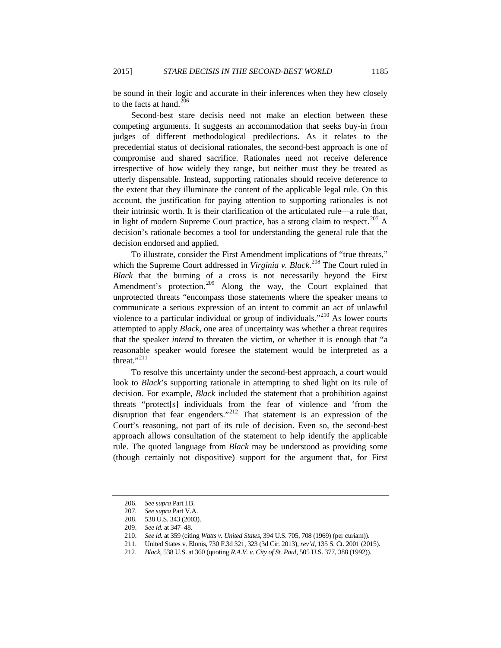be sound in their logic and accurate in their inferences when they hew closely to the facts at hand. $206$ 

Second-best stare decisis need not make an election between these competing arguments. It suggests an accommodation that seeks buy-in from judges of different methodological predilections. As it relates to the precedential status of decisional rationales, the second-best approach is one of compromise and shared sacrifice. Rationales need not receive deference irrespective of how widely they range, but neither must they be treated as utterly dispensable. Instead, supporting rationales should receive deference to the extent that they illuminate the content of the applicable legal rule. On this account, the justification for paying attention to supporting rationales is not their intrinsic worth. It is their clarification of the articulated rule—a rule that, in light of modern Supreme Court practice, has a strong claim to respect.<sup>[207](#page-46-1)</sup> A decision's rationale becomes a tool for understanding the general rule that the decision endorsed and applied.

To illustrate, consider the First Amendment implications of "true threats," which the Supreme Court addressed in *Virginia v. Black*. [208](#page-46-2) The Court ruled in *Black* that the burning of a cross is not necessarily beyond the First Amendment's protection.<sup>[209](#page-46-3)</sup> Along the way, the Court explained that unprotected threats "encompass those statements where the speaker means to communicate a serious expression of an intent to commit an act of unlawful violence to a particular individual or group of individuals."<sup>[210](#page-46-4)</sup> As lower courts attempted to apply *Black*, one area of uncertainty was whether a threat requires that the speaker *intend* to threaten the victim, or whether it is enough that "a reasonable speaker would foresee the statement would be interpreted as a threat."<sup>[211](#page-46-5)</sup>

To resolve this uncertainty under the second-best approach, a court would look to *Black*'s supporting rationale in attempting to shed light on its rule of decision. For example, *Black* included the statement that a prohibition against threats "protect[s] individuals from the fear of violence and 'from the disruption that fear engenders."<sup>[212](#page-46-6)</sup> That statement is an expression of the Court's reasoning, not part of its rule of decision. Even so, the second-best approach allows consultation of the statement to help identify the applicable rule. The quoted language from *Black* may be understood as providing some (though certainly not dispositive) support for the argument that, for First

<sup>206.</sup> *See supra* Part I.B.

<span id="page-46-1"></span><span id="page-46-0"></span><sup>207.</sup> *See supra* Part V.A.

<sup>208.</sup> 538 U.S. 343 (2003).

<span id="page-46-4"></span><span id="page-46-3"></span><span id="page-46-2"></span><sup>209.</sup> *See id.* at 347–48.

<sup>210.</sup> *See id.* at 359 (citing *Watts v. United States*, 394 U.S. 705, 708 (1969) (per curiam)).

<sup>211.</sup> United States v. Elonis, 730 F.3d 321, 323 (3d Cir. 2013), *rev'd*, 135 S. Ct. 2001 (2015).

<span id="page-46-6"></span><span id="page-46-5"></span><sup>212.</sup> *Black*, 538 U.S. at 360 (quoting *R.A.V. v. City of St. Paul*, 505 U.S. 377, 388 (1992)).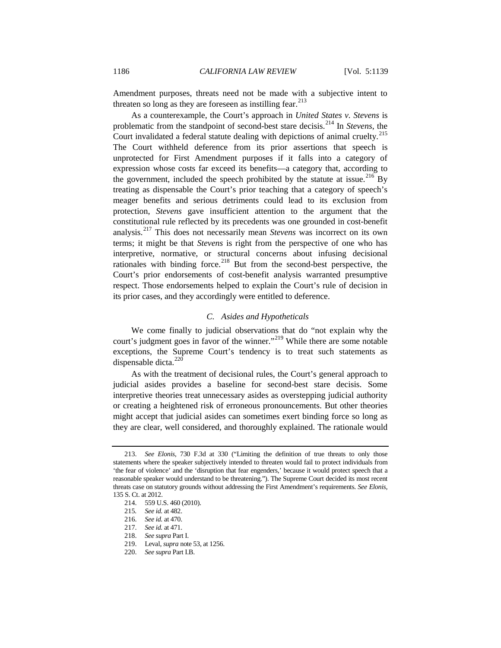Amendment purposes, threats need not be made with a subjective intent to threaten so long as they are foreseen as instilling fear. $^{213}$  $^{213}$  $^{213}$ 

As a counterexample, the Court's approach in *United States v. Stevens* is problematic from the standpoint of second-best stare decisis.[214](#page-47-1) In *Stevens*, the Court invalidated a federal statute dealing with depictions of animal cruelty.<sup>[215](#page-47-2)</sup> The Court withheld deference from its prior assertions that speech is unprotected for First Amendment purposes if it falls into a category of expression whose costs far exceed its benefits—a category that, according to the government, included the speech prohibited by the statute at issue.<sup>[216](#page-47-3)</sup> By treating as dispensable the Court's prior teaching that a category of speech's meager benefits and serious detriments could lead to its exclusion from protection, *Stevens* gave insufficient attention to the argument that the constitutional rule reflected by its precedents was one grounded in cost-benefit analysis.[217](#page-47-4) This does not necessarily mean *Stevens* was incorrect on its own terms; it might be that *Stevens* is right from the perspective of one who has interpretive, normative, or structural concerns about infusing decisional rationales with binding force.<sup>[218](#page-47-5)</sup> But from the second-best perspective, the Court's prior endorsements of cost-benefit analysis warranted presumptive respect. Those endorsements helped to explain the Court's rule of decision in its prior cases, and they accordingly were entitled to deference.

#### *C. Asides and Hypotheticals*

We come finally to judicial observations that do "not explain why the court's judgment goes in favor of the winner."<sup>[219](#page-47-6)</sup> While there are some notable exceptions, the Supreme Court's tendency is to treat such statements as dispensable dicta.<sup>[220](#page-47-7)</sup>

As with the treatment of decisional rules, the Court's general approach to judicial asides provides a baseline for second-best stare decisis. Some interpretive theories treat unnecessary asides as overstepping judicial authority or creating a heightened risk of erroneous pronouncements. But other theories might accept that judicial asides can sometimes exert binding force so long as they are clear, well considered, and thoroughly explained. The rationale would

<span id="page-47-1"></span><span id="page-47-0"></span><sup>213.</sup> *See Elonis*, 730 F.3d at 330 ("Limiting the definition of true threats to only those statements where the speaker subjectively intended to threaten would fail to protect individuals from 'the fear of violence' and the 'disruption that fear engenders,' because it would protect speech that a reasonable speaker would understand to be threatening."). The Supreme Court decided its most recent threats case on statutory grounds without addressing the First Amendment's requirements. *See Elonis*, 135 S. Ct. at 2012.

<sup>214.</sup> 559 U.S. 460 (2010).

<span id="page-47-2"></span><sup>215</sup>*. See id.* at 482.

<span id="page-47-3"></span><sup>216.</sup> *See id.* at 470.

<span id="page-47-4"></span><sup>217.</sup> *See id.* at 471.

<span id="page-47-5"></span><sup>218.</sup> *See supra* Part I.

<sup>219.</sup> Leval, *supra* not[e 53,](#page-12-8) at 1256.

<span id="page-47-7"></span><span id="page-47-6"></span><sup>220.</sup> *See supra* Part I.B.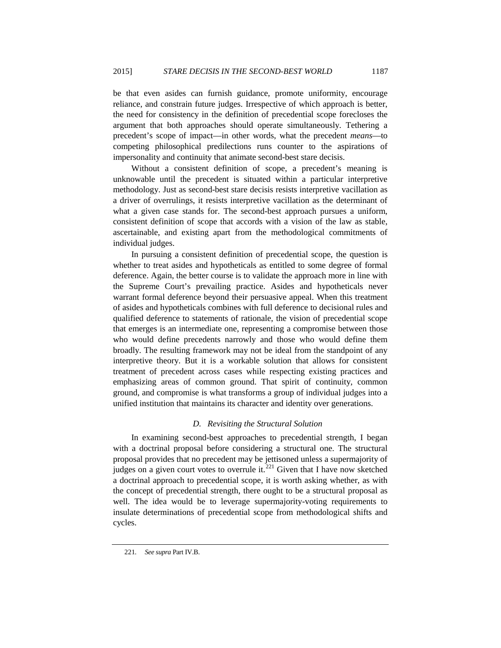be that even asides can furnish guidance, promote uniformity, encourage reliance, and constrain future judges. Irrespective of which approach is better, the need for consistency in the definition of precedential scope forecloses the argument that both approaches should operate simultaneously. Tethering a precedent's scope of impact—in other words, what the precedent *means*—to competing philosophical predilections runs counter to the aspirations of impersonality and continuity that animate second-best stare decisis.

Without a consistent definition of scope, a precedent's meaning is unknowable until the precedent is situated within a particular interpretive methodology. Just as second-best stare decisis resists interpretive vacillation as a driver of overrulings, it resists interpretive vacillation as the determinant of what a given case stands for. The second-best approach pursues a uniform, consistent definition of scope that accords with a vision of the law as stable, ascertainable, and existing apart from the methodological commitments of individual judges.

In pursuing a consistent definition of precedential scope, the question is whether to treat asides and hypotheticals as entitled to some degree of formal deference. Again, the better course is to validate the approach more in line with the Supreme Court's prevailing practice. Asides and hypotheticals never warrant formal deference beyond their persuasive appeal. When this treatment of asides and hypotheticals combines with full deference to decisional rules and qualified deference to statements of rationale, the vision of precedential scope that emerges is an intermediate one, representing a compromise between those who would define precedents narrowly and those who would define them broadly. The resulting framework may not be ideal from the standpoint of any interpretive theory. But it is a workable solution that allows for consistent treatment of precedent across cases while respecting existing practices and emphasizing areas of common ground. That spirit of continuity, common ground, and compromise is what transforms a group of individual judges into a unified institution that maintains its character and identity over generations.

# *D. Revisiting the Structural Solution*

In examining second-best approaches to precedential strength, I began with a doctrinal proposal before considering a structural one. The structural proposal provides that no precedent may be jettisoned unless a supermajority of judges on a given court votes to overrule it.<sup> $221$ </sup> Given that I have now sketched a doctrinal approach to precedential scope, it is worth asking whether, as with the concept of precedential strength, there ought to be a structural proposal as well. The idea would be to leverage supermajority-voting requirements to insulate determinations of precedential scope from methodological shifts and cycles.

<span id="page-48-0"></span><sup>221</sup>*. See supra* Part IV.B.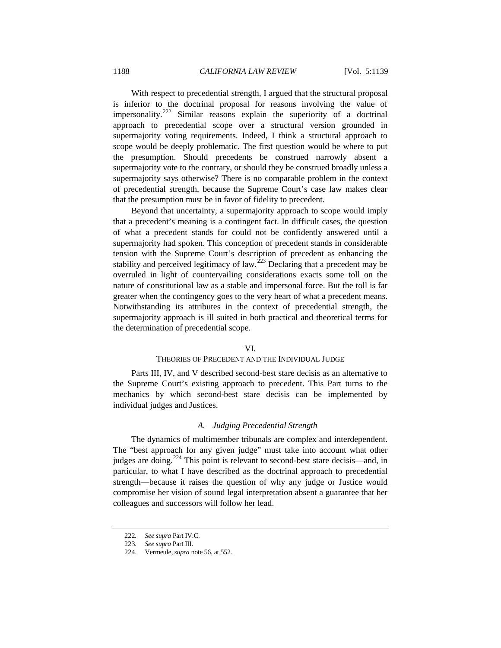With respect to precedential strength, I argued that the structural proposal is inferior to the doctrinal proposal for reasons involving the value of impersonality.<sup>[222](#page-49-0)</sup> Similar reasons explain the superiority of a doctrinal approach to precedential scope over a structural version grounded in supermajority voting requirements. Indeed, I think a structural approach to scope would be deeply problematic. The first question would be where to put the presumption. Should precedents be construed narrowly absent a supermajority vote to the contrary, or should they be construed broadly unless a supermajority says otherwise? There is no comparable problem in the context of precedential strength, because the Supreme Court's case law makes clear that the presumption must be in favor of fidelity to precedent.

Beyond that uncertainty, a supermajority approach to scope would imply that a precedent's meaning is a contingent fact. In difficult cases, the question of what a precedent stands for could not be confidently answered until a supermajority had spoken. This conception of precedent stands in considerable tension with the Supreme Court's description of precedent as enhancing the stability and perceived legitimacy of law.<sup>[223](#page-49-1)</sup> Declaring that a precedent may be overruled in light of countervailing considerations exacts some toll on the nature of constitutional law as a stable and impersonal force. But the toll is far greater when the contingency goes to the very heart of what a precedent means. Notwithstanding its attributes in the context of precedential strength, the supermajority approach is ill suited in both practical and theoretical terms for the determination of precedential scope.

# VI.

## THEORIES OF PRECEDENT AND THE INDIVIDUAL JUDGE

Parts III, IV, and V described second-best stare decisis as an alternative to the Supreme Court's existing approach to precedent. This Part turns to the mechanics by which second-best stare decisis can be implemented by individual judges and Justices.

#### *A. Judging Precedential Strength*

The dynamics of multimember tribunals are complex and interdependent. The "best approach for any given judge" must take into account what other judges are doing.<sup>[224](#page-49-2)</sup> This point is relevant to second-best stare decisis—and, in particular, to what I have described as the doctrinal approach to precedential strength—because it raises the question of why any judge or Justice would compromise her vision of sound legal interpretation absent a guarantee that her colleagues and successors will follow her lead.

<span id="page-49-1"></span><span id="page-49-0"></span><sup>222</sup>*. See supra* Part IV.C.

<sup>223</sup>*. See supra* Part III.

<span id="page-49-2"></span><sup>224.</sup> Vermeule,*supra* not[e 56,](#page-13-5) at 552.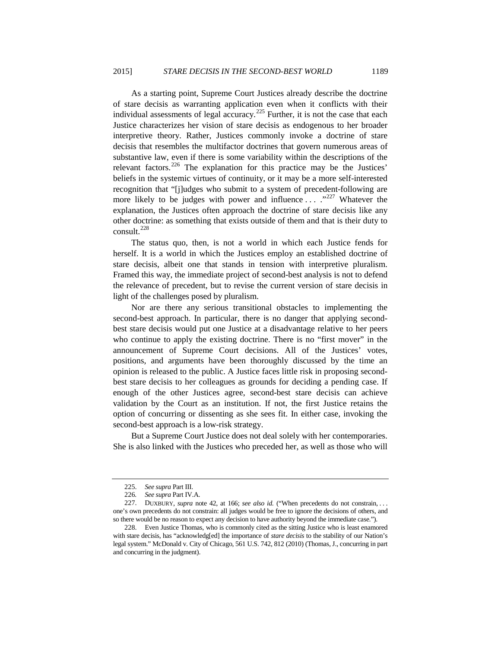As a starting point, Supreme Court Justices already describe the doctrine of stare decisis as warranting application even when it conflicts with their individual assessments of legal accuracy.<sup>[225](#page-50-0)</sup> Further, it is not the case that each Justice characterizes her vision of stare decisis as endogenous to her broader interpretive theory. Rather, Justices commonly invoke a doctrine of stare decisis that resembles the multifactor doctrines that govern numerous areas of substantive law, even if there is some variability within the descriptions of the relevant factors.<sup>[226](#page-50-1)</sup> The explanation for this practice may be the Justices' beliefs in the systemic virtues of continuity, or it may be a more self-interested recognition that "[j]udges who submit to a system of precedent-following are more likely to be judges with power and influence  $\ldots$  ...  $\cdot$ <sup>[227](#page-50-2)</sup> Whatever the explanation, the Justices often approach the doctrine of stare decisis like any other doctrine: as something that exists outside of them and that is their duty to consult.[228](#page-50-3)

The status quo, then, is not a world in which each Justice fends for herself. It is a world in which the Justices employ an established doctrine of stare decisis, albeit one that stands in tension with interpretive pluralism. Framed this way, the immediate project of second-best analysis is not to defend the relevance of precedent, but to revise the current version of stare decisis in light of the challenges posed by pluralism.

Nor are there any serious transitional obstacles to implementing the second-best approach. In particular, there is no danger that applying secondbest stare decisis would put one Justice at a disadvantage relative to her peers who continue to apply the existing doctrine. There is no "first mover" in the announcement of Supreme Court decisions. All of the Justices' votes, positions, and arguments have been thoroughly discussed by the time an opinion is released to the public. A Justice faces little risk in proposing secondbest stare decisis to her colleagues as grounds for deciding a pending case. If enough of the other Justices agree, second-best stare decisis can achieve validation by the Court as an institution. If not, the first Justice retains the option of concurring or dissenting as she sees fit. In either case, invoking the second-best approach is a low-risk strategy.

But a Supreme Court Justice does not deal solely with her contemporaries. She is also linked with the Justices who preceded her, as well as those who will

<sup>225.</sup> *See supra* Part III.

<sup>226</sup>*. See supra* Part IV.A.

<span id="page-50-2"></span><span id="page-50-1"></span><span id="page-50-0"></span><sup>227.</sup> DUXBURY, *supra* note [42,](#page-11-10) at 166; *see also id.* ("When precedents do not constrain, . . . one's own precedents do not constrain: all judges would be free to ignore the decisions of others, and so there would be no reason to expect any decision to have authority beyond the immediate case.").

<span id="page-50-3"></span><sup>228.</sup> Even Justice Thomas, who is commonly cited as the sitting Justice who is least enamored with stare decisis, has "acknowledg[ed] the importance of *stare decisis* to the stability of our Nation's legal system." McDonald v. City of Chicago, 561 U.S. 742, 812 (2010) (Thomas, J., concurring in part and concurring in the judgment).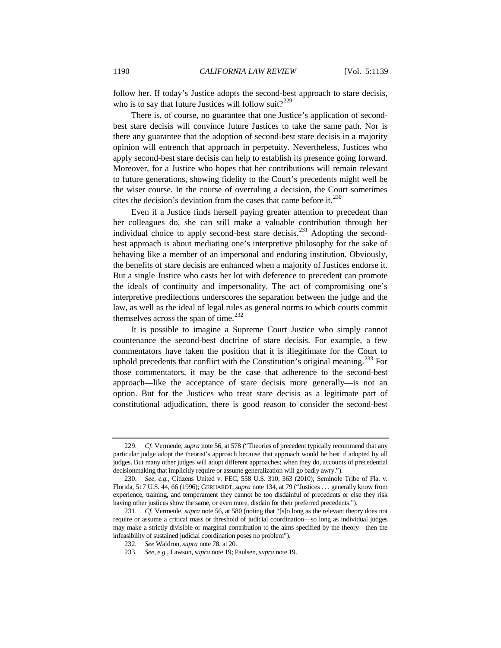follow her. If today's Justice adopts the second-best approach to stare decisis, who is to say that future Justices will follow suit?<sup>[229](#page-51-0)</sup>

There is, of course, no guarantee that one Justice's application of secondbest stare decisis will convince future Justices to take the same path. Nor is there any guarantee that the adoption of second-best stare decisis in a majority opinion will entrench that approach in perpetuity. Nevertheless, Justices who apply second-best stare decisis can help to establish its presence going forward. Moreover, for a Justice who hopes that her contributions will remain relevant to future generations, showing fidelity to the Court's precedents might well be the wiser course. In the course of overruling a decision, the Court sometimes cites the decision's deviation from the cases that came before it. $^{230}$  $^{230}$  $^{230}$ 

Even if a Justice finds herself paying greater attention to precedent than her colleagues do, she can still make a valuable contribution through her individual choice to apply second-best stare decisis.<sup>[231](#page-51-2)</sup> Adopting the secondbest approach is about mediating one's interpretive philosophy for the sake of behaving like a member of an impersonal and enduring institution. Obviously, the benefits of stare decisis are enhanced when a majority of Justices endorse it. But a single Justice who casts her lot with deference to precedent can promote the ideals of continuity and impersonality. The act of compromising one's interpretive predilections underscores the separation between the judge and the law, as well as the ideal of legal rules as general norms to which courts commit themselves across the span of time.<sup>[232](#page-51-3)</sup>

It is possible to imagine a Supreme Court Justice who simply cannot countenance the second-best doctrine of stare decisis. For example, a few commentators have taken the position that it is illegitimate for the Court to uphold precedents that conflict with the Constitution's original meaning.<sup>[233](#page-51-4)</sup> For those commentators, it may be the case that adherence to the second-best approach—like the acceptance of stare decisis more generally—is not an option. But for the Justices who treat stare decisis as a legitimate part of constitutional adjudication, there is good reason to consider the second-best

<span id="page-51-0"></span><sup>229.</sup> *Cf.* Vermeule, *supra* not[e 56,](#page-13-5) at 578 ("Theories of precedent typically recommend that any particular judge adopt the theorist's approach because that approach would be best if adopted by all judges. But many other judges will adopt different approaches; when they do, accounts of precedential decisionmaking that implicitly require or assume generalization will go badly awry.").

<span id="page-51-1"></span><sup>230.</sup> *See, e.g.*, Citizens United v. FEC, 558 U.S. 310, 363 (2010); Seminole Tribe of Fla. v. Florida, 517 U.S. 44, 66 (1996); GERHARDT, *supra* not[e 134,](#page-29-4) at 79 ("Justices . . . generally know from experience, training, and temperament they cannot be too disdainful of precedents or else they risk having other justices show the same, or even more, disdain for their preferred precedents.").

<span id="page-51-4"></span><span id="page-51-3"></span><span id="page-51-2"></span><sup>231.</sup> *Cf.* Vermeule, *supra* note [56,](#page-13-5) at 580 (noting that "[s]o long as the relevant theory does not require or assume a critical mass or threshold of judicial coordination—so long as individual judges may make a strictly divisible or marginal contribution to the aims specified by the theory—then the infeasibility of sustained judicial coordination poses no problem").

<sup>232.</sup> *See* Waldron, *supra* not[e 78,](#page-18-7) at 20.

<sup>233.</sup> *See, e.g.*, Lawson, *supra* not[e 19;](#page-8-0) Paulsen, *supra* not[e 19.](#page-8-0)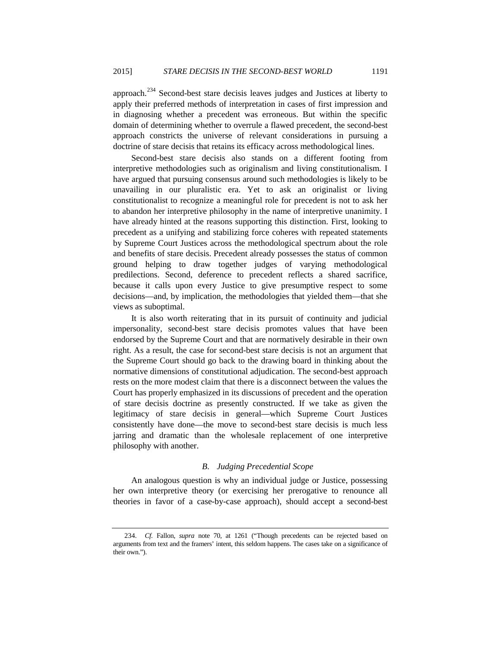approach.[234](#page-52-0) Second-best stare decisis leaves judges and Justices at liberty to apply their preferred methods of interpretation in cases of first impression and in diagnosing whether a precedent was erroneous. But within the specific domain of determining whether to overrule a flawed precedent, the second-best approach constricts the universe of relevant considerations in pursuing a doctrine of stare decisis that retains its efficacy across methodological lines.

Second-best stare decisis also stands on a different footing from interpretive methodologies such as originalism and living constitutionalism. I have argued that pursuing consensus around such methodologies is likely to be unavailing in our pluralistic era. Yet to ask an originalist or living constitutionalist to recognize a meaningful role for precedent is not to ask her to abandon her interpretive philosophy in the name of interpretive unanimity. I have already hinted at the reasons supporting this distinction. First, looking to precedent as a unifying and stabilizing force coheres with repeated statements by Supreme Court Justices across the methodological spectrum about the role and benefits of stare decisis. Precedent already possesses the status of common ground helping to draw together judges of varying methodological predilections. Second, deference to precedent reflects a shared sacrifice, because it calls upon every Justice to give presumptive respect to some decisions—and, by implication, the methodologies that yielded them—that she views as suboptimal.

It is also worth reiterating that in its pursuit of continuity and judicial impersonality, second-best stare decisis promotes values that have been endorsed by the Supreme Court and that are normatively desirable in their own right. As a result, the case for second-best stare decisis is not an argument that the Supreme Court should go back to the drawing board in thinking about the normative dimensions of constitutional adjudication. The second-best approach rests on the more modest claim that there is a disconnect between the values the Court has properly emphasized in its discussions of precedent and the operation of stare decisis doctrine as presently constructed. If we take as given the legitimacy of stare decisis in general—which Supreme Court Justices consistently have done—the move to second-best stare decisis is much less jarring and dramatic than the wholesale replacement of one interpretive philosophy with another.

# *B. Judging Precedential Scope*

An analogous question is why an individual judge or Justice, possessing her own interpretive theory (or exercising her prerogative to renounce all theories in favor of a case-by-case approach), should accept a second-best

<span id="page-52-0"></span><sup>234.</sup> *Cf.* Fallon, *supra* note 70, at 1261 ("Though precedents can be rejected based on arguments from text and the framers' intent, this seldom happens. The cases take on a significance of their own.").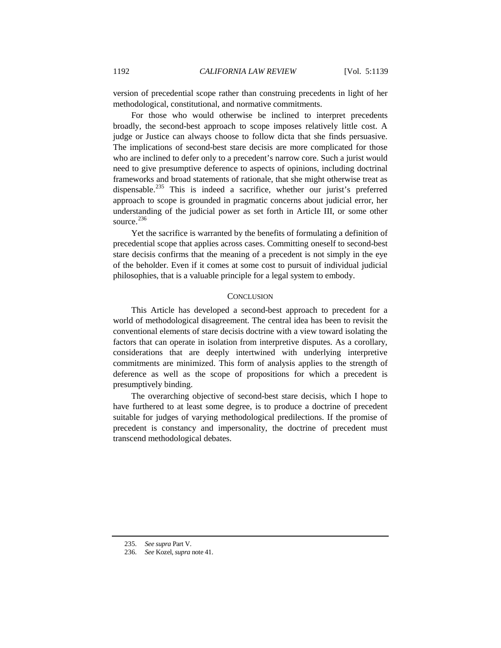version of precedential scope rather than construing precedents in light of her methodological, constitutional, and normative commitments.

For those who would otherwise be inclined to interpret precedents broadly, the second-best approach to scope imposes relatively little cost. A judge or Justice can always choose to follow dicta that she finds persuasive. The implications of second-best stare decisis are more complicated for those who are inclined to defer only to a precedent's narrow core. Such a jurist would need to give presumptive deference to aspects of opinions, including doctrinal frameworks and broad statements of rationale, that she might otherwise treat as dispensable.<sup>[235](#page-53-0)</sup> This is indeed a sacrifice, whether our jurist's preferred approach to scope is grounded in pragmatic concerns about judicial error, her understanding of the judicial power as set forth in Article III, or some other source. [236](#page-53-1)

Yet the sacrifice is warranted by the benefits of formulating a definition of precedential scope that applies across cases. Committing oneself to second-best stare decisis confirms that the meaning of a precedent is not simply in the eye of the beholder. Even if it comes at some cost to pursuit of individual judicial philosophies, that is a valuable principle for a legal system to embody.

# **CONCLUSION**

This Article has developed a second-best approach to precedent for a world of methodological disagreement. The central idea has been to revisit the conventional elements of stare decisis doctrine with a view toward isolating the factors that can operate in isolation from interpretive disputes. As a corollary, considerations that are deeply intertwined with underlying interpretive commitments are minimized. This form of analysis applies to the strength of deference as well as the scope of propositions for which a precedent is presumptively binding.

The overarching objective of second-best stare decisis, which I hope to have furthered to at least some degree, is to produce a doctrine of precedent suitable for judges of varying methodological predilections. If the promise of precedent is constancy and impersonality, the doctrine of precedent must transcend methodological debates.

<span id="page-53-0"></span><sup>235.</sup> *See supra* Part V.

<span id="page-53-1"></span><sup>236.</sup> *See* Kozel, *supra* not[e 41.](#page-11-0)